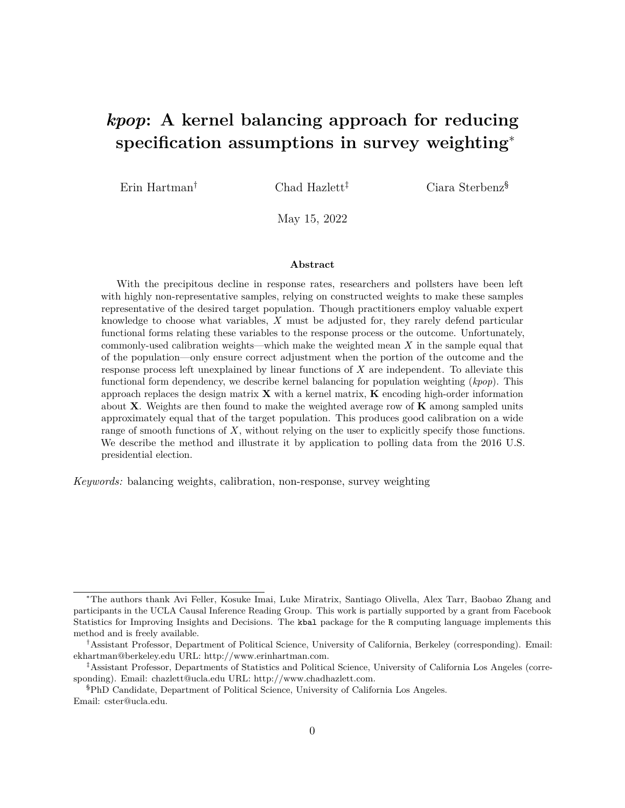# <span id="page-0-0"></span>*kpop***: A kernel balancing approach for reducing specification assumptions in survey weighting**<sup>∗</sup>

Erin Hartman<sup>†</sup> Chad Hazlett<sup>‡</sup> Ciara Sterbenz<sup>§</sup>

May 15, 2022

#### **Abstract**

With the precipitous decline in response rates, researchers and pollsters have been left with highly non-representative samples, relying on constructed weights to make these samples representative of the desired target population. Though practitioners employ valuable expert knowledge to choose what variables, *X* must be adjusted for, they rarely defend particular functional forms relating these variables to the response process or the outcome. Unfortunately, commonly-used calibration weights—which make the weighted mean *X* in the sample equal that of the population—only ensure correct adjustment when the portion of the outcome and the response process left unexplained by linear functions of *X* are independent. To alleviate this functional form dependency, we describe kernel balancing for population weighting (*kpop*). This approach replaces the design matrix **X** with a kernel matrix, **K** encoding high-order information about **X**. Weights are then found to make the weighted average row of **K** among sampled units approximately equal that of the target population. This produces good calibration on a wide range of smooth functions of *X*, without relying on the user to explicitly specify those functions. We describe the method and illustrate it by application to polling data from the 2016 U.S. presidential election.

*Keywords:* balancing weights, calibration, non-response, survey weighting

<sup>∗</sup>The authors thank Avi Feller, Kosuke Imai, Luke Miratrix, Santiago Olivella, Alex Tarr, Baobao Zhang and participants in the UCLA Causal Inference Reading Group. This work is partially supported by a grant from Facebook Statistics for Improving Insights and Decisions. The kbal package for the R computing language implements this method and is freely available.

<sup>†</sup>Assistant Professor, Department of Political Science, University of California, Berkeley (corresponding). Email: [ekhartman@berkeley.edu](mailto:ekhartman@berkeley.edu) URL: [http://www.erinhartman.com.](http://www.erinhartman.com)

<sup>‡</sup>Assistant Professor, Departments of Statistics and Political Science, University of California Los Angeles (corresponding). Email: [chazlett@ucla.edu](mailto:chazlett@ucla.edu) URL: [http://www.chadhazlett.com.](http://www.chadhazlett.com)

<sup>§</sup>PhD Candidate, Department of Political Science, University of California Los Angeles. Email: [cster@ucla.edu.](mailto:cster@ucla.edu)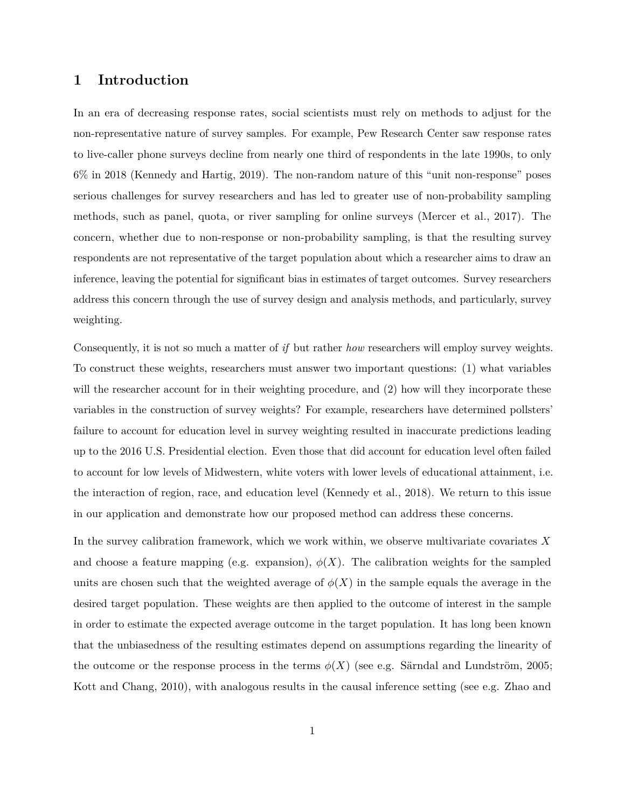## **1 Introduction**

In an era of decreasing response rates, social scientists must rely on methods to adjust for the non-representative nature of survey samples. For example, Pew Research Center saw response rates to live-caller phone surveys decline from nearly one third of respondents in the late 1990s, to only 6% in 2018 [\(Kennedy and Hartig, 2019\)](#page-33-0). The non-random nature of this "unit non-response" poses serious challenges for survey researchers and has led to greater use of non-probability sampling methods, such as panel, quota, or river sampling for online surveys [\(Mercer et al., 2017\)](#page-33-1). The concern, whether due to non-response or non-probability sampling, is that the resulting survey respondents are not representative of the target population about which a researcher aims to draw an inference, leaving the potential for significant bias in estimates of target outcomes. Survey researchers address this concern through the use of survey design and analysis methods, and particularly, survey weighting.

Consequently, it is not so much a matter of *if* but rather *how* researchers will employ survey weights. To construct these weights, researchers must answer two important questions: (1) what variables will the researcher account for in their weighting procedure, and (2) how will they incorporate these variables in the construction of survey weights? For example, researchers have determined pollsters' failure to account for education level in survey weighting resulted in inaccurate predictions leading up to the 2016 U.S. Presidential election. Even those that did account for education level often failed to account for low levels of Midwestern, white voters with lower levels of educational attainment, i.e. the interaction of region, race, and education level [\(Kennedy et al., 2018\)](#page-33-2). We return to this issue in our application and demonstrate how our proposed method can address these concerns.

In the survey calibration framework, which we work within, we observe multivariate covariates *X* and choose a feature mapping (e.g. expansion),  $\phi(X)$ . The calibration weights for the sampled units are chosen such that the weighted average of  $\phi(X)$  in the sample equals the average in the desired target population. These weights are then applied to the outcome of interest in the sample in order to estimate the expected average outcome in the target population. It has long been known that the unbiasedness of the resulting estimates depend on assumptions regarding the linearity of the outcome or the response process in the terms  $\phi(X)$  (see e.g. [Särndal and Lundström, 2005;](#page-34-0) [Kott and Chang, 2010\)](#page-33-3), with analogous results in the causal inference setting (see e.g. [Zhao and](#page-34-1)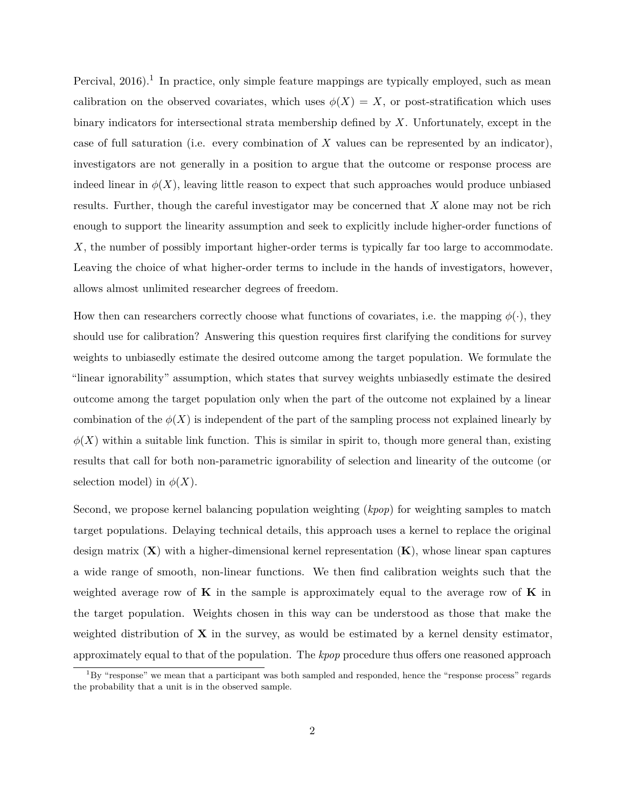Percival,  $2016$  $2016$  $2016$ .<sup>1</sup> In practice, only simple feature mappings are typically employed, such as mean calibration on the observed covariates, which uses  $\phi(X) = X$ , or post-stratification which uses binary indicators for intersectional strata membership defined by *X*. Unfortunately, except in the case of full saturation (i.e. every combination of *X* values can be represented by an indicator), investigators are not generally in a position to argue that the outcome or response process are indeed linear in  $\phi(X)$ , leaving little reason to expect that such approaches would produce unbiased results. Further, though the careful investigator may be concerned that *X* alone may not be rich enough to support the linearity assumption and seek to explicitly include higher-order functions of *X*, the number of possibly important higher-order terms is typically far too large to accommodate. Leaving the choice of what higher-order terms to include in the hands of investigators, however, allows almost unlimited researcher degrees of freedom.

How then can researchers correctly choose what functions of covariates, i.e. the mapping  $\phi(\cdot)$ , they should use for calibration? Answering this question requires first clarifying the conditions for survey weights to unbiasedly estimate the desired outcome among the target population. We formulate the "linear ignorability" assumption, which states that survey weights unbiasedly estimate the desired outcome among the target population only when the part of the outcome not explained by a linear combination of the  $\phi(X)$  is independent of the part of the sampling process not explained linearly by  $\phi(X)$  within a suitable link function. This is similar in spirit to, though more general than, existing results that call for both non-parametric ignorability of selection and linearity of the outcome (or selection model) in  $\phi(X)$ .

Second, we propose kernel balancing population weighting (*kpop*) for weighting samples to match target populations. Delaying technical details, this approach uses a kernel to replace the original design matrix (**X**) with a higher-dimensional kernel representation (**K**), whose linear span captures a wide range of smooth, non-linear functions. We then find calibration weights such that the weighted average row of **K** in the sample is approximately equal to the average row of **K** in the target population. Weights chosen in this way can be understood as those that make the weighted distribution of **X** in the survey, as would be estimated by a kernel density estimator, approximately equal to that of the population. The *kpop* procedure thus offers one reasoned approach

 ${}^{1}$ By "response" we mean that a participant was both sampled and responded, hence the "response process" regards the probability that a unit is in the observed sample.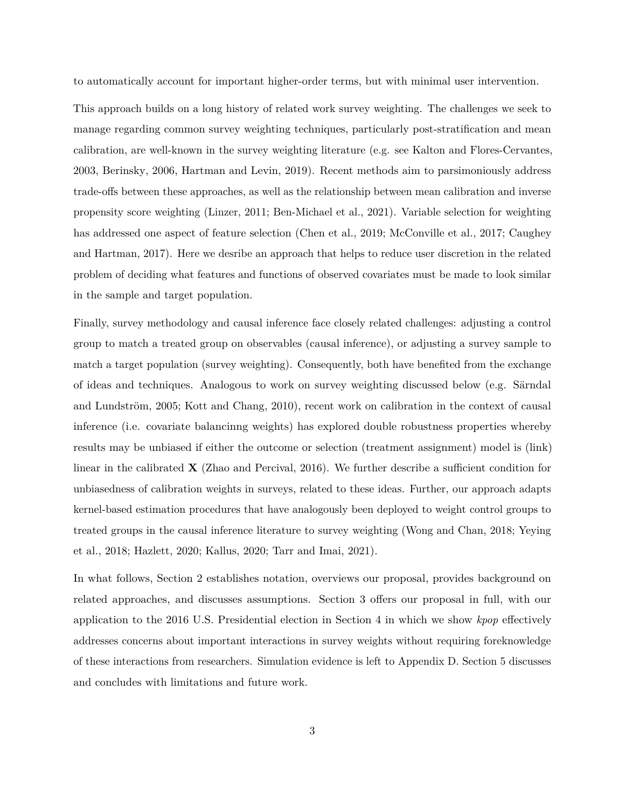to automatically account for important higher-order terms, but with minimal user intervention.

This approach builds on a long history of related work survey weighting. The challenges we seek to manage regarding common survey weighting techniques, particularly post-stratification and mean calibration, are well-known in the survey weighting literature (e.g. see [Kalton and Flores-Cervantes,](#page-33-4) [2003,](#page-33-4) [Berinsky, 2006,](#page-32-0) [Hartman and Levin, 2019\)](#page-32-1). Recent methods aim to parsimoniously address trade-offs between these approaches, as well as the relationship between mean calibration and inverse propensity score weighting [\(Linzer, 2011;](#page-33-5) [Ben-Michael et al., 2021\)](#page-32-2). Variable selection for weighting has addressed one aspect of feature selection [\(Chen et al., 2019;](#page-32-3) [McConville et al., 2017;](#page-33-6) [Caughey](#page-32-4) [and Hartman, 2017\)](#page-32-4). Here we desribe an approach that helps to reduce user discretion in the related problem of deciding what features and functions of observed covariates must be made to look similar in the sample and target population.

Finally, survey methodology and causal inference face closely related challenges: adjusting a control group to match a treated group on observables (causal inference), or adjusting a survey sample to match a target population (survey weighting). Consequently, both have benefited from the exchange of ideas and techniques. Analogous to work on survey weighting discussed below (e.g. [Särndal](#page-34-0) [and Lundström, 2005;](#page-34-0) [Kott and Chang, 2010\)](#page-33-3), recent work on calibration in the context of causal inference (i.e. covariate balancinng weights) has explored double robustness properties whereby results may be unbiased if either the outcome or selection (treatment assignment) model is (link) linear in the calibrated **X** [\(Zhao and Percival, 2016\)](#page-34-1). We further describe a sufficient condition for unbiasedness of calibration weights in surveys, related to these ideas. Further, our approach adapts kernel-based estimation procedures that have analogously been deployed to weight control groups to treated groups in the causal inference literature to survey weighting [\(Wong and Chan, 2018;](#page-34-2) [Yeying](#page-34-3) [et al., 2018;](#page-34-3) [Hazlett, 2020;](#page-32-5) [Kallus, 2020;](#page-32-6) [Tarr and Imai, 2021\)](#page-34-4).

In what follows, Section [2](#page-4-0) establishes notation, overviews our proposal, provides background on related approaches, and discusses assumptions. Section [3](#page-13-0) offers our proposal in full, with our application to the 2016 U.S. Presidential election in Section [4](#page-22-0) in which we show *kpop* effectively addresses concerns about important interactions in survey weights without requiring foreknowledge of these interactions from researchers. Simulation evidence is left to Appendix D. Section [5](#page-30-0) discusses and concludes with limitations and future work.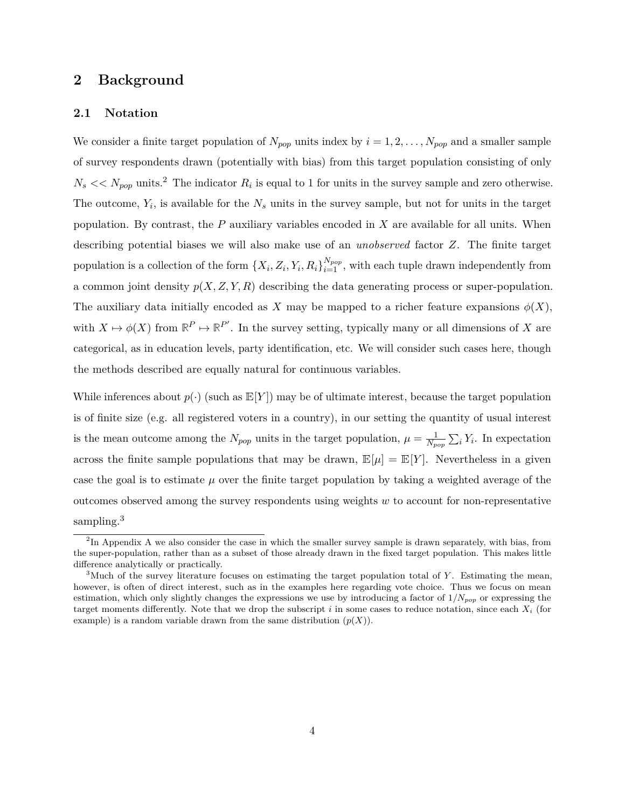## <span id="page-4-0"></span>**2 Background**

#### **2.1 Notation**

We consider a finite target population of  $N_{pop}$  units index by  $i = 1, 2, \ldots, N_{pop}$  and a smaller sample of survey respondents drawn (potentially with bias) from this target population consisting of only  $N_s \ll N_{pop}$  units.<sup>[2](#page-0-0)</sup> The indicator  $R_i$  is equal to 1 for units in the survey sample and zero otherwise. The outcome,  $Y_i$ , is available for the  $N_s$  units in the survey sample, but not for units in the target population. By contrast, the *P* auxiliary variables encoded in *X* are available for all units. When describing potential biases we will also make use of an *unobserved* factor *Z*. The finite target population is a collection of the form  $\{X_i, Z_i, Y_i, R_i\}_{i=1}^{N_{pop}}$ , with each tuple drawn independently from a common joint density  $p(X, Z, Y, R)$  describing the data generating process or super-population. The auxiliary data initially encoded as X may be mapped to a richer feature expansions  $\phi(X)$ , with  $X \mapsto \phi(X)$  from  $\mathbb{R}^P \mapsto \mathbb{R}^{P'}$ . In the survey setting, typically many or all dimensions of *X* are categorical, as in education levels, party identification, etc. We will consider such cases here, though the methods described are equally natural for continuous variables.

While inferences about  $p(\cdot)$  (such as  $E[Y]$ ) may be of ultimate interest, because the target population is of finite size (e.g. all registered voters in a country), in our setting the quantity of usual interest is the mean outcome among the  $N_{pop}$  units in the target population,  $\mu = \frac{1}{N_p}$  $\frac{1}{N_{pop}}\sum_i Y_i$ . In expectation across the finite sample populations that may be drawn,  $\mathbb{E}[\mu] = \mathbb{E}[Y]$ . Nevertheless in a given case the goal is to estimate  $\mu$  over the finite target population by taking a weighted average of the outcomes observed among the survey respondents using weights *w* to account for non-representative sampling.<sup>[3](#page-0-0)</sup>

<sup>&</sup>lt;sup>2</sup>In [A](#page-35-0)ppendix A we also consider the case in which the smaller survey sample is drawn separately, with bias, from the super-population, rather than as a subset of those already drawn in the fixed target population. This makes little difference analytically or practically.

<sup>3</sup>Much of the survey literature focuses on estimating the target population total of *Y* . Estimating the mean, however, is often of direct interest, such as in the examples here regarding vote choice. Thus we focus on mean estimation, which only slightly changes the expressions we use by introducing a factor of 1*/Npop* or expressing the target moments differently. Note that we drop the subscript *i* in some cases to reduce notation, since each *X<sup>i</sup>* (for example) is a random variable drawn from the same distribution  $(p(X))$ .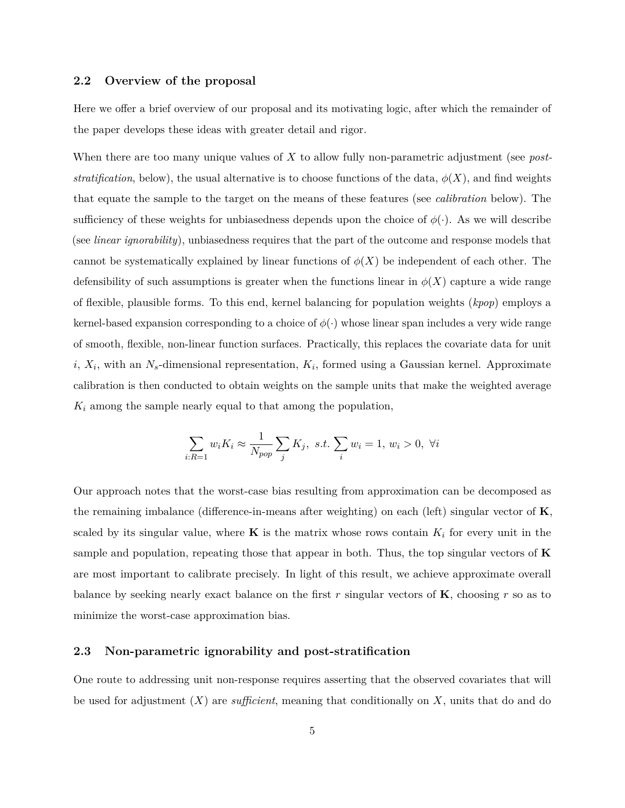## **2.2 Overview of the proposal**

Here we offer a brief overview of our proposal and its motivating logic, after which the remainder of the paper develops these ideas with greater detail and rigor.

When there are too many unique values of *X* to allow fully non-parametric adjustment (see *poststratification*, below), the usual alternative is to choose functions of the data,  $\phi(X)$ , and find weights that equate the sample to the target on the means of these features (see *calibration* below). The sufficiency of these weights for unbiasedness depends upon the choice of  $\phi(\cdot)$ . As we will describe (see *linear ignorability*), unbiasedness requires that the part of the outcome and response models that cannot be systematically explained by linear functions of  $\phi(X)$  be independent of each other. The defensibility of such assumptions is greater when the functions linear in  $\phi(X)$  capture a wide range of flexible, plausible forms. To this end, kernel balancing for population weights (*kpop*) employs a kernel-based expansion corresponding to a choice of  $\phi(\cdot)$  whose linear span includes a very wide range of smooth, flexible, non-linear function surfaces. Practically, this replaces the covariate data for unit  $i, X_i$ , with an  $N_s$ -dimensional representation,  $K_i$ , formed using a Gaussian kernel. Approximate calibration is then conducted to obtain weights on the sample units that make the weighted average *K<sup>i</sup>* among the sample nearly equal to that among the population,

$$
\sum_{i: R=1} w_i K_i \approx \frac{1}{N_{pop}} \sum_j K_j, \ s.t. \ \sum_i w_i = 1, \ w_i > 0, \ \forall i
$$

Our approach notes that the worst-case bias resulting from approximation can be decomposed as the remaining imbalance (difference-in-means after weighting) on each (left) singular vector of **K**, scaled by its singular value, where **K** is the matrix whose rows contain  $K_i$  for every unit in the sample and population, repeating those that appear in both. Thus, the top singular vectors of **K** are most important to calibrate precisely. In light of this result, we achieve approximate overall balance by seeking nearly exact balance on the first *r* singular vectors of **K**, choosing *r* so as to minimize the worst-case approximation bias.

## **2.3 Non-parametric ignorability and post-stratification**

One route to addressing unit non-response requires asserting that the observed covariates that will be used for adjustment (*X*) are *sufficient*, meaning that conditionally on *X*, units that do and do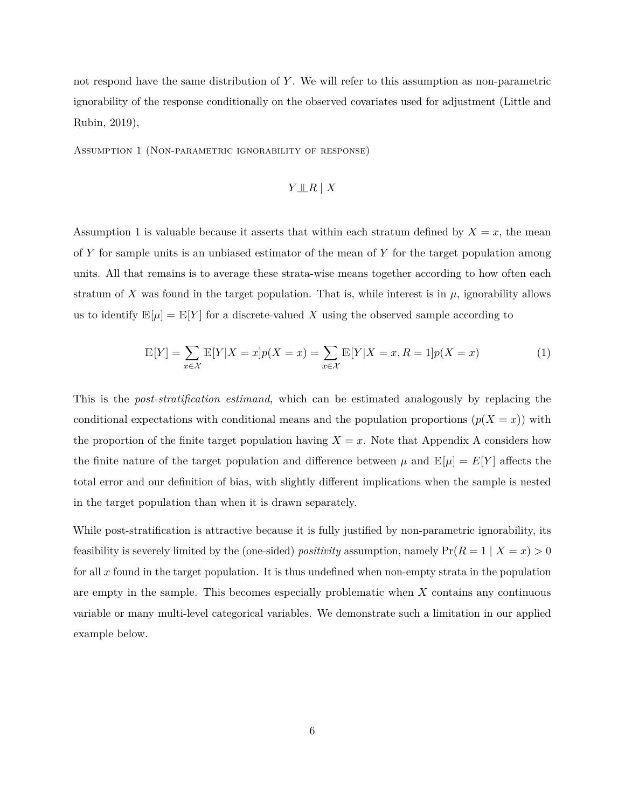not respond have the same distribution of *Y* . We will refer to this assumption as non-parametric ignorability of the response conditionally on the observed covariates used for adjustment [\(Little and](#page-33-7) [Rubin, 2019\)](#page-33-7),

<span id="page-6-0"></span>Assumption 1 (Non-parametric ignorability of response)

## *Y* |<sup>=</sup>*R* | *X*

Assumption [1](#page-6-0) is valuable because it asserts that within each stratum defined by  $X = x$ , the mean of *Y* for sample units is an unbiased estimator of the mean of *Y* for the target population among units. All that remains is to average these strata-wise means together according to how often each stratum of X was found in the target population. That is, while interest is in  $\mu$ , ignorability allows us to identify  $\mathbb{E}[\mu] = \mathbb{E}[Y]$  for a discrete-valued X using the observed sample according to

$$
\mathbb{E}[Y] = \sum_{x \in \mathcal{X}} \mathbb{E}[Y|X=x]p(X=x) = \sum_{x \in \mathcal{X}} \mathbb{E}[Y|X=x, R=1]p(X=x)
$$
 (1)

This is the *post-stratification estimand*, which can be estimated analogously by replacing the conditional expectations with conditional means and the population proportions  $(p(X = x))$  with the proportion of the finite target population having  $X = x$ . Note that [A](#page-35-0)ppendix A considers how the finite nature of the target population and difference between  $\mu$  and  $\mathbb{E}[\mu] = E[Y]$  affects the total error and our definition of bias, with slightly different implications when the sample is nested in the target population than when it is drawn separately.

While post-stratification is attractive because it is fully justified by non-parametric ignorability, its feasibility is severely limited by the (one-sided) *positivity* assumption, namely  $Pr(R = 1 | X = x) > 0$ for all *x* found in the target population. It is thus undefined when non-empty strata in the population are empty in the sample. This becomes especially problematic when *X* contains any continuous variable or many multi-level categorical variables. We demonstrate such a limitation in our applied example below.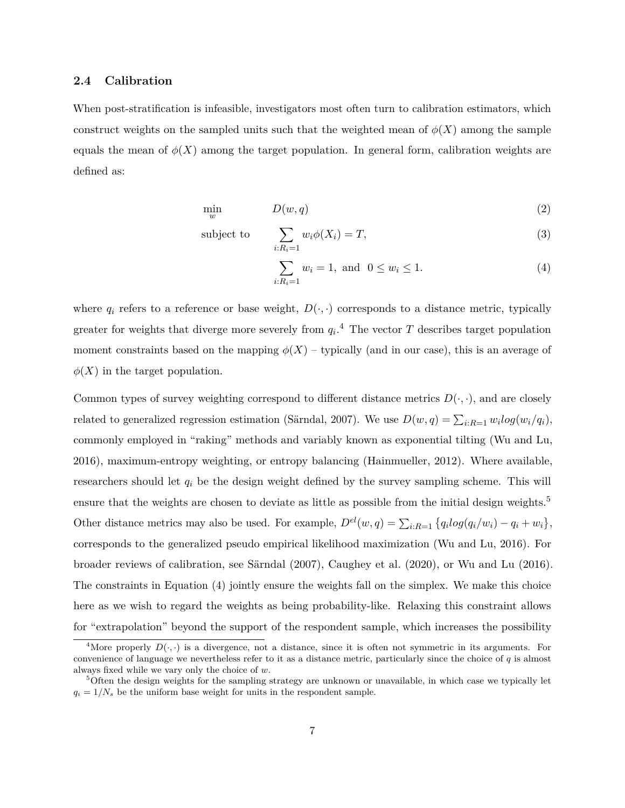## **2.4 Calibration**

When post-stratification is infeasible, investigators most often turn to calibration estimators, which construct weights on the sampled units such that the weighted mean of  $\phi(X)$  among the sample equals the mean of  $\phi(X)$  among the target population. In general form, calibration weights are defined as:

$$
\min_{w} \qquad D(w, q) \tag{2}
$$

subject to 
$$
\sum_{i: R_i=1} w_i \phi(X_i) = T,
$$
 (3)

<span id="page-7-0"></span>
$$
\sum_{i: R_i = 1} w_i = 1, \text{ and } 0 \le w_i \le 1.
$$
\n(4)

where  $q_i$  refers to a reference or base weight,  $D(\cdot, \cdot)$  corresponds to a distance metric, typically greater for weights that diverge more severely from  $q_i$ <sup>[4](#page-0-0)</sup>. The vector  $T$  describes target population moment constraints based on the mapping  $\phi(X)$  – typically (and in our case), this is an average of  $\phi(X)$  in the target population.

Common types of survey weighting correspond to different distance metrics  $D(\cdot, \cdot)$ , and are closely related to generalized regression estimation [\(Särndal, 2007\)](#page-34-5). We use  $D(w, q) = \sum_{i: R=1} w_i log(w_i/q_i)$ , commonly employed in "raking" methods and variably known as exponential tilting [\(Wu and Lu,](#page-34-6) [2016\)](#page-34-6), maximum-entropy weighting, or entropy balancing [\(Hainmueller, 2012\)](#page-32-7). Where available, researchers should let *q<sup>i</sup>* be the design weight defined by the survey sampling scheme. This will ensure that the weights are chosen to deviate as little as possible from the initial design weights.<sup>[5](#page-0-0)</sup> Other distance metrics may also be used. For example,  $D^{el}(w, q) = \sum_{i: R=1} \{q_i log(q_i/w_i) - q_i + w_i\},\$ corresponds to the generalized pseudo empirical likelihood maximization [\(Wu and Lu, 2016\)](#page-34-6). For broader reviews of calibration, see [Särndal](#page-34-5) [\(2007\)](#page-34-5), [Caughey et al.](#page-32-8) [\(2020\)](#page-32-8), or [Wu and Lu](#page-34-6) [\(2016\)](#page-34-6). The constraints in Equation [\(4\)](#page-7-0) jointly ensure the weights fall on the simplex. We make this choice here as we wish to regard the weights as being probability-like. Relaxing this constraint allows for "extrapolation" beyond the support of the respondent sample, which increases the possibility

<sup>&</sup>lt;sup>4</sup>More properly  $D(\cdot, \cdot)$  is a divergence, not a distance, since it is often not symmetric in its arguments. For convenience of language we nevertheless refer to it as a distance metric, particularly since the choice of *q* is almost always fixed while we vary only the choice of *w*.

<sup>5</sup>Often the design weights for the sampling strategy are unknown or unavailable, in which case we typically let  $q_i = 1/N_s$  be the uniform base weight for units in the respondent sample.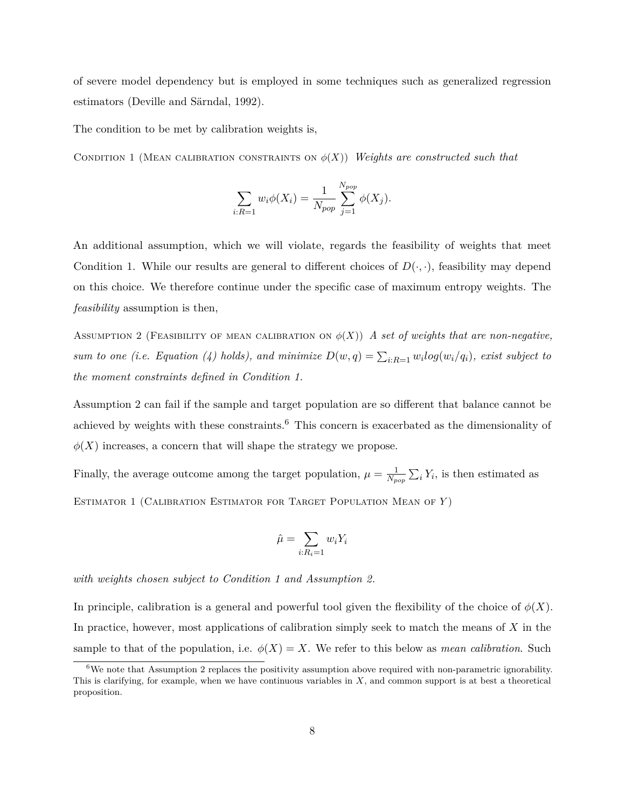of severe model dependency but is employed in some techniques such as generalized regression estimators [\(Deville and Särndal, 1992\)](#page-32-9).

The condition to be met by calibration weights is,

CONDITION 1 (MEAN CALIBRATION CONSTRAINTS ON  $\phi(X)$ ) *Weights are constructed such that* 

<span id="page-8-0"></span>
$$
\sum_{i: R=1} w_i \phi(X_i) = \frac{1}{N_{pop}} \sum_{j=1}^{N_{pop}} \phi(X_j).
$$

An additional assumption, which we will violate, regards the feasibility of weights that meet Condition [1.](#page-8-0) While our results are general to different choices of  $D(\cdot, \cdot)$ , feasibility may depend on this choice. We therefore continue under the specific case of maximum entropy weights. The *feasibility* assumption is then,

<span id="page-8-1"></span>ASSUMPTION 2 (FEASIBILITY OF MEAN CALIBRATION ON  $\phi(X)$ ) *A set of weights that are non-negative*, *sum to one (i.e. Equation [\(4\)](#page-7-0) holds), and minimize*  $D(w, q) = \sum_{i: R=1} w_i log(w_i/q_i)$ , exist subject to *the moment constraints defined in Condition [1.](#page-8-0)*

Assumption [2](#page-8-1) can fail if the sample and target population are so different that balance cannot be achieved by weights with these constraints.<sup>[6](#page-0-0)</sup> This concern is exacerbated as the dimensionality of  $\phi(X)$  increases, a concern that will shape the strategy we propose.

Finally, the average outcome among the target population,  $\mu = \frac{1}{N}$  $\frac{1}{N_{pop}}\sum_i Y_i$ , is then estimated as Estimator 1 (Calibration Estimator for Target Population Mean of *Y* )

$$
\hat{\mu} = \sum_{i: R_i = 1} w_i Y_i
$$

*with weights chosen subject to Condition [1](#page-8-0) and Assumption [2.](#page-8-1)*

In principle, calibration is a general and powerful tool given the flexibility of the choice of  $\phi(X)$ . In practice, however, most applications of calibration simply seek to match the means of *X* in the sample to that of the population, i.e.  $\phi(X) = X$ . We refer to this below as *mean calibration*. Such

<sup>6</sup>We note that Assumption [2](#page-8-1) replaces the positivity assumption above required with non-parametric ignorability. This is clarifying, for example, when we have continuous variables in *X*, and common support is at best a theoretical proposition.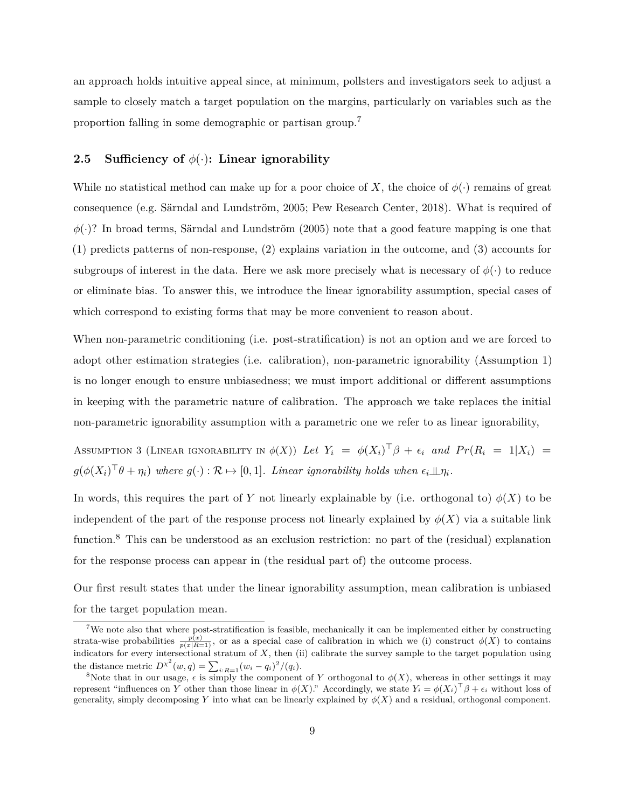an approach holds intuitive appeal since, at minimum, pollsters and investigators seek to adjust a sample to closely match a target population on the margins, particularly on variables such as the proportion falling in some demographic or partisan group.[7](#page-0-0)

## **2.5 Sufficiency of** *φ*(·)**: Linear ignorability**

While no statistical method can make up for a poor choice of *X*, the choice of  $\phi(\cdot)$  remains of great consequence (e.g. [Särndal and Lundström, 2005;](#page-34-0) [Pew Research Center, 2018\)](#page-34-7). What is required of  $\phi(\cdot)$ ? In broad terms, [Särndal and Lundström](#page-34-0) [\(2005\)](#page-34-0) note that a good feature mapping is one that (1) predicts patterns of non-response, (2) explains variation in the outcome, and (3) accounts for subgroups of interest in the data. Here we ask more precisely what is necessary of  $\phi(\cdot)$  to reduce or eliminate bias. To answer this, we introduce the linear ignorability assumption, special cases of which correspond to existing forms that may be more convenient to reason about.

When non-parametric conditioning (i.e. post-stratification) is not an option and we are forced to adopt other estimation strategies (i.e. calibration), non-parametric ignorability (Assumption [1\)](#page-6-0) is no longer enough to ensure unbiasedness; we must import additional or different assumptions in keeping with the parametric nature of calibration. The approach we take replaces the initial non-parametric ignorability assumption with a parametric one we refer to as linear ignorability,

<span id="page-9-0"></span>Assumption 3 (Linear ignorability in  $\phi(X)$ ) *Let*  $Y_i = \phi(X_i)^\top \beta + \epsilon_i$  and  $Pr(R_i = 1|X_i)$  =  $g(\phi(X_i)^\top \theta + \eta_i)$  where  $g(\cdot): \mathcal{R} \mapsto [0,1]$ *. Linear ignorability holds when*  $\epsilon_i \perp \!\!\!\perp \eta_i$ *.* 

In words, this requires the part of *Y* not linearly explainable by (i.e. orthogonal to)  $\phi(X)$  to be independent of the part of the response process not linearly explained by  $\phi(X)$  via a suitable link function.<sup>[8](#page-0-0)</sup> This can be understood as an exclusion restriction: no part of the (residual) explanation for the response process can appear in (the residual part of) the outcome process.

Our first result states that under the linear ignorability assumption, mean calibration is unbiased for the target population mean.

<span id="page-9-1"></span><sup>7</sup>We note also that where post-stratification is feasible, mechanically it can be implemented either by constructing strata-wise probabilities  $\frac{p(x)}{p(x|R=1)}$ , or as a special case of calibration in which we (i) construct  $\phi(X)$  to contains indicators for every intersectional stratum of *X*, then (ii) calibrate the survey sample to the target population using the distance metric  $D^{\chi^2}(w, q) = \sum_{i: R=1} (w_i - q_i)^2 / (q_i)$ .

<sup>&</sup>lt;sup>8</sup>Note that in our usage,  $\epsilon$  is simply the component of *Y* orthogonal to  $\phi(X)$ , whereas in other settings it may represent "influences on *Y* other than those linear in  $\phi(X)$ ." Accordingly, we state  $Y_i = \phi(X_i)^\top \beta + \epsilon_i$  without loss of generality, simply decomposing *Y* into what can be linearly explained by  $\phi(X)$  and a residual, orthogonal component.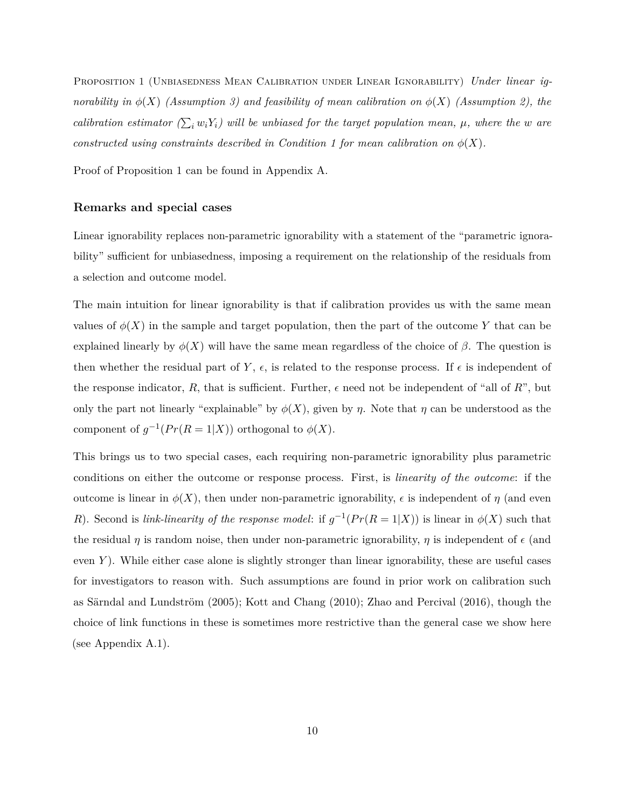Proposition 1 (Unbiasedness Mean Calibration under Linear Ignorability) *Under linear ignorability in*  $\phi(X)$  *(Assumption [3\)](#page-9-0)* and feasibility of mean calibration on  $\phi(X)$  *(Assumption [2\)](#page-8-1), the calibration estimator*  $(\sum_i w_i Y_i)$  *will be unbiased for the target population mean,*  $\mu$ *, where the w are constructed using constraints described in Condition [1](#page-8-0) for mean calibration on*  $\phi(X)$ *.* 

Proof of Proposition [1](#page-9-1) can be found in Appendix [A.](#page-35-0)

## **Remarks and special cases**

Linear ignorability replaces non-parametric ignorability with a statement of the "parametric ignorability" sufficient for unbiasedness, imposing a requirement on the relationship of the residuals from a selection and outcome model.

The main intuition for linear ignorability is that if calibration provides us with the same mean values of  $\phi(X)$  in the sample and target population, then the part of the outcome Y that can be explained linearly by  $\phi(X)$  will have the same mean regardless of the choice of  $\beta$ . The question is then whether the residual part of  $Y$ ,  $\epsilon$ , is related to the response process. If  $\epsilon$  is independent of the response indicator,  $R$ , that is sufficient. Further,  $\epsilon$  need not be independent of "all of  $R$ ", but only the part not linearly "explainable" by  $\phi(X)$ , given by *η*. Note that *η* can be understood as the component of  $g^{-1}(Pr(R = 1|X))$  orthogonal to  $\phi(X)$ .

This brings us to two special cases, each requiring non-parametric ignorability plus parametric conditions on either the outcome or response process. First, is *linearity of the outcome*: if the outcome is linear in  $\phi(X)$ , then under non-parametric ignorability, *ε* is independent of *η* (and even *R*). Second is *link-linearity of the response model*: if  $g^{-1}(Pr(R = 1|X))$  is linear in  $\phi(X)$  such that the residual *η* is random noise, then under non-parametric ignorability, *η* is independent of  $\epsilon$  (and even *Y*). While either case alone is slightly stronger than linear ignorability, these are useful cases for investigators to reason with. Such assumptions are found in prior work on calibration such as [Särndal and Lundström](#page-34-0) [\(2005\)](#page-34-0); [Kott and Chang](#page-33-3) [\(2010\)](#page-33-3); [Zhao and Percival](#page-34-1) [\(2016\)](#page-34-1), though the choice of link functions in these is sometimes more restrictive than the general case we show here (see Appendix [A.1\)](#page-35-1).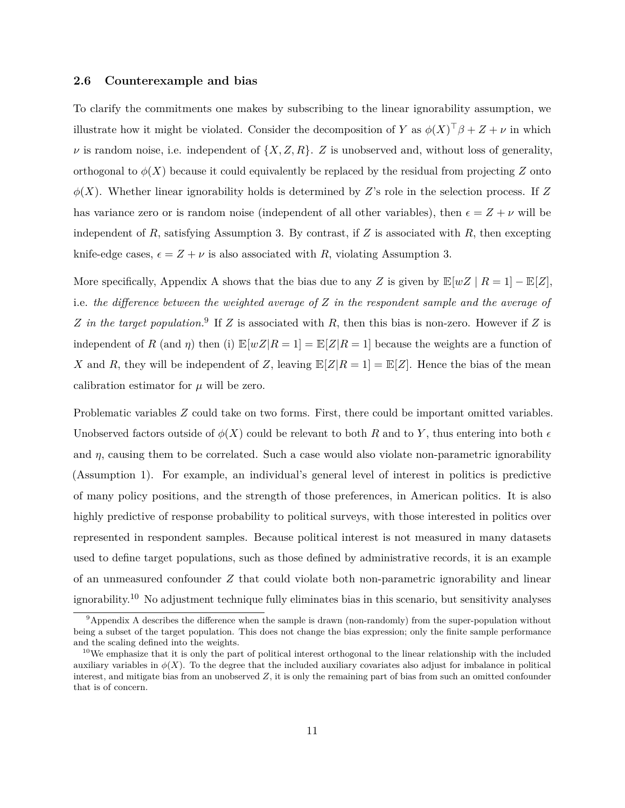### <span id="page-11-0"></span>**2.6 Counterexample and bias**

To clarify the commitments one makes by subscribing to the linear ignorability assumption, we illustrate how it might be violated. Consider the decomposition of *Y* as  $\phi(X)^\top \beta + Z + \nu$  in which  $\nu$  is random noise, i.e. independent of  $\{X, Z, R\}$ . *Z* is unobserved and, without loss of generality, orthogonal to  $\phi(X)$  because it could equivalently be replaced by the residual from projecting *Z* onto  $\phi(X)$ . Whether linear ignorability holds is determined by *Z*'s role in the selection process. If *Z* has variance zero or is random noise (independent of all other variables), then  $\epsilon = Z + \nu$  will be independent of *R*, satisfying Assumption [3.](#page-9-0) By contrast, if *Z* is associated with *R*, then excepting knife-edge cases,  $\epsilon = Z + \nu$  is also associated with *R*, violating Assumption [3.](#page-9-0)

More specifically, [A](#page-35-0)ppendix A shows that the bias due to any *Z* is given by  $\mathbb{E}[wZ \mid R=1] - \mathbb{E}[Z]$ , i.e. *the difference between the weighted average of Z in the respondent sample and the average of Z in the target population.*[9](#page-0-0) If *Z* is associated with *R*, then this bias is non-zero. However if *Z* is independent of *R* (and *η*) then (i)  $\mathbb{E}[wZ|R=1] = \mathbb{E}[Z|R=1]$  because the weights are a function of *X* and *R*, they will be independent of *Z*, leaving  $\mathbb{E}[Z|R=1] = \mathbb{E}[Z]$ . Hence the bias of the mean calibration estimator for  $\mu$  will be zero.

Problematic variables *Z* could take on two forms. First, there could be important omitted variables. Unobserved factors outside of  $\phi(X)$  could be relevant to both *R* and to *Y*, thus entering into both  $\epsilon$ and  $\eta$ , causing them to be correlated. Such a case would also violate non-parametric ignorability (Assumption [1\)](#page-6-0). For example, an individual's general level of interest in politics is predictive of many policy positions, and the strength of those preferences, in American politics. It is also highly predictive of response probability to political surveys, with those interested in politics over represented in respondent samples. Because political interest is not measured in many datasets used to define target populations, such as those defined by administrative records, it is an example of an unmeasured confounder *Z* that could violate both non-parametric ignorability and linear ignorability.[10](#page-0-0) No adjustment technique fully eliminates bias in this scenario, but sensitivity analyses

 $9^9$ Appendix [A](#page-35-0) describes the difference when the sample is drawn (non-randomly) from the super-population without being a subset of the target population. This does not change the bias expression; only the finite sample performance and the scaling defined into the weights.

<sup>&</sup>lt;sup>10</sup>We emphasize that it is only the part of political interest orthogonal to the linear relationship with the included auxiliary variables in  $\phi(X)$ . To the degree that the included auxiliary covariates also adjust for imbalance in political interest, and mitigate bias from an unobserved  $Z$ , it is only the remaining part of bias from such an omitted confounder that is of concern.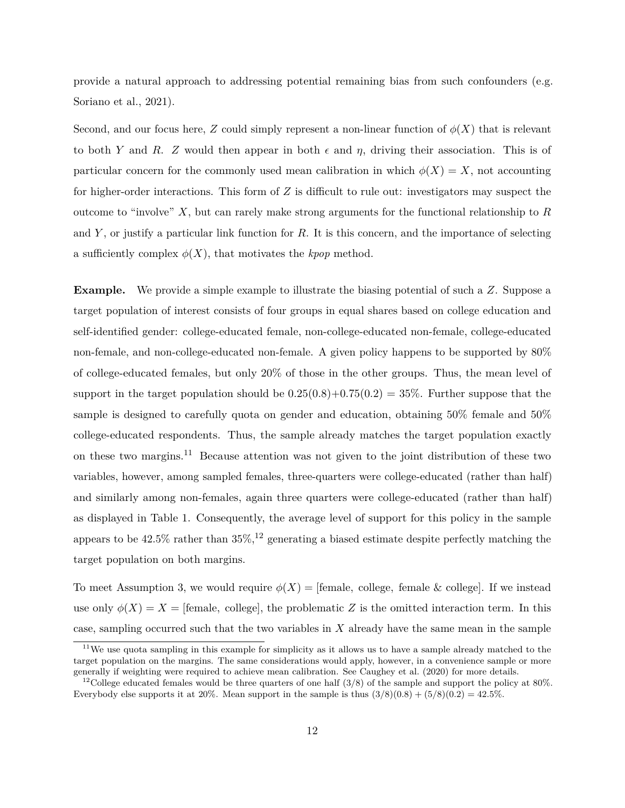provide a natural approach to addressing potential remaining bias from such confounders (e.g. [Soriano et al., 2021\)](#page-34-8).

Second, and our focus here, *Z* could simply represent a non-linear function of  $\phi(X)$  that is relevant to both *Y* and *R*. *Z* would then appear in both  $\epsilon$  and  $\eta$ , driving their association. This is of particular concern for the commonly used mean calibration in which  $\phi(X) = X$ , not accounting for higher-order interactions. This form of *Z* is difficult to rule out: investigators may suspect the outcome to "involve" *X*, but can rarely make strong arguments for the functional relationship to *R* and *Y* , or justify a particular link function for *R*. It is this concern, and the importance of selecting a sufficiently complex  $\phi(X)$ , that motivates the *kpop* method.

**Example.** We provide a simple example to illustrate the biasing potential of such a *Z*. Suppose a target population of interest consists of four groups in equal shares based on college education and self-identified gender: college-educated female, non-college-educated non-female, college-educated non-female, and non-college-educated non-female. A given policy happens to be supported by 80% of college-educated females, but only 20% of those in the other groups. Thus, the mean level of support in the target population should be  $0.25(0.8)+0.75(0.2) = 35\%$ . Further suppose that the sample is designed to carefully quota on gender and education, obtaining 50% female and 50% college-educated respondents. Thus, the sample already matches the target population exactly on these two margins.[11](#page-0-0) Because attention was not given to the joint distribution of these two variables, however, among sampled females, three-quarters were college-educated (rather than half) and similarly among non-females, again three quarters were college-educated (rather than half) as displayed in Table [1.](#page-13-1) Consequently, the average level of support for this policy in the sample appears to be  $42.5\%$  rather than  $35\%,$ <sup>[12](#page-0-0)</sup> generating a biased estimate despite perfectly matching the target population on both margins.

To meet Assumption [3,](#page-9-0) we would require  $\phi(X) = \text{[female, college, female & college]}$ . If we instead use only  $\phi(X) = X =$  [female, college], the problematic *Z* is the omitted interaction term. In this case, sampling occurred such that the two variables in *X* already have the same mean in the sample

<sup>&</sup>lt;sup>11</sup>We use quota sampling in this example for simplicity as it allows us to have a sample already matched to the target population on the margins. The same considerations would apply, however, in a convenience sample or more generally if weighting were required to achieve mean calibration. See [Caughey et al.](#page-32-8) [\(2020\)](#page-32-8) for more details.

<sup>12</sup>College educated females would be three quarters of one half (3*/*8) of the sample and support the policy at 80%. Everybody else supports it at 20%. Mean support in the sample is thus  $(3/8)(0.8) + (5/8)(0.2) = 42.5\%$ .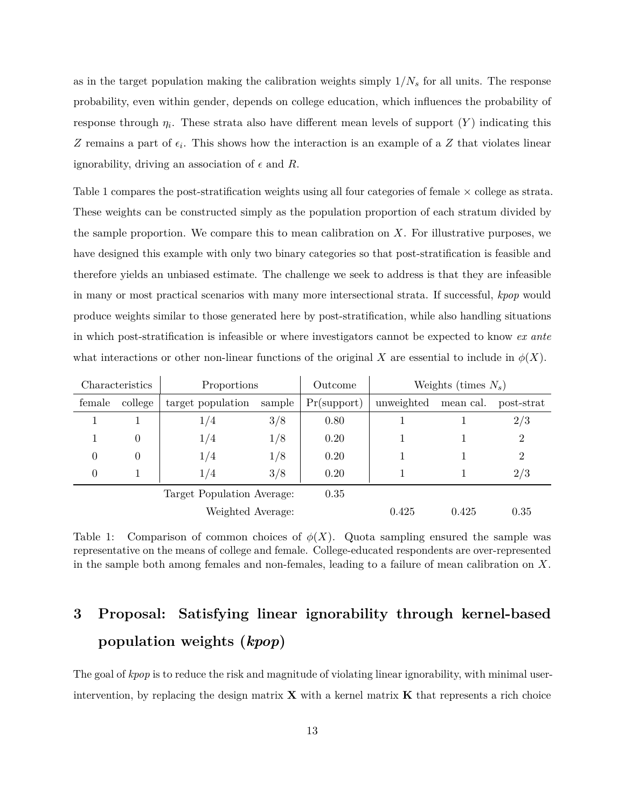as in the target population making the calibration weights simply  $1/N_s$  for all units. The response probability, even within gender, depends on college education, which influences the probability of response through  $\eta_i$ . These strata also have different mean levels of support  $(Y)$  indicating this *Z* remains a part of  $\epsilon_i$ . This shows how the interaction is an example of a *Z* that violates linear ignorability, driving an association of  $\epsilon$  and *R*.

Table [1](#page-13-1) compares the post-stratification weights using all four categories of female  $\times$  college as strata. These weights can be constructed simply as the population proportion of each stratum divided by the sample proportion. We compare this to mean calibration on *X*. For illustrative purposes, we have designed this example with only two binary categories so that post-stratification is feasible and therefore yields an unbiased estimate. The challenge we seek to address is that they are infeasible in many or most practical scenarios with many more intersectional strata. If successful, *kpop* would produce weights similar to those generated here by post-stratification, while also handling situations in which post-stratification is infeasible or where investigators cannot be expected to know *ex ante* what interactions or other non-linear functions of the original *X* are essential to include in  $\phi(X)$ .

<span id="page-13-1"></span>

|                            | Characteristics | Proportions       |        | Outcome                   | Weights (times $N_s$ ) |           |                |
|----------------------------|-----------------|-------------------|--------|---------------------------|------------------------|-----------|----------------|
| female                     | college         | target population | sample | Pr(support)<br>unweighted |                        | mean cal. | post-strat     |
|                            |                 | 1/4               | 3/8    | 0.80                      |                        |           | 2/3            |
|                            | 0               | 1/4               | 1/8    | 0.20                      |                        |           | 2              |
| $\theta$                   | $\theta$        | 1/4               | 1/8    | 0.20                      |                        |           | $\overline{2}$ |
| $\theta$                   |                 | 1/4               | 3/8    | 0.20                      |                        |           | 2/3            |
| Target Population Average: |                 |                   |        | 0.35                      |                        |           |                |
| Weighted Average:          |                 |                   |        | 0.425                     | 0.425                  | 0.35      |                |

Table 1: Comparison of common choices of  $\phi(X)$ . Quota sampling ensured the sample was representative on the means of college and female. College-educated respondents are over-represented in the sample both among females and non-females, leading to a failure of mean calibration on *X*.

# <span id="page-13-0"></span>**3 Proposal: Satisfying linear ignorability through kernel-based population weights (***kpop***)**

The goal of *kpop* is to reduce the risk and magnitude of violating linear ignorability, with minimal userintervention, by replacing the design matrix  $\bf{X}$  with a kernel matrix  $\bf{K}$  that represents a rich choice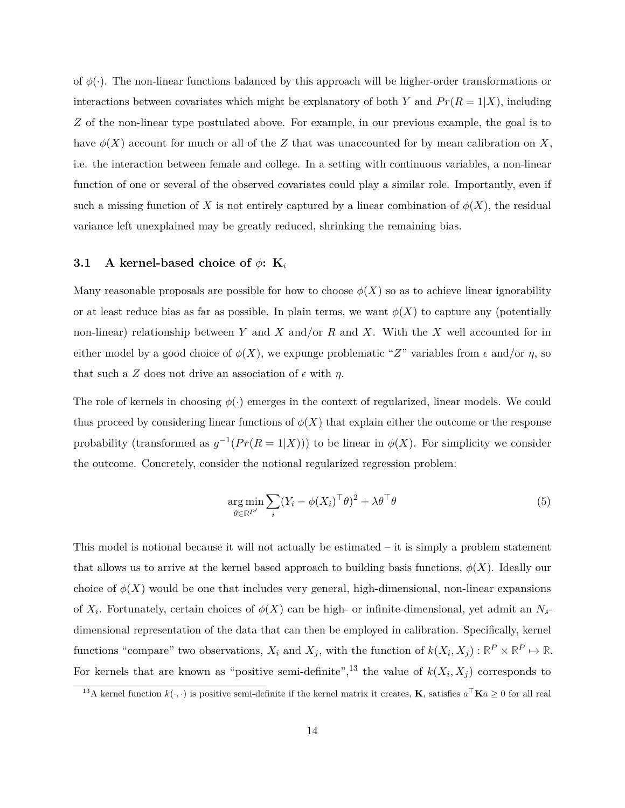of  $\phi(\cdot)$ . The non-linear functions balanced by this approach will be higher-order transformations or interactions between covariates which might be explanatory of both *Y* and  $Pr(R = 1|X)$ , including *Z* of the non-linear type postulated above. For example, in our previous example, the goal is to have  $\phi(X)$  account for much or all of the Z that was unaccounted for by mean calibration on X, i.e. the interaction between female and college. In a setting with continuous variables, a non-linear function of one or several of the observed covariates could play a similar role. Importantly, even if such a missing function of *X* is not entirely captured by a linear combination of  $\phi(X)$ , the residual variance left unexplained may be greatly reduced, shrinking the remaining bias.

## **3.1 A** kernel-based choice of  $\phi$ : **K**<sub>*i*</sub>

Many reasonable proposals are possible for how to choose  $\phi(X)$  so as to achieve linear ignorability or at least reduce bias as far as possible. In plain terms, we want  $\phi(X)$  to capture any (potentially non-linear) relationship between *Y* and *X* and/or *R* and *X*. With the *X* well accounted for in either model by a good choice of  $\phi(X)$ , we expunge problematic "Z" variables from  $\epsilon$  and/or  $\eta$ , so that such a *Z* does not drive an association of  $\epsilon$  with  $\eta$ .

The role of kernels in choosing  $\phi(\cdot)$  emerges in the context of regularized, linear models. We could thus proceed by considering linear functions of  $\phi(X)$  that explain either the outcome or the response probability (transformed as  $g^{-1}(Pr(R = 1|X))$ ) to be linear in  $\phi(X)$ . For simplicity we consider the outcome. Concretely, consider the notional regularized regression problem:

<span id="page-14-0"></span>
$$
\underset{\theta \in \mathbb{R}^{P'}}{\arg \min} \sum_{i} (Y_i - \phi(X_i)^{\top} \theta)^2 + \lambda \theta^{\top} \theta \tag{5}
$$

This model is notional because it will not actually be estimated – it is simply a problem statement that allows us to arrive at the kernel based approach to building basis functions,  $\phi(X)$ . Ideally our choice of  $\phi(X)$  would be one that includes very general, high-dimensional, non-linear expansions of *X<sup>i</sup>* . Fortunately, certain choices of *φ*(*X*) can be high- or infinite-dimensional, yet admit an *Ns*dimensional representation of the data that can then be employed in calibration. Specifically, kernel functions "compare" two observations,  $X_i$  and  $X_j$ , with the function of  $k(X_i, X_j) : \mathbb{R}^P \times \mathbb{R}^P \mapsto \mathbb{R}$ . For kernels that are known as "positive semi-definite",<sup>[13](#page-0-0)</sup> the value of  $k(X_i, X_j)$  corresponds to

<sup>&</sup>lt;sup>13</sup>A kernel function  $k(\cdot, \cdot)$  is positive semi-definite if the kernel matrix it creates, **K**, satisfies  $a^{\top}$ **K** $a \ge 0$  for all real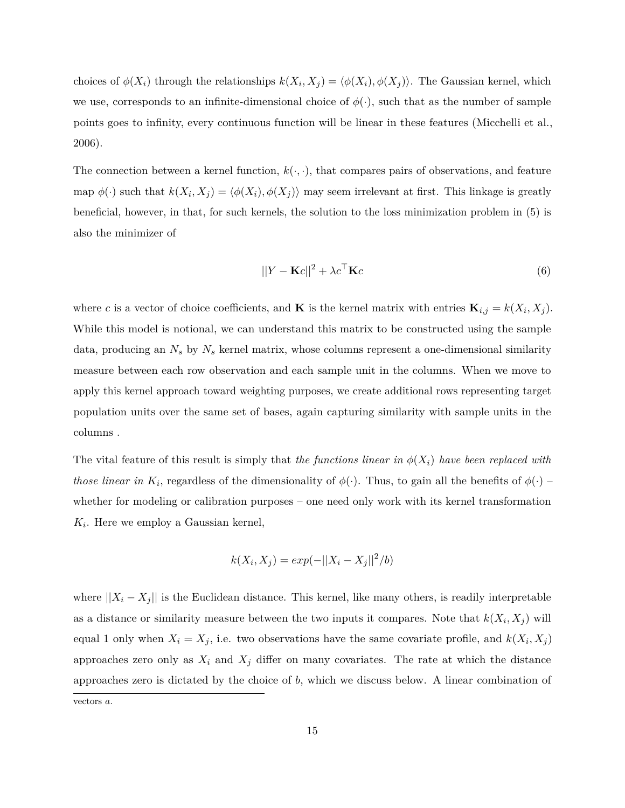choices of  $\phi(X_i)$  through the relationships  $k(X_i, X_j) = \langle \phi(X_i), \phi(X_j) \rangle$ . The Gaussian kernel, which we use, corresponds to an infinite-dimensional choice of  $\phi(\cdot)$ , such that as the number of sample points goes to infinity, every continuous function will be linear in these features [\(Micchelli et al.,](#page-33-8) [2006\)](#page-33-8).

The connection between a kernel function,  $k(\cdot, \cdot)$ , that compares pairs of observations, and feature map  $\phi(\cdot)$  such that  $k(X_i, X_j) = \langle \phi(X_i), \phi(X_j) \rangle$  may seem irrelevant at first. This linkage is greatly beneficial, however, in that, for such kernels, the solution to the loss minimization problem in [\(5\)](#page-14-0) is also the minimizer of

$$
||Y - \mathbf{K}c||^2 + \lambda c^\top \mathbf{K}c \tag{6}
$$

where *c* is a vector of choice coefficients, and **K** is the kernel matrix with entries  $\mathbf{K}_{i,j} = k(X_i, X_j)$ . While this model is notional, we can understand this matrix to be constructed using the sample data, producing an *N<sup>s</sup>* by *N<sup>s</sup>* kernel matrix, whose columns represent a one-dimensional similarity measure between each row observation and each sample unit in the columns. When we move to apply this kernel approach toward weighting purposes, we create additional rows representing target population units over the same set of bases, again capturing similarity with sample units in the columns .

The vital feature of this result is simply that *the functions linear in*  $\phi(X_i)$  *have been replaced with those linear in*  $K_i$ , regardless of the dimensionality of  $\phi(\cdot)$ . Thus, to gain all the benefits of  $\phi(\cdot)$  – whether for modeling or calibration purposes – one need only work with its kernel transformation *K<sup>i</sup>* . Here we employ a Gaussian kernel,

$$
k(X_i, X_j) = exp(-||X_i - X_j||^2/b)
$$

where  $||X_i - X_j||$  is the Euclidean distance. This kernel, like many others, is readily interpretable as a distance or similarity measure between the two inputs it compares. Note that  $k(X_i, X_j)$  will equal 1 only when  $X_i = X_j$ , i.e. two observations have the same covariate profile, and  $k(X_i, X_j)$ approaches zero only as  $X_i$  and  $X_j$  differ on many covariates. The rate at which the distance approaches zero is dictated by the choice of *b*, which we discuss below. A linear combination of

vectors *a*.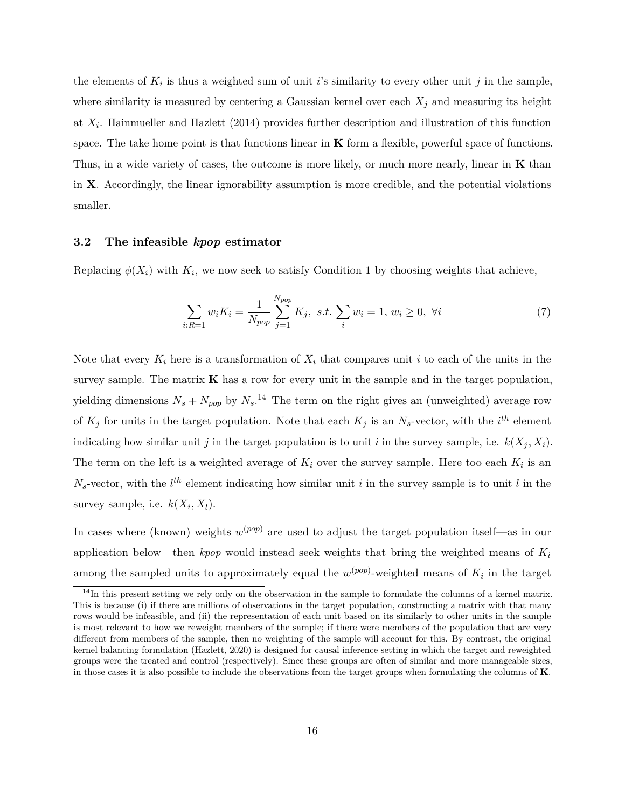the elements of  $K_i$  is thus a weighted sum of unit *i*'s similarity to every other unit *j* in the sample, where similarity is measured by centering a Gaussian kernel over each  $X_j$  and measuring its height at *X<sup>i</sup>* . [Hainmueller and Hazlett](#page-32-10) [\(2014\)](#page-32-10) provides further description and illustration of this function space. The take home point is that functions linear in **K** form a flexible, powerful space of functions. Thus, in a wide variety of cases, the outcome is more likely, or much more nearly, linear in **K** than in **X**. Accordingly, the linear ignorability assumption is more credible, and the potential violations smaller.

## **3.2 The infeasible** *kpop* **estimator**

Replacing  $\phi(X_i)$  with  $K_i$ , we now seek to satisfy Condition [1](#page-8-0) by choosing weights that achieve,

<span id="page-16-0"></span>
$$
\sum_{i:R=1} w_i K_i = \frac{1}{N_{pop}} \sum_{j=1}^{N_{pop}} K_j, \ s.t. \ \sum_i w_i = 1, \ w_i \ge 0, \ \forall i
$$
 (7)

Note that every  $K_i$  here is a transformation of  $X_i$  that compares unit *i* to each of the units in the survey sample. The matrix  $\bf{K}$  has a row for every unit in the sample and in the target population, yielding dimensions  $N_s + N_{pop}$  by  $N_s$ .<sup>[14](#page-0-0)</sup> The term on the right gives an (unweighted) average row of  $K_j$  for units in the target population. Note that each  $K_j$  is an  $N_s$ -vector, with the  $i^{th}$  element indicating how similar unit *j* in the target population is to unit *i* in the survey sample, i.e.  $k(X_j, X_i)$ . The term on the left is a weighted average of  $K_i$  over the survey sample. Here too each  $K_i$  is an  $N_s$ -vector, with the  $l^{th}$  element indicating how similar unit *i* in the survey sample is to unit *l* in the survey sample, i.e.  $k(X_i, X_l)$ .

In cases where (known) weights  $w^{(pop)}$  are used to adjust the target population itself—as in our application below—then *kpop* would instead seek weights that bring the weighted means of *K<sup>i</sup>* among the sampled units to approximately equal the  $w^{(pop)}$ -weighted means of  $K_i$  in the target

 $14$ In this present setting we rely only on the observation in the sample to formulate the columns of a kernel matrix. This is because (i) if there are millions of observations in the target population, constructing a matrix with that many rows would be infeasible, and (ii) the representation of each unit based on its similarly to other units in the sample is most relevant to how we reweight members of the sample; if there were members of the population that are very different from members of the sample, then no weighting of the sample will account for this. By contrast, the original kernel balancing formulation [\(Hazlett, 2020\)](#page-32-5) is designed for causal inference setting in which the target and reweighted groups were the treated and control (respectively). Since these groups are often of similar and more manageable sizes, in those cases it is also possible to include the observations from the target groups when formulating the columns of **K**.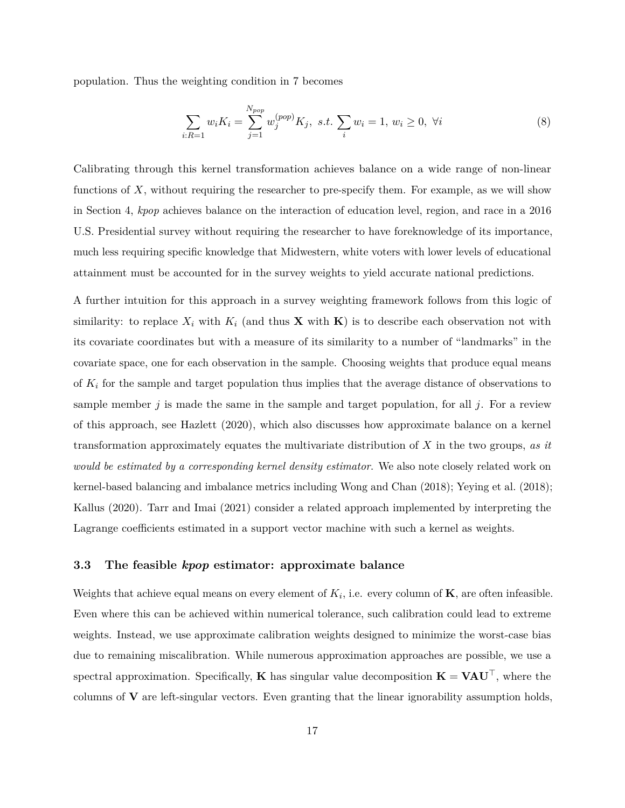population. Thus the weighting condition in [7](#page-16-0) becomes

$$
\sum_{i:R=1} w_i K_i = \sum_{j=1}^{N_{pop}} w_j^{(pop)} K_j, \ s.t. \ \sum_i w_i = 1, \ w_i \ge 0, \ \forall i
$$
 (8)

Calibrating through this kernel transformation achieves balance on a wide range of non-linear functions of *X*, without requiring the researcher to pre-specify them. For example, as we will show in Section [4,](#page-22-0) *kpop* achieves balance on the interaction of education level, region, and race in a 2016 U.S. Presidential survey without requiring the researcher to have foreknowledge of its importance, much less requiring specific knowledge that Midwestern, white voters with lower levels of educational attainment must be accounted for in the survey weights to yield accurate national predictions.

A further intuition for this approach in a survey weighting framework follows from this logic of similarity: to replace  $X_i$  with  $K_i$  (and thus **X** with **K**) is to describe each observation not with its covariate coordinates but with a measure of its similarity to a number of "landmarks" in the covariate space, one for each observation in the sample. Choosing weights that produce equal means of *K<sup>i</sup>* for the sample and target population thus implies that the average distance of observations to sample member  $j$  is made the same in the sample and target population, for all  $j$ . For a review of this approach, see [Hazlett](#page-32-5) [\(2020\)](#page-32-5), which also discusses how approximate balance on a kernel transformation approximately equates the multivariate distribution of *X* in the two groups, *as it would be estimated by a corresponding kernel density estimator*. We also note closely related work on kernel-based balancing and imbalance metrics including [Wong and Chan](#page-34-2) [\(2018\)](#page-34-2); [Yeying et al.](#page-34-3) [\(2018\)](#page-34-3); [Kallus](#page-32-6) [\(2020\)](#page-32-6). [Tarr and Imai](#page-34-4) [\(2021\)](#page-34-4) consider a related approach implemented by interpreting the Lagrange coefficients estimated in a support vector machine with such a kernel as weights.

### **3.3 The feasible** *kpop* **estimator: approximate balance**

Weights that achieve equal means on every element of  $K_i$ , i.e. every column of  $\mathbf{K}$ , are often infeasible. Even where this can be achieved within numerical tolerance, such calibration could lead to extreme weights. Instead, we use approximate calibration weights designed to minimize the worst-case bias due to remaining miscalibration. While numerous approximation approaches are possible, we use a spectral approximation. Specifically, **K** has singular value decomposition  $\mathbf{K} = \mathbf{V} \mathbf{A} \mathbf{U}^{\top}$ , where the columns of **V** are left-singular vectors. Even granting that the linear ignorability assumption holds,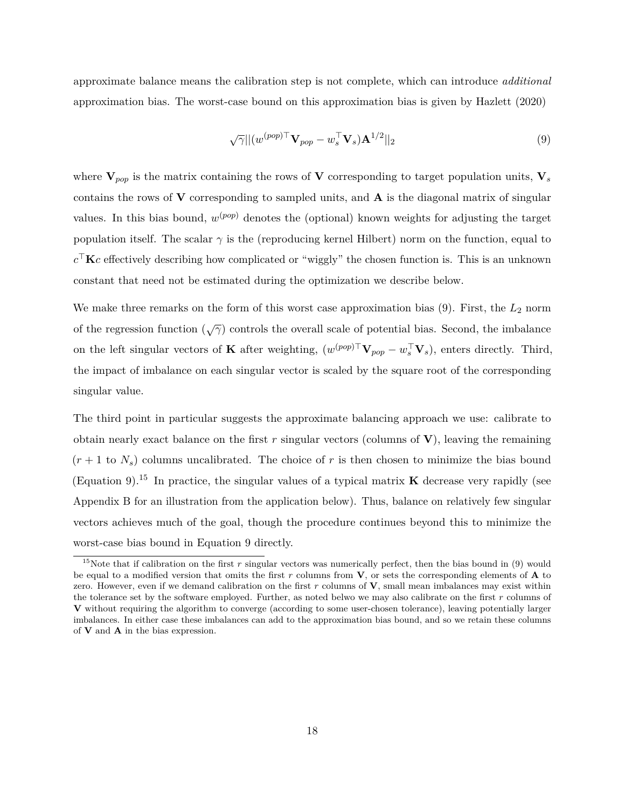approximate balance means the calibration step is not complete, which can introduce *additional* approximation bias. The worst-case bound on this approximation bias is given by [Hazlett](#page-32-5) [\(2020\)](#page-32-5)

<span id="page-18-0"></span>
$$
\sqrt{\gamma}|| (w^{(pop)\top} \mathbf{V}_{pop} - w_s^{\top} \mathbf{V}_s) \mathbf{A}^{1/2}||_2 \tag{9}
$$

where  $V_{pop}$  is the matrix containing the rows of V corresponding to target population units,  $V_s$ contains the rows of **V** corresponding to sampled units, and **A** is the diagonal matrix of singular values. In this bias bound,  $w^{(pop)}$  denotes the (optional) known weights for adjusting the target population itself. The scalar  $\gamma$  is the (reproducing kernel Hilbert) norm on the function, equal to  $c^{\top}$ **K***c* effectively describing how complicated or "wiggly" the chosen function is. This is an unknown constant that need not be estimated during the optimization we describe below.

We make three remarks on the form of this worst case approximation bias [\(9\)](#page-18-0). First, the  $L_2$  norm of the regression function (√*γ*) controls the overall scale of potential bias. Second, the imbalance on the left singular vectors of **K** after weighting,  $(w^{(pop)\top} \mathbf{V}_{pop} - w_s^{\top} \mathbf{V}_s)$ , enters directly. Third, the impact of imbalance on each singular vector is scaled by the square root of the corresponding singular value.

The third point in particular suggests the approximate balancing approach we use: calibrate to obtain nearly exact balance on the first *r* singular vectors (columns of **V**), leaving the remaining  $(r+1)$  to  $N_s$ ) columns uncalibrated. The choice of r is then chosen to minimize the bias bound (Equation [9\)](#page-18-0).[15](#page-0-0) In practice, the singular values of a typical matrix **K** decrease very rapidly (see Appendix [B](#page-39-0) for an illustration from the application below). Thus, balance on relatively few singular vectors achieves much of the goal, though the procedure continues beyond this to minimize the worst-case bias bound in Equation [9](#page-18-0) directly.

<sup>&</sup>lt;sup>15</sup>Note that if calibration on the first  $r$  singular vectors was numerically perfect, then the bias bound in [\(9\)](#page-18-0) would be equal to a modified version that omits the first *r* columns from **V**, or sets the corresponding elements of **A** to zero. However, even if we demand calibration on the first *r* columns of **V**, small mean imbalances may exist within the tolerance set by the software employed. Further, as noted belwo we may also calibrate on the first *r* columns of **V** without requiring the algorithm to converge (according to some user-chosen tolerance), leaving potentially larger imbalances. In either case these imbalances can add to the approximation bias bound, and so we retain these columns of **V** and **A** in the bias expression.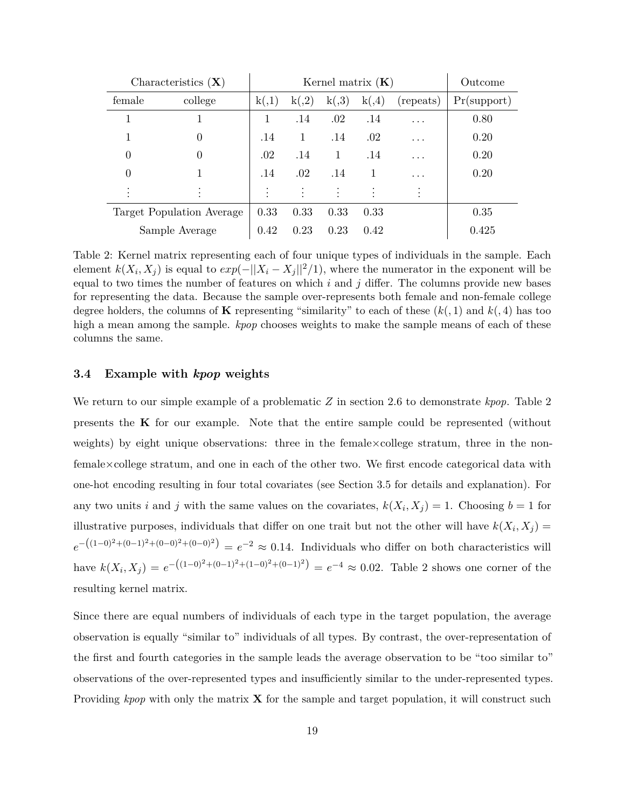<span id="page-19-0"></span>

|        | Characteristics $(X)$     |           | Kernel matrix $(K)$ | Outcome |        |           |             |
|--------|---------------------------|-----------|---------------------|---------|--------|-----------|-------------|
| female | college                   | k(0,1)    | k(0,2)              | k(0,3)  | k(0,4) | (repeats) | Pr(support) |
|        |                           |           | .14                 | .02     | .14    | .         | 0.80        |
|        | 0                         | .14       | 1                   | .14     | .02    | .         | 0.20        |
| 0      | $\Omega$                  | .02       | .14                 | 1       | .14    | .         | 0.20        |
| 0      |                           | .14       | .02                 | .14     | -1     | .         | 0.20        |
|        |                           | $\bullet$ |                     |         |        |           |             |
|        | Target Population Average | 0.33      | 0.33                | 0.33    | 0.33   |           | 0.35        |
|        | Sample Average            | 0.42      | 0.23                | 0.23    | 0.42   |           | 0.425       |

Table 2: Kernel matrix representing each of four unique types of individuals in the sample. Each element  $k(X_i, X_j)$  is equal to  $exp(-||X_i - X_j||^2/1)$ , where the numerator in the exponent will be equal to two times the number of features on which  $i$  and  $j$  differ. The columns provide new bases for representing the data. Because the sample over-represents both female and non-female college degree holders, the columns of **K** representing "similarity" to each of these  $(k, 1)$  and  $k(0, 4)$  has too high a mean among the sample. *kpop* chooses weights to make the sample means of each of these columns the same.

## **3.4 Example with** *kpop* **weights**

We return to our simple example of a problematic *Z* in section [2.6](#page-11-0) to demonstrate *kpop*. Table [2](#page-19-0) presents the **K** for our example. Note that the entire sample could be represented (without weights) by eight unique observations: three in the female $\times$ college stratum, three in the nonfemale×college stratum, and one in each of the other two. We first encode categorical data with one-hot encoding resulting in four total covariates (see Section [3.5](#page-20-0) for details and explanation). For any two units *i* and *j* with the same values on the covariates,  $k(X_i, X_j) = 1$ . Choosing  $b = 1$  for illustrative purposes, individuals that differ on one trait but not the other will have  $k(X_i, X_j) =$  $e^{-((1-0)^2 + (0-1)^2 + (0-0)^2 + (0-0)^2)} = e^{-2} \approx 0.14$ . Individuals who differ on both characteristics will have  $k(X_i, X_j) = e^{-((1-0)^2 + (0-1)^2 + (1-0)^2 + (0-1)^2)} = e^{-4} \approx 0.02$ . Table [2](#page-19-0) shows one corner of the resulting kernel matrix.

Since there are equal numbers of individuals of each type in the target population, the average observation is equally "similar to" individuals of all types. By contrast, the over-representation of the first and fourth categories in the sample leads the average observation to be "too similar to" observations of the over-represented types and insufficiently similar to the under-represented types. Providing *kpop* with only the matrix **X** for the sample and target population, it will construct such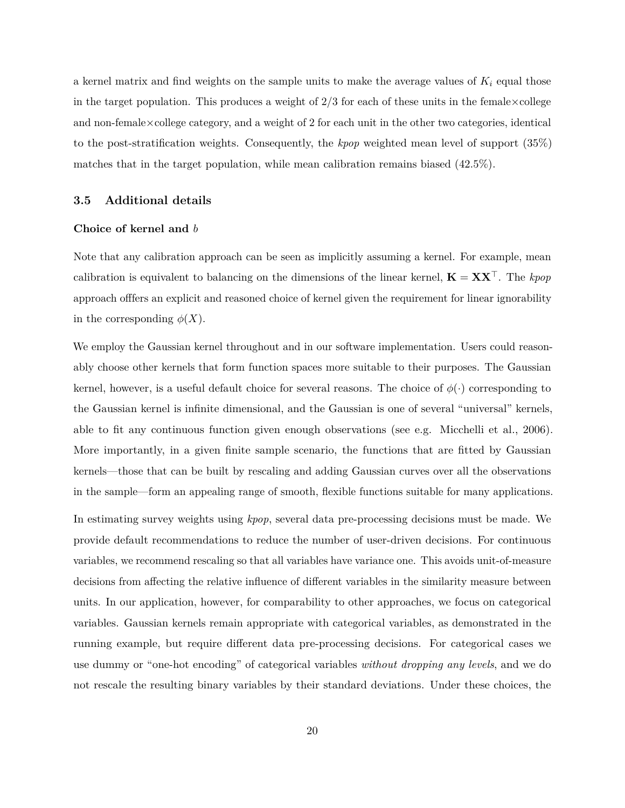a kernel matrix and find weights on the sample units to make the average values of  $K_i$  equal those in the target population. This produces a weight of  $2/3$  for each of these units in the female  $\times$ college and non-female $\times$ college category, and a weight of 2 for each unit in the other two categories, identical to the post-stratification weights. Consequently, the *kpop* weighted mean level of support (35%) matches that in the target population, while mean calibration remains biased (42.5%).

#### <span id="page-20-0"></span>**3.5 Additional details**

#### **Choice of kernel and** *b*

Note that any calibration approach can be seen as implicitly assuming a kernel. For example, mean calibration is equivalent to balancing on the dimensions of the linear kernel,  $\mathbf{K} = \mathbf{X}\mathbf{X}^{\top}$ . The *kpop* approach offfers an explicit and reasoned choice of kernel given the requirement for linear ignorability in the corresponding  $\phi(X)$ .

We employ the Gaussian kernel throughout and in our software implementation. Users could reasonably choose other kernels that form function spaces more suitable to their purposes. The Gaussian kernel, however, is a useful default choice for several reasons. The choice of  $\phi(\cdot)$  corresponding to the Gaussian kernel is infinite dimensional, and the Gaussian is one of several "universal" kernels, able to fit any continuous function given enough observations (see e.g. [Micchelli et al., 2006\)](#page-33-8). More importantly, in a given finite sample scenario, the functions that are fitted by Gaussian kernels—those that can be built by rescaling and adding Gaussian curves over all the observations in the sample—form an appealing range of smooth, flexible functions suitable for many applications.

In estimating survey weights using *kpop*, several data pre-processing decisions must be made. We provide default recommendations to reduce the number of user-driven decisions. For continuous variables, we recommend rescaling so that all variables have variance one. This avoids unit-of-measure decisions from affecting the relative influence of different variables in the similarity measure between units. In our application, however, for comparability to other approaches, we focus on categorical variables. Gaussian kernels remain appropriate with categorical variables, as demonstrated in the running example, but require different data pre-processing decisions. For categorical cases we use dummy or "one-hot encoding" of categorical variables *without dropping any levels*, and we do not rescale the resulting binary variables by their standard deviations. Under these choices, the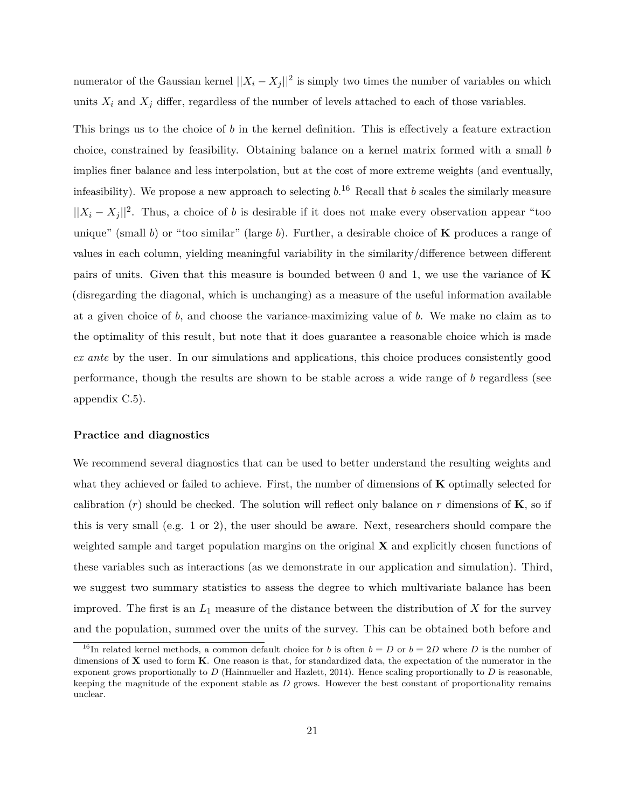numerator of the Gaussian kernel  $||X_i - X_j||^2$  is simply two times the number of variables on which units  $X_i$  and  $X_j$  differ, regardless of the number of levels attached to each of those variables.

This brings us to the choice of *b* in the kernel definition. This is effectively a feature extraction choice, constrained by feasibility. Obtaining balance on a kernel matrix formed with a small *b* implies finer balance and less interpolation, but at the cost of more extreme weights (and eventually, infeasibility). We propose a new approach to selecting *b*. [16](#page-0-0) Recall that *b* scales the similarly measure  $||X_i - X_j||^2$ . Thus, a choice of *b* is desirable if it does not make every observation appear "too" unique" (small *b*) or "too similar" (large *b*). Further, a desirable choice of **K** produces a range of values in each column, yielding meaningful variability in the similarity/difference between different pairs of units. Given that this measure is bounded between 0 and 1, we use the variance of **K** (disregarding the diagonal, which is unchanging) as a measure of the useful information available at a given choice of *b*, and choose the variance-maximizing value of *b*. We make no claim as to the optimality of this result, but note that it does guarantee a reasonable choice which is made *ex ante* by the user. In our simulations and applications, this choice produces consistently good performance, though the results are shown to be stable across a wide range of *b* regardless (see appendix [C.5\)](#page-47-0).

#### **Practice and diagnostics**

We recommend several diagnostics that can be used to better understand the resulting weights and what they achieved or failed to achieve. First, the number of dimensions of **K** optimally selected for calibration  $(r)$  should be checked. The solution will reflect only balance on  $r$  dimensions of **K**, so if this is very small (e.g. 1 or 2), the user should be aware. Next, researchers should compare the weighted sample and target population margins on the original **X** and explicitly chosen functions of these variables such as interactions (as we demonstrate in our application and simulation). Third, we suggest two summary statistics to assess the degree to which multivariate balance has been improved. The first is an  $L_1$  measure of the distance between the distribution of  $X$  for the survey and the population, summed over the units of the survey. This can be obtained both before and

<sup>&</sup>lt;sup>16</sup>In related kernel methods, a common default choice for *b* is often  $b = D$  or  $b = 2D$  where *D* is the number of dimensions of **X** used to form **K**. One reason is that, for standardized data, the expectation of the numerator in the exponent grows proportionally to *D* [\(Hainmueller and Hazlett, 2014\)](#page-32-10). Hence scaling proportionally to *D* is reasonable, keeping the magnitude of the exponent stable as *D* grows. However the best constant of proportionality remains unclear.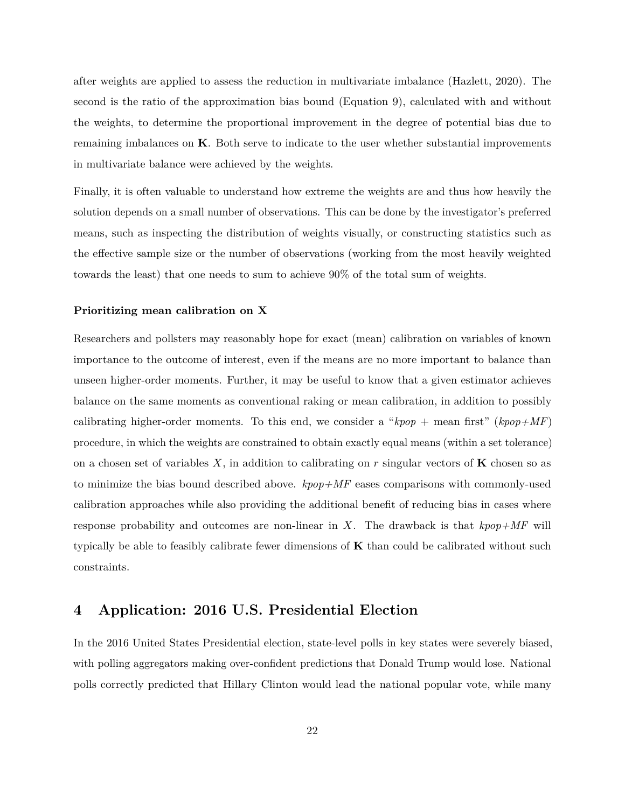after weights are applied to assess the reduction in multivariate imbalance [\(Hazlett, 2020\)](#page-32-5). The second is the ratio of the approximation bias bound (Equation [9\)](#page-18-0), calculated with and without the weights, to determine the proportional improvement in the degree of potential bias due to remaining imbalances on **K**. Both serve to indicate to the user whether substantial improvements in multivariate balance were achieved by the weights.

Finally, it is often valuable to understand how extreme the weights are and thus how heavily the solution depends on a small number of observations. This can be done by the investigator's preferred means, such as inspecting the distribution of weights visually, or constructing statistics such as the effective sample size or the number of observations (working from the most heavily weighted towards the least) that one needs to sum to achieve 90% of the total sum of weights.

#### **Prioritizing mean calibration on X**

Researchers and pollsters may reasonably hope for exact (mean) calibration on variables of known importance to the outcome of interest, even if the means are no more important to balance than unseen higher-order moments. Further, it may be useful to know that a given estimator achieves balance on the same moments as conventional raking or mean calibration, in addition to possibly calibrating higher-order moments. To this end, we consider a " $kpop + \text{mean first}$ " ( $kpop+MF$ ) procedure, in which the weights are constrained to obtain exactly equal means (within a set tolerance) on a chosen set of variables  $X$ , in addition to calibrating on  $r$  singular vectors of  $\bf{K}$  chosen so as to minimize the bias bound described above. *kpop+MF* eases comparisons with commonly-used calibration approaches while also providing the additional benefit of reducing bias in cases where response probability and outcomes are non-linear in *X*. The drawback is that *kpop+MF* will typically be able to feasibly calibrate fewer dimensions of **K** than could be calibrated without such constraints.

## <span id="page-22-0"></span>**4 Application: 2016 U.S. Presidential Election**

In the 2016 United States Presidential election, state-level polls in key states were severely biased, with polling aggregators making over-confident predictions that Donald Trump would lose. National polls correctly predicted that Hillary Clinton would lead the national popular vote, while many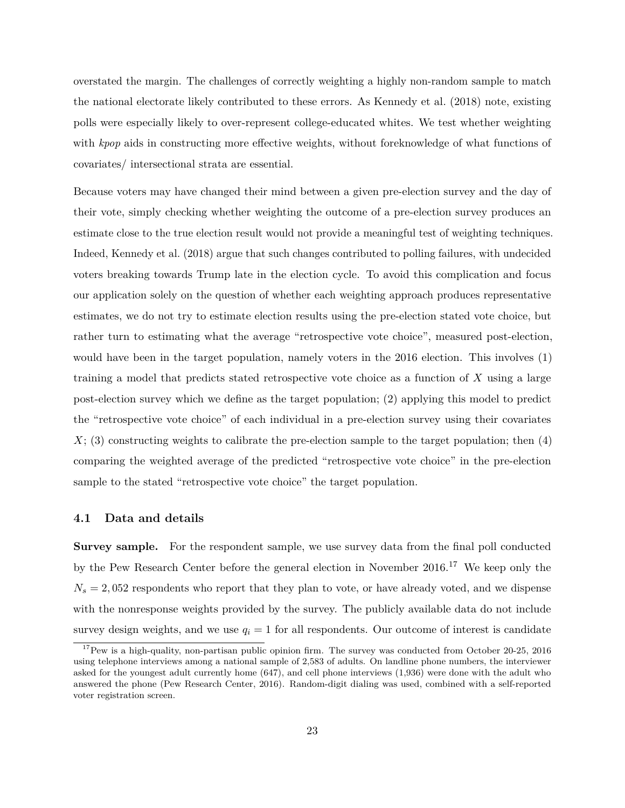overstated the margin. The challenges of correctly weighting a highly non-random sample to match the national electorate likely contributed to these errors. As [Kennedy et al.](#page-33-2) [\(2018\)](#page-33-2) note, existing polls were especially likely to over-represent college-educated whites. We test whether weighting with *kpop* aids in constructing more effective weights, without foreknowledge of what functions of covariates/ intersectional strata are essential.

Because voters may have changed their mind between a given pre-election survey and the day of their vote, simply checking whether weighting the outcome of a pre-election survey produces an estimate close to the true election result would not provide a meaningful test of weighting techniques. Indeed, [Kennedy et al.](#page-33-2) [\(2018\)](#page-33-2) argue that such changes contributed to polling failures, with undecided voters breaking towards Trump late in the election cycle. To avoid this complication and focus our application solely on the question of whether each weighting approach produces representative estimates, we do not try to estimate election results using the pre-election stated vote choice, but rather turn to estimating what the average "retrospective vote choice", measured post-election, would have been in the target population, namely voters in the 2016 election. This involves (1) training a model that predicts stated retrospective vote choice as a function of *X* using a large post-election survey which we define as the target population; (2) applying this model to predict the "retrospective vote choice" of each individual in a pre-election survey using their covariates *X*; (3) constructing weights to calibrate the pre-election sample to the target population; then (4) comparing the weighted average of the predicted "retrospective vote choice" in the pre-election sample to the stated "retrospective vote choice" the target population.

#### <span id="page-23-0"></span>**4.1 Data and details**

**Survey sample.** For the respondent sample, we use survey data from the final poll conducted by the Pew Research Center before the general election in November 2016.[17](#page-0-0) We keep only the  $N_s = 2,052$  respondents who report that they plan to vote, or have already voted, and we dispense with the nonresponse weights provided by the survey. The publicly available data do not include survey design weights, and we use  $q_i = 1$  for all respondents. Our outcome of interest is candidate

<sup>&</sup>lt;sup>17</sup>Pew is a high-quality, non-partisan public opinion firm. The survey was conducted from October 20-25, 2016 using telephone interviews among a national sample of 2,583 of adults. On landline phone numbers, the interviewer asked for the youngest adult currently home (647), and cell phone interviews (1,936) were done with the adult who answered the phone [\(Pew Research Center, 2016\)](#page-33-9). Random-digit dialing was used, combined with a self-reported voter registration screen.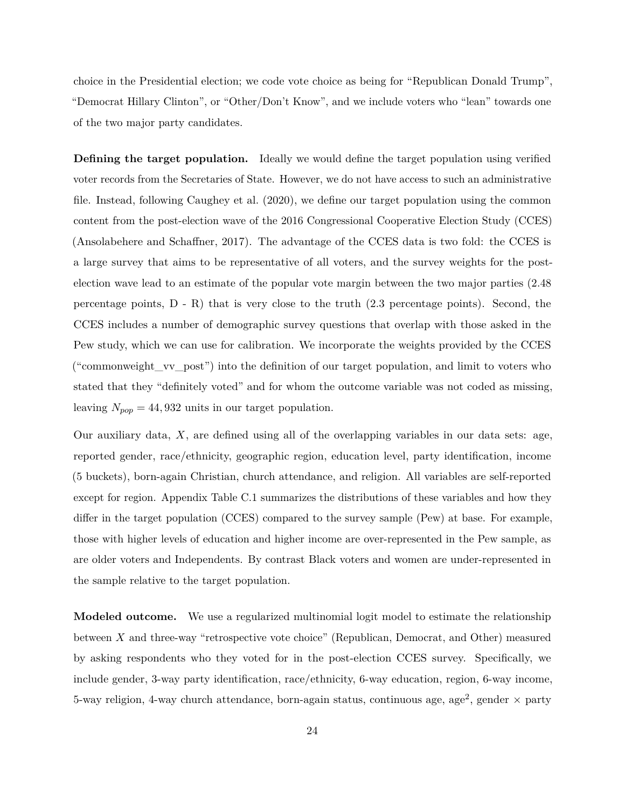choice in the Presidential election; we code vote choice as being for "Republican Donald Trump", "Democrat Hillary Clinton", or "Other/Don't Know", and we include voters who "lean" towards one of the two major party candidates.

**Defining the target population.** Ideally we would define the target population using verified voter records from the Secretaries of State. However, we do not have access to such an administrative file. Instead, following [Caughey et al.](#page-32-8) [\(2020\)](#page-32-8), we define our target population using the common content from the post-election wave of the 2016 Congressional Cooperative Election Study (CCES) [\(Ansolabehere and Schaffner, 2017\)](#page-31-0). The advantage of the CCES data is two fold: the CCES is a large survey that aims to be representative of all voters, and the survey weights for the postelection wave lead to an estimate of the popular vote margin between the two major parties (2.48 percentage points,  $D - R$ ) that is very close to the truth  $(2.3$  percentage points). Second, the CCES includes a number of demographic survey questions that overlap with those asked in the Pew study, which we can use for calibration. We incorporate the weights provided by the CCES ("commonweight\_vv\_post") into the definition of our target population, and limit to voters who stated that they "definitely voted" and for whom the outcome variable was not coded as missing, leaving  $N_{pop} = 44,932$  units in our target population.

Our auxiliary data, *X*, are defined using all of the overlapping variables in our data sets: age, reported gender, race/ethnicity, geographic region, education level, party identification, income (5 buckets), born-again Christian, church attendance, and religion. All variables are self-reported except for region. Appendix Table [C.1](#page-40-0) summarizes the distributions of these variables and how they differ in the target population (CCES) compared to the survey sample (Pew) at base. For example, those with higher levels of education and higher income are over-represented in the Pew sample, as are older voters and Independents. By contrast Black voters and women are under-represented in the sample relative to the target population.

**Modeled outcome.** We use a regularized multinomial logit model to estimate the relationship between *X* and three-way "retrospective vote choice" (Republican, Democrat, and Other) measured by asking respondents who they voted for in the post-election CCES survey. Specifically, we include gender, 3-way party identification, race/ethnicity, 6-way education, region, 6-way income, 5-way religion, 4-way church attendance, born-again status, continuous age, age<sup>2</sup>, gender  $\times$  party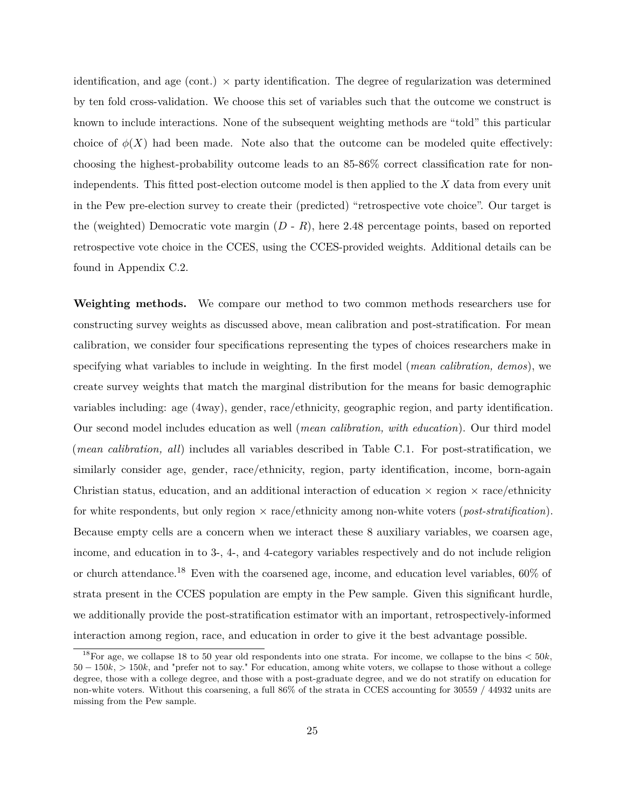identification, and age (cont.)  $\times$  party identification. The degree of regularization was determined by ten fold cross-validation. We choose this set of variables such that the outcome we construct is known to include interactions. None of the subsequent weighting methods are "told" this particular choice of  $\phi(X)$  had been made. Note also that the outcome can be modeled quite effectively: choosing the highest-probability outcome leads to an 85-86% correct classification rate for nonindependents. This fitted post-election outcome model is then applied to the *X* data from every unit in the Pew pre-election survey to create their (predicted) "retrospective vote choice". Our target is the (weighted) Democratic vote margin (*D* - *R*), here 2.48 percentage points, based on reported retrospective vote choice in the CCES, using the CCES-provided weights. Additional details can be found in Appendix [C.2.](#page-42-0)

**Weighting methods.** We compare our method to two common methods researchers use for constructing survey weights as discussed above, mean calibration and post-stratification. For mean calibration, we consider four specifications representing the types of choices researchers make in specifying what variables to include in weighting. In the first model (*mean calibration, demos*), we create survey weights that match the marginal distribution for the means for basic demographic variables including: age (4way), gender, race/ethnicity, geographic region, and party identification. Our second model includes education as well (*mean calibration, with education*). Our third model (*mean calibration, all*) includes all variables described in Table [C.1.](#page-40-0) For post-stratification, we similarly consider age, gender, race/ethnicity, region, party identification, income, born-again Christian status, education, and an additional interaction of education  $\times$  region  $\times$  race/ethnicity for white respondents, but only region × race/ethnicity among non-white voters (*post-stratification*). Because empty cells are a concern when we interact these 8 auxiliary variables, we coarsen age, income, and education in to 3-, 4-, and 4-category variables respectively and do not include religion or church attendance.[18](#page-0-0) Even with the coarsened age, income, and education level variables, 60% of strata present in the CCES population are empty in the Pew sample. Given this significant hurdle, we additionally provide the post-stratification estimator with an important, retrospectively-informed interaction among region, race, and education in order to give it the best advantage possible.

<sup>&</sup>lt;sup>18</sup>For age, we collapse 18 to 50 year old respondents into one strata. For income, we collapse to the bins  $<$  50 $k$ , 50 − 150*k*, *>* 150*k*, and "prefer not to say." For education, among white voters, we collapse to those without a college degree, those with a college degree, and those with a post-graduate degree, and we do not stratify on education for non-white voters. Without this coarsening, a full 86% of the strata in CCES accounting for 30559 / 44932 units are missing from the Pew sample.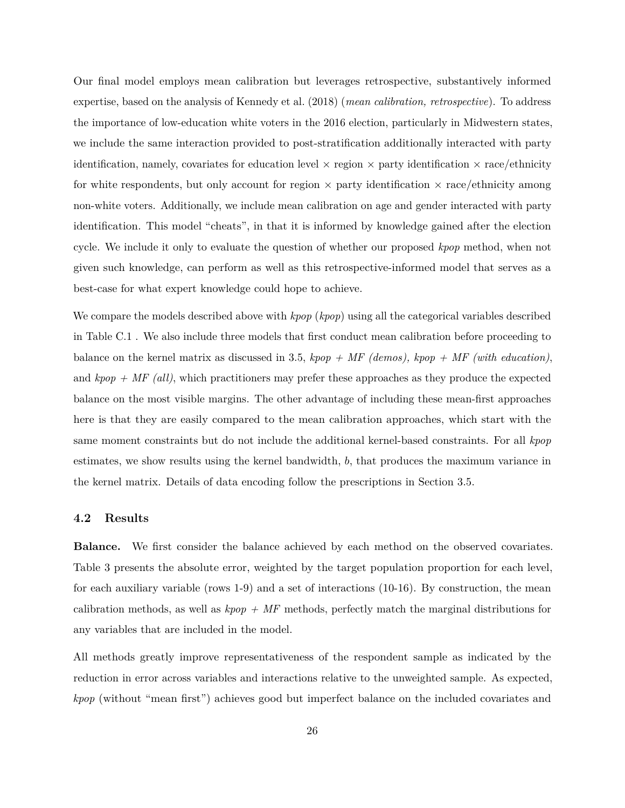Our final model employs mean calibration but leverages retrospective, substantively informed expertise, based on the analysis of [Kennedy et al.](#page-33-2) [\(2018\)](#page-33-2) (*mean calibration, retrospective*). To address the importance of low-education white voters in the 2016 election, particularly in Midwestern states, we include the same interaction provided to post-stratification additionally interacted with party identification, namely, covariates for education level  $\times$  region  $\times$  party identification  $\times$  race/ethnicity for white respondents, but only account for region  $\times$  party identification  $\times$  race/ethnicity among non-white voters. Additionally, we include mean calibration on age and gender interacted with party identification. This model "cheats", in that it is informed by knowledge gained after the election cycle. We include it only to evaluate the question of whether our proposed *kpop* method, when not given such knowledge, can perform as well as this retrospective-informed model that serves as a best-case for what expert knowledge could hope to achieve.

We compare the models described above with *kpop* (*kpop*) using all the categorical variables described in Table [C.1](#page-40-0) . We also include three models that first conduct mean calibration before proceeding to balance on the kernel matrix as discussed in [3.5,](#page-20-0) *kpop + MF (demos), kpop + MF (with education)*, and  $kpop + MF$  (all), which practitioners may prefer these approaches as they produce the expected balance on the most visible margins. The other advantage of including these mean-first approaches here is that they are easily compared to the mean calibration approaches, which start with the same moment constraints but do not include the additional kernel-based constraints. For all *kpop* estimates, we show results using the kernel bandwidth, *b*, that produces the maximum variance in the kernel matrix. Details of data encoding follow the prescriptions in Section [3.5.](#page-20-0)

## **4.2 Results**

**Balance.** We first consider the balance achieved by each method on the observed covariates. Table [3](#page-27-0) presents the absolute error, weighted by the target population proportion for each level, for each auxiliary variable (rows 1-9) and a set of interactions (10-16). By construction, the mean calibration methods, as well as *kpop + MF* methods, perfectly match the marginal distributions for any variables that are included in the model.

All methods greatly improve representativeness of the respondent sample as indicated by the reduction in error across variables and interactions relative to the unweighted sample. As expected, *kpop* (without "mean first") achieves good but imperfect balance on the included covariates and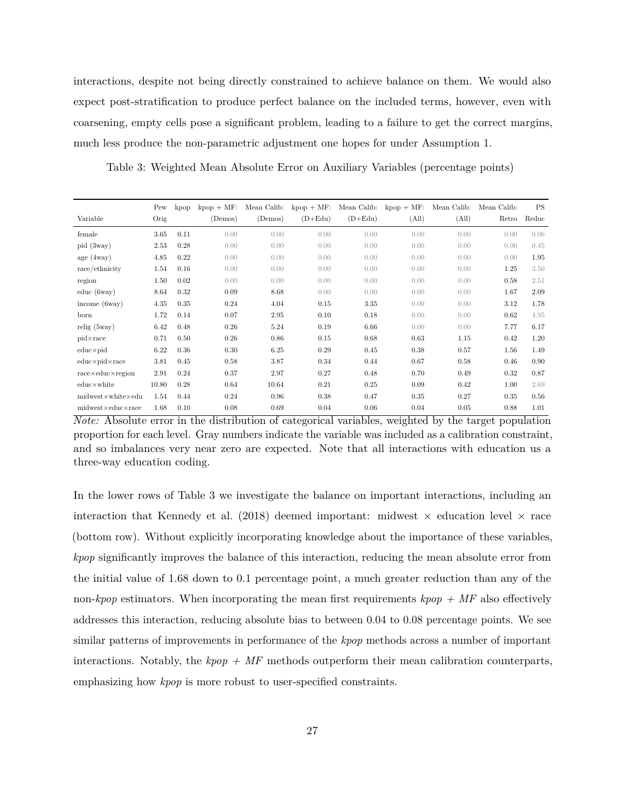interactions, despite not being directly constrained to achieve balance on them. We would also expect post-stratification to produce perfect balance on the included terms, however, even with coarsening, empty cells pose a significant problem, leading to a failure to get the correct margins, much less produce the non-parametric adjustment one hopes for under Assumption [1.](#page-6-0)

<span id="page-27-0"></span>Table 3: Weighted Mean Absolute Error on Auxiliary Variables (percentage points)

|                                  | Pew   | kpop | $kpop + MF$ | Mean Calib: | $kpop + MF$ | Mean Calib: | $kpop + MF$ : | Mean Calib: | Mean Calib: | <b>PS</b> |
|----------------------------------|-------|------|-------------|-------------|-------------|-------------|---------------|-------------|-------------|-----------|
| Variable                         | Orig  |      | (Demos)     | (Demos)     | $(D+Edu)$   | $(D+Edu)$   | (All)         | (All)       | Retro       | Reduc     |
| female                           | 3.65  | 0.11 | 0.00        | 0.00        | 0.00        | 0.00        | 0.00          | 0.00        | 0.00        | 0.06      |
| pid (3way)                       | 2.53  | 0.28 | 0.00        | 0.00        | 0.00        | 0.00        | 0.00          | 0.00        | 0.00        | 0.45      |
| age(4way)                        | 4.85  | 0.22 | 0.00        | 0.00        | 0.00        | 0.00        | 0.00          | 0.00        | 0.00        | 1.95      |
| race/ethnicity                   | 1.54  | 0.16 | 0.00        | 0.00        | 0.00        | 0.00        | 0.00          | 0.00        | 1.25        | 3.50      |
| region                           | 1.50  | 0.02 | 0.00        | 0.00        | 0.00        | 0.00        | 0.00          | 0.00        | 0.58        | 2.51      |
| $educ$ (6way)                    | 8.64  | 0.32 | 0.09        | 8.68        | 0.00        | 0.00        | 0.00          | 0.00        | 1.67        | 2.09      |
| income $(6way)$                  | 4.35  | 0.35 | 0.24        | 4.04        | 0.15        | 3.35        | 0.00          | 0.00        | 3.12        | 1.78      |
| born                             | 1.72  | 0.14 | 0.07        | 2.95        | 0.10        | 0.18        | 0.00          | 0.00        | 0.62        | 4.95      |
| relig(5way)                      | 6.42  | 0.48 | 0.26        | 5.24        | 0.19        | 6.66        | 0.00          | 0.00        | 7.77        | 6.17      |
| $pid \times race$                | 0.71  | 0.50 | 0.26        | 0.86        | 0.15        | 0.68        | 0.63          | 1.15        | 0.42        | 1.20      |
| $educ \times pid$                | 6.22  | 0.36 | 0.30        | 6.25        | 0.29        | 0.45        | 0.38          | 0.57        | 1.56        | 1.49      |
| $educ \times pid \times race$    | 3.81  | 0.45 | 0.58        | 3.87        | 0.34        | 0.44        | 0.67          | 0.58        | 0.46        | 0.90      |
| $race \times educ \times region$ | 2.91  | 0.24 | 0.37        | 2.97        | 0.27        | 0.48        | 0.70          | 0.49        | 0.32        | 0.87      |
| $educ \times white$              | 10.80 | 0.28 | 0.64        | 10.64       | 0.21        | 0.25        | 0.09          | 0.42        | 1.00        | 2.69      |
| $midx$ white $\times$ edu        | 1.54  | 0.44 | 0.24        | 0.96        | 0.38        | 0.47        | 0.35          | 0.27        | 0.35        | 0.56      |
| $midx$ educ $\times$ race        | 1.68  | 0.10 | 0.08        | 0.69        | 0.04        | 0.06        | 0.04          | 0.05        | 0.88        | 1.01      |

*Note:* Absolute error in the distribution of categorical variables, weighted by the target population proportion for each level. Gray numbers indicate the variable was included as a calibration constraint, and so imbalances very near zero are expected. Note that all interactions with education us a three-way education coding.

In the lower rows of Table [3](#page-27-0) we investigate the balance on important interactions, including an interaction that [Kennedy et al.](#page-33-2) [\(2018\)](#page-33-2) deemed important: midwest  $\times$  education level  $\times$  race (bottom row). Without explicitly incorporating knowledge about the importance of these variables, *kpop* significantly improves the balance of this interaction, reducing the mean absolute error from the initial value of 1.68 down to 0.1 percentage point, a much greater reduction than any of the non-*kpop* estimators. When incorporating the mean first requirements *kpop + MF* also effectively addresses this interaction, reducing absolute bias to between 0.04 to 0.08 percentage points. We see similar patterns of improvements in performance of the *kpop* methods across a number of important interactions. Notably, the  $kpop + MF$  methods outperform their mean calibration counterparts, emphasizing how *kpop* is more robust to user-specified constraints.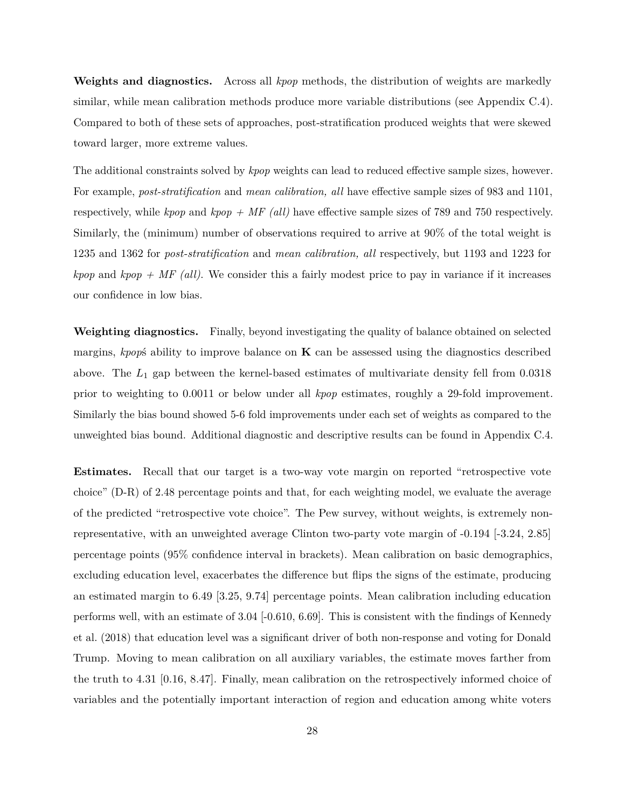**Weights and diagnostics.** Across all *kpop* methods, the distribution of weights are markedly similar, while mean calibration methods produce more variable distributions (see Appendix [C.4\)](#page-44-0). Compared to both of these sets of approaches, post-stratification produced weights that were skewed toward larger, more extreme values.

The additional constraints solved by *kpop* weights can lead to reduced effective sample sizes, however. For example, *post-stratification* and *mean calibration, all* have effective sample sizes of 983 and 1101, respectively, while *kpop* and *kpop + MF (all)* have effective sample sizes of 789 and 750 respectively. Similarly, the (minimum) number of observations required to arrive at 90% of the total weight is 1235 and 1362 for *post-stratification* and *mean calibration, all* respectively, but 1193 and 1223 for *kpop* and *kpop + MF (all)*. We consider this a fairly modest price to pay in variance if it increases our confidence in low bias.

**Weighting diagnostics.** Finally, beyond investigating the quality of balance obtained on selected margins, *kpop*ś ability to improve balance on **K** can be assessed using the diagnostics described above. The *L*<sup>1</sup> gap between the kernel-based estimates of multivariate density fell from 0.0318 prior to weighting to 0.0011 or below under all *kpop* estimates, roughly a 29-fold improvement. Similarly the bias bound showed 5-6 fold improvements under each set of weights as compared to the unweighted bias bound. Additional diagnostic and descriptive results can be found in Appendix [C.4.](#page-44-0)

**Estimates.** Recall that our target is a two-way vote margin on reported "retrospective vote choice" (D-R) of 2.48 percentage points and that, for each weighting model, we evaluate the average of the predicted "retrospective vote choice". The Pew survey, without weights, is extremely nonrepresentative, with an unweighted average Clinton two-party vote margin of -0.194 [-3.24, 2.85] percentage points (95% confidence interval in brackets). Mean calibration on basic demographics, excluding education level, exacerbates the difference but flips the signs of the estimate, producing an estimated margin to 6.49 [3.25, 9.74] percentage points. Mean calibration including education performs well, with an estimate of 3.04 [-0.610, 6.69]. This is consistent with the findings of [Kennedy](#page-33-2) [et al.](#page-33-2) [\(2018\)](#page-33-2) that education level was a significant driver of both non-response and voting for Donald Trump. Moving to mean calibration on all auxiliary variables, the estimate moves farther from the truth to 4.31 [0.16, 8.47]. Finally, mean calibration on the retrospectively informed choice of variables and the potentially important interaction of region and education among white voters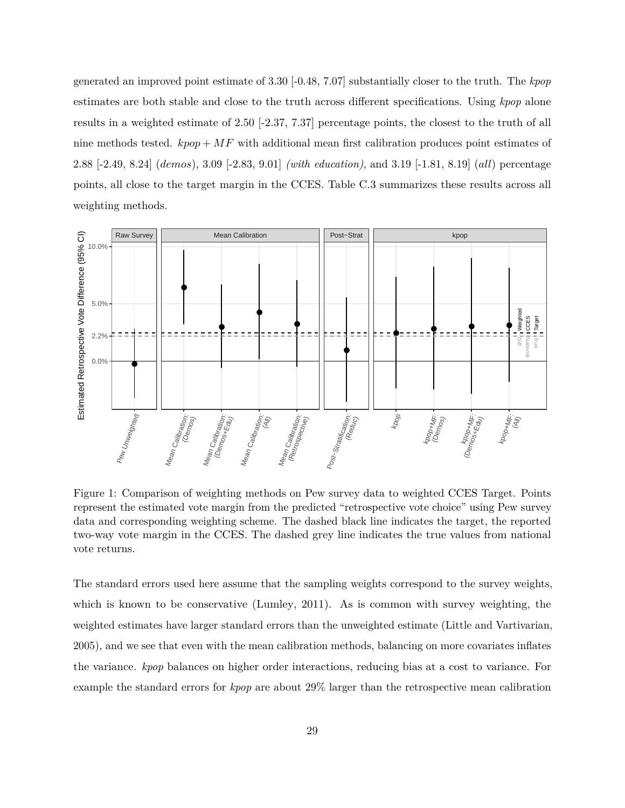generated an improved point estimate of 3.30 [-0.48, 7.07] substantially closer to the truth. The *kpop* estimates are both stable and close to the truth across different specifications. Using *kpop* alone results in a weighted estimate of 2.50 [-2.37, 7.37] percentage points, the closest to the truth of all nine methods tested.  $kpop + MF$  with additional mean first calibration produces point estimates of 2.88 [-2.49, 8.24] (*demos*), 3.09 [-2.83, 9.01] *(with education)*, and 3.19 [-1.81, 8.19] (*all*) percentage points, all close to the target margin in the CCES. Table [C.3](#page-43-0) summarizes these results across all weighting methods.



Figure 1: Comparison of weighting methods on Pew survey data to weighted CCES Target. Points represent the estimated vote margin from the predicted "retrospective vote choice" using Pew survey data and corresponding weighting scheme. The dashed black line indicates the target, the reported two-way vote margin in the CCES. The dashed grey line indicates the true values from national vote returns.

The standard errors used here assume that the sampling weights correspond to the survey weights, which is known to be conservative [\(Lumley, 2011\)](#page-33-10). As is common with survey weighting, the weighted estimates have larger standard errors than the unweighted estimate [\(Little and Vartivarian,](#page-33-11) [2005\)](#page-33-11), and we see that even with the mean calibration methods, balancing on more covariates inflates the variance. *kpop* balances on higher order interactions, reducing bias at a cost to variance. For example the standard errors for *kpop* are about 29% larger than the retrospective mean calibration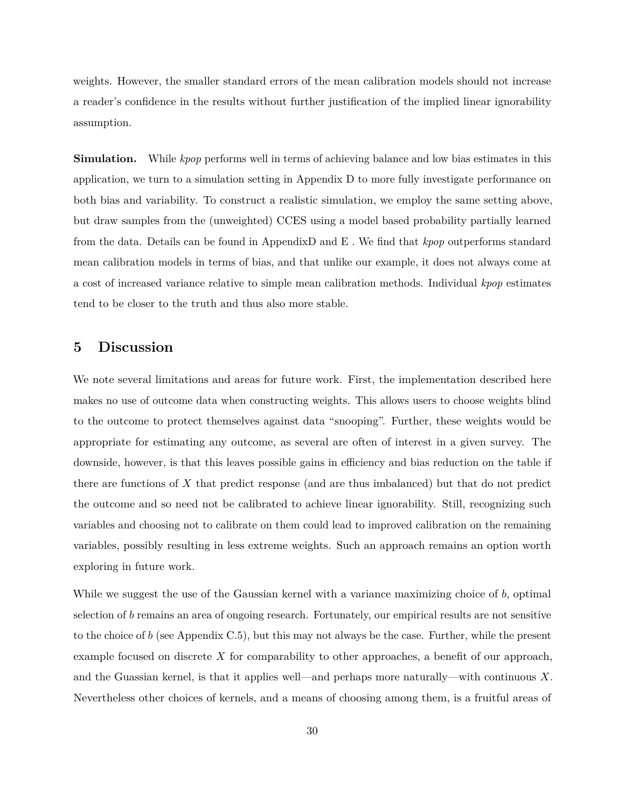weights. However, the smaller standard errors of the mean calibration models should not increase a reader's confidence in the results without further justification of the implied linear ignorability assumption.

**Simulation.** While *kpop* performs well in terms of achieving balance and low bias estimates in this application, we turn to a simulation setting in Appendix [D](#page-48-0) to more fully investigate performance on both bias and variability. To construct a realistic simulation, we employ the same setting above, but draw samples from the (unweighted) CCES using a model based probability partially learned from the data. Details can be found in Appendi[xD](#page-48-0) and [E](#page-51-0) . We find that *kpop* outperforms standard mean calibration models in terms of bias, and that unlike our example, it does not always come at a cost of increased variance relative to simple mean calibration methods. Individual *kpop* estimates tend to be closer to the truth and thus also more stable.

## <span id="page-30-0"></span>**5 Discussion**

We note several limitations and areas for future work. First, the implementation described here makes no use of outcome data when constructing weights. This allows users to choose weights blind to the outcome to protect themselves against data "snooping". Further, these weights would be appropriate for estimating any outcome, as several are often of interest in a given survey. The downside, however, is that this leaves possible gains in efficiency and bias reduction on the table if there are functions of *X* that predict response (and are thus imbalanced) but that do not predict the outcome and so need not be calibrated to achieve linear ignorability. Still, recognizing such variables and choosing not to calibrate on them could lead to improved calibration on the remaining variables, possibly resulting in less extreme weights. Such an approach remains an option worth exploring in future work.

While we suggest the use of the Gaussian kernel with a variance maximizing choice of *b*, optimal selection of *b* remains an area of ongoing research. Fortunately, our empirical results are not sensitive to the choice of *b* (see Appendix [C.5\)](#page-47-0), but this may not always be the case. Further, while the present example focused on discrete X for comparability to other approaches, a benefit of our approach, and the Guassian kernel, is that it applies well—and perhaps more naturally—with continuous *X*. Nevertheless other choices of kernels, and a means of choosing among them, is a fruitful areas of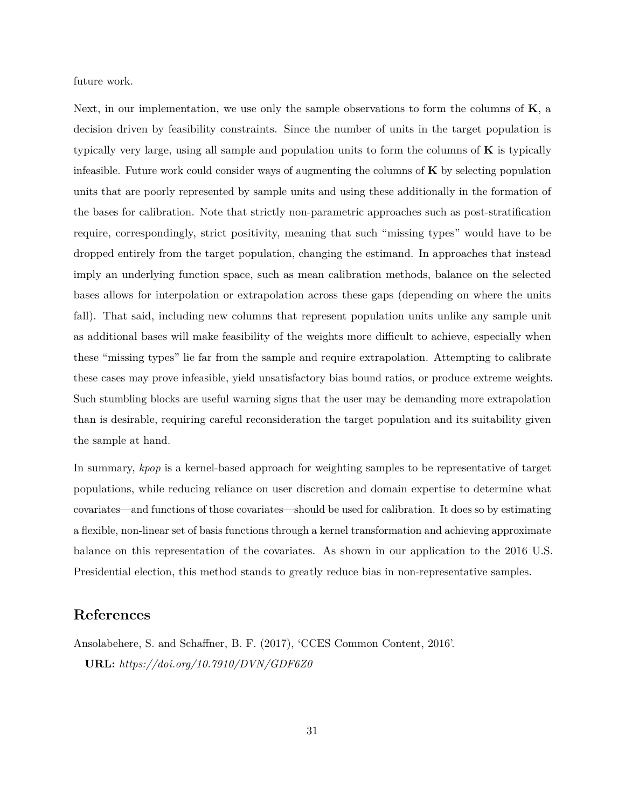future work.

Next, in our implementation, we use only the sample observations to form the columns of **K**, a decision driven by feasibility constraints. Since the number of units in the target population is typically very large, using all sample and population units to form the columns of **K** is typically infeasible. Future work could consider ways of augmenting the columns of **K** by selecting population units that are poorly represented by sample units and using these additionally in the formation of the bases for calibration. Note that strictly non-parametric approaches such as post-stratification require, correspondingly, strict positivity, meaning that such "missing types" would have to be dropped entirely from the target population, changing the estimand. In approaches that instead imply an underlying function space, such as mean calibration methods, balance on the selected bases allows for interpolation or extrapolation across these gaps (depending on where the units fall). That said, including new columns that represent population units unlike any sample unit as additional bases will make feasibility of the weights more difficult to achieve, especially when these "missing types" lie far from the sample and require extrapolation. Attempting to calibrate these cases may prove infeasible, yield unsatisfactory bias bound ratios, or produce extreme weights. Such stumbling blocks are useful warning signs that the user may be demanding more extrapolation than is desirable, requiring careful reconsideration the target population and its suitability given the sample at hand.

In summary, *kpop* is a kernel-based approach for weighting samples to be representative of target populations, while reducing reliance on user discretion and domain expertise to determine what covariates—and functions of those covariates—should be used for calibration. It does so by estimating a flexible, non-linear set of basis functions through a kernel transformation and achieving approximate balance on this representation of the covariates. As shown in our application to the 2016 U.S. Presidential election, this method stands to greatly reduce bias in non-representative samples.

# **References**

<span id="page-31-0"></span>Ansolabehere, S. and Schaffner, B. F. (2017), 'CCES Common Content, 2016'. **URL:** *https://doi.org/10.7910/DVN/GDF6Z0*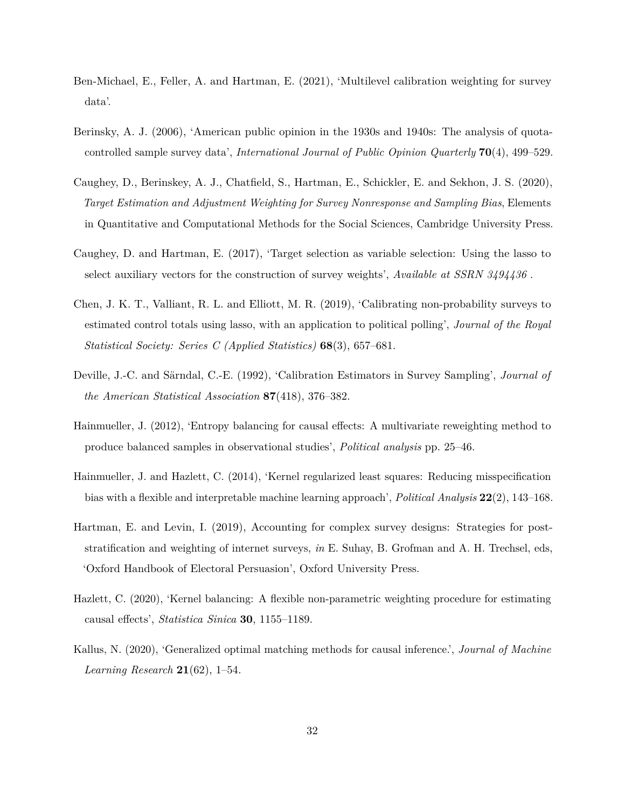- <span id="page-32-2"></span>Ben-Michael, E., Feller, A. and Hartman, E. (2021), 'Multilevel calibration weighting for survey data'.
- <span id="page-32-0"></span>Berinsky, A. J. (2006), 'American public opinion in the 1930s and 1940s: The analysis of quotacontrolled sample survey data', *International Journal of Public Opinion Quarterly* **70**(4), 499–529.
- <span id="page-32-8"></span>Caughey, D., Berinskey, A. J., Chatfield, S., Hartman, E., Schickler, E. and Sekhon, J. S. (2020), *Target Estimation and Adjustment Weighting for Survey Nonresponse and Sampling Bias*, Elements in Quantitative and Computational Methods for the Social Sciences, Cambridge University Press.
- <span id="page-32-4"></span>Caughey, D. and Hartman, E. (2017), 'Target selection as variable selection: Using the lasso to select auxiliary vectors for the construction of survey weights', *Available at SSRN 3494436* .
- <span id="page-32-3"></span>Chen, J. K. T., Valliant, R. L. and Elliott, M. R. (2019), 'Calibrating non-probability surveys to estimated control totals using lasso, with an application to political polling', *Journal of the Royal Statistical Society: Series C (Applied Statistics)* **68**(3), 657–681.
- <span id="page-32-9"></span>Deville, J.-C. and Särndal, C.-E. (1992), 'Calibration Estimators in Survey Sampling', *Journal of the American Statistical Association* **87**(418), 376–382.
- <span id="page-32-7"></span>Hainmueller, J. (2012), 'Entropy balancing for causal effects: A multivariate reweighting method to produce balanced samples in observational studies', *Political analysis* pp. 25–46.
- <span id="page-32-10"></span>Hainmueller, J. and Hazlett, C. (2014), 'Kernel regularized least squares: Reducing misspecification bias with a flexible and interpretable machine learning approach', *Political Analysis* **22**(2), 143–168.
- <span id="page-32-1"></span>Hartman, E. and Levin, I. (2019), Accounting for complex survey designs: Strategies for poststratification and weighting of internet surveys, *in* E. Suhay, B. Grofman and A. H. Trechsel, eds, 'Oxford Handbook of Electoral Persuasion', Oxford University Press.
- <span id="page-32-5"></span>Hazlett, C. (2020), 'Kernel balancing: A flexible non-parametric weighting procedure for estimating causal effects', *Statistica Sinica* **30**, 1155–1189.
- <span id="page-32-6"></span>Kallus, N. (2020), 'Generalized optimal matching methods for causal inference.', *Journal of Machine Learning Research* **21**(62), 1–54.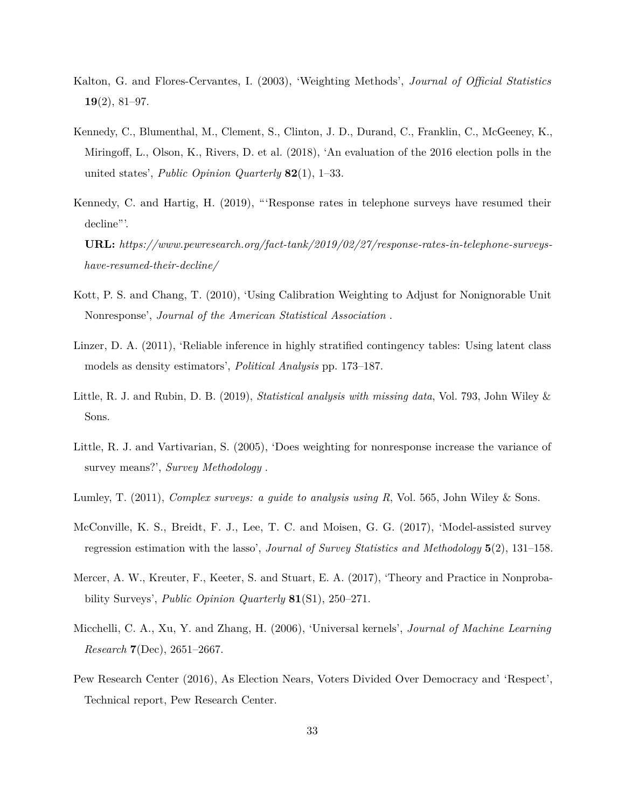- <span id="page-33-4"></span>Kalton, G. and Flores-Cervantes, I. (2003), 'Weighting Methods', *Journal of Official Statistics* **19**(2), 81–97.
- <span id="page-33-2"></span>Kennedy, C., Blumenthal, M., Clement, S., Clinton, J. D., Durand, C., Franklin, C., McGeeney, K., Miringoff, L., Olson, K., Rivers, D. et al. (2018), 'An evaluation of the 2016 election polls in the united states', *Public Opinion Quarterly* **82**(1), 1–33.
- <span id="page-33-0"></span>Kennedy, C. and Hartig, H. (2019), "'Response rates in telephone surveys have resumed their decline"'.

**URL:** *https://www.pewresearch.org/fact-tank/2019/02/27/response-rates-in-telephone-surveyshave-resumed-their-decline/*

- <span id="page-33-3"></span>Kott, P. S. and Chang, T. (2010), 'Using Calibration Weighting to Adjust for Nonignorable Unit Nonresponse', *Journal of the American Statistical Association* .
- <span id="page-33-5"></span>Linzer, D. A. (2011), 'Reliable inference in highly stratified contingency tables: Using latent class models as density estimators', *Political Analysis* pp. 173–187.
- <span id="page-33-7"></span>Little, R. J. and Rubin, D. B. (2019), *Statistical analysis with missing data*, Vol. 793, John Wiley & Sons.
- <span id="page-33-11"></span>Little, R. J. and Vartivarian, S. (2005), 'Does weighting for nonresponse increase the variance of survey means?', *Survey Methodology* .
- <span id="page-33-10"></span>Lumley, T. (2011), *Complex surveys: a guide to analysis using R*, Vol. 565, John Wiley & Sons.
- <span id="page-33-6"></span>McConville, K. S., Breidt, F. J., Lee, T. C. and Moisen, G. G. (2017), 'Model-assisted survey regression estimation with the lasso', *Journal of Survey Statistics and Methodology* **5**(2), 131–158.
- <span id="page-33-1"></span>Mercer, A. W., Kreuter, F., Keeter, S. and Stuart, E. A. (2017), 'Theory and Practice in Nonprobability Surveys', *Public Opinion Quarterly* **81**(S1), 250–271.
- <span id="page-33-8"></span>Micchelli, C. A., Xu, Y. and Zhang, H. (2006), 'Universal kernels', *Journal of Machine Learning Research* **7**(Dec), 2651–2667.
- <span id="page-33-9"></span>Pew Research Center (2016), As Election Nears, Voters Divided Over Democracy and 'Respect', Technical report, Pew Research Center.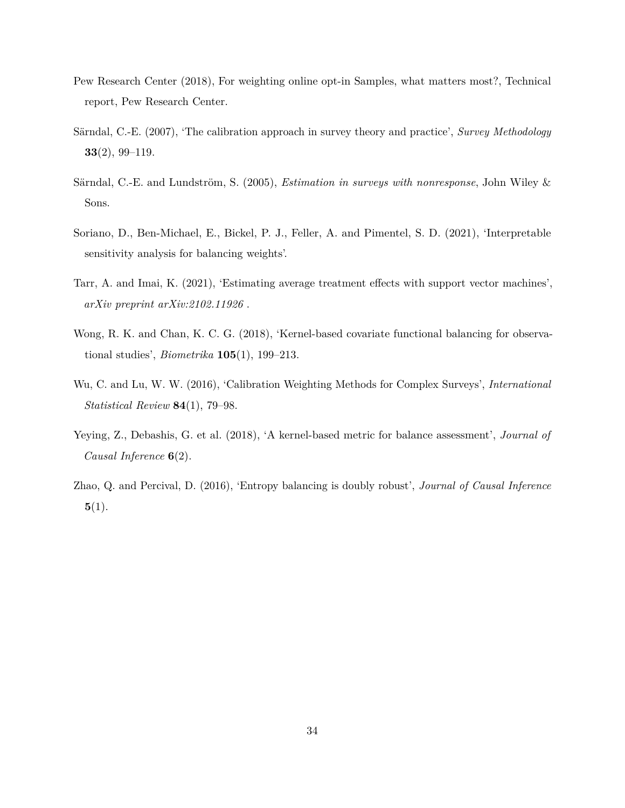- <span id="page-34-7"></span>Pew Research Center (2018), For weighting online opt-in Samples, what matters most?, Technical report, Pew Research Center.
- <span id="page-34-5"></span>Särndal, C.-E. (2007), 'The calibration approach in survey theory and practice', *Survey Methodology* **33**(2), 99–119.
- <span id="page-34-0"></span>Särndal, C.-E. and Lundström, S. (2005), *Estimation in surveys with nonresponse*, John Wiley & Sons.
- <span id="page-34-8"></span>Soriano, D., Ben-Michael, E., Bickel, P. J., Feller, A. and Pimentel, S. D. (2021), 'Interpretable sensitivity analysis for balancing weights'.
- <span id="page-34-4"></span>Tarr, A. and Imai, K. (2021), 'Estimating average treatment effects with support vector machines', *arXiv preprint arXiv:2102.11926* .
- <span id="page-34-2"></span>Wong, R. K. and Chan, K. C. G. (2018), 'Kernel-based covariate functional balancing for observational studies', *Biometrika* **105**(1), 199–213.
- <span id="page-34-6"></span>Wu, C. and Lu, W. W. (2016), 'Calibration Weighting Methods for Complex Surveys', *International Statistical Review* **84**(1), 79–98.
- <span id="page-34-3"></span>Yeying, Z., Debashis, G. et al. (2018), 'A kernel-based metric for balance assessment', *Journal of Causal Inference* **6**(2).
- <span id="page-34-1"></span>Zhao, Q. and Percival, D. (2016), 'Entropy balancing is doubly robust', *Journal of Causal Inference* **5**(1).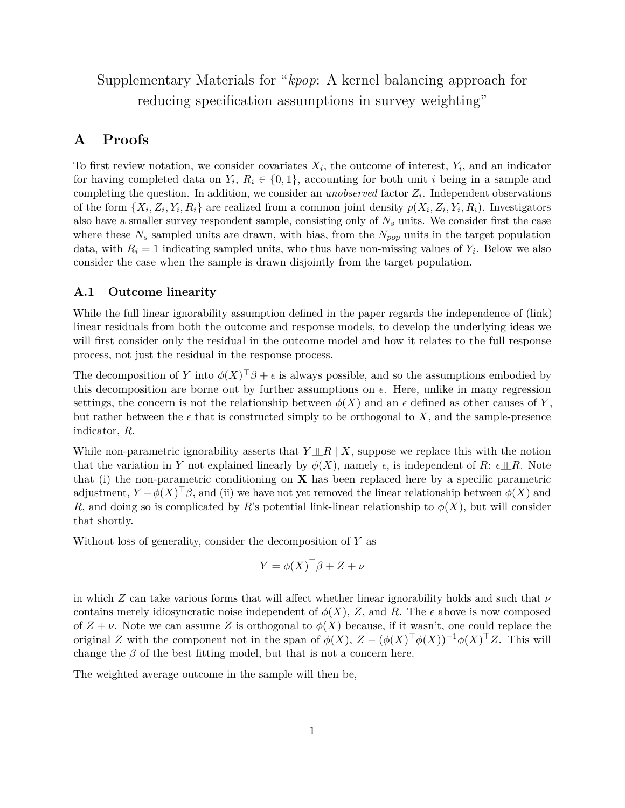# Supplementary Materials for "*kpop*: A kernel balancing approach for reducing specification assumptions in survey weighting"

# <span id="page-35-0"></span>**A Proofs**

To first review notation, we consider covariates  $X_i$ , the outcome of interest,  $Y_i$ , and an indicator for having completed data on  $Y_i$ ,  $R_i \in \{0,1\}$ , accounting for both unit *i* being in a sample and completing the question. In addition, we consider an *unobserved* factor *Z<sup>i</sup>* . Independent observations of the form  $\{X_i, Z_i, Y_i, R_i\}$  are realized from a common joint density  $p(X_i, Z_i, Y_i, R_i)$ . Investigators also have a smaller survey respondent sample, consisting only of *N<sup>s</sup>* units. We consider first the case where these  $N_s$  sampled units are drawn, with bias, from the  $N_{pop}$  units in the target population data, with  $R_i = 1$  indicating sampled units, who thus have non-missing values of  $Y_i$ . Below we also consider the case when the sample is drawn disjointly from the target population.

## <span id="page-35-1"></span>**A.1 Outcome linearity**

While the full linear ignorability assumption defined in the paper regards the independence of (link) linear residuals from both the outcome and response models, to develop the underlying ideas we will first consider only the residual in the outcome model and how it relates to the full response process, not just the residual in the response process.

The decomposition of *Y* into  $\phi(X)^\top \beta + \epsilon$  is always possible, and so the assumptions embodied by this decomposition are borne out by further assumptions on  $\epsilon$ . Here, unlike in many regression settings, the concern is not the relationship between  $\phi(X)$  and an  $\epsilon$  defined as other causes of Y, but rather between the  $\epsilon$  that is constructed simply to be orthogonal to X, and the sample-presence indicator, *R*.

While non-parametric ignorability asserts that  $Y \perp R \mid X$ , suppose we replace this with the notion that the variation in *Y* not explained linearly by  $\phi(X)$ , namely  $\epsilon$ , is independent of *R*:  $\epsilon \perp R$ . Note that (i) the non-parametric conditioning on **X** has been replaced here by a specific parametric adjustment,  $Y - \phi(X)^\top \beta$ , and (ii) we have not yet removed the linear relationship between  $\phi(X)$  and *R*, and doing so is complicated by *R*'s potential link-linear relationship to  $\phi(X)$ , but will consider that shortly.

Without loss of generality, consider the decomposition of *Y* as

$$
Y = \phi(X)^{\top} \beta + Z + \nu
$$

in which *Z* can take various forms that will affect whether linear ignorability holds and such that *ν* contains merely idiosyncratic noise independent of  $\phi(X)$ , Z, and R. The  $\epsilon$  above is now composed of  $Z + \nu$ . Note we can assume *Z* is orthogonal to  $\phi(X)$  because, if it wasn't, one could replace the original *Z* with the component not in the span of  $\phi(X)$ ,  $Z - (\phi(X)^{\top} \phi(X))^{-1} \phi(X)^{\top} Z$ . This will change the  $\beta$  of the best fitting model, but that is not a concern here.

The weighted average outcome in the sample will then be,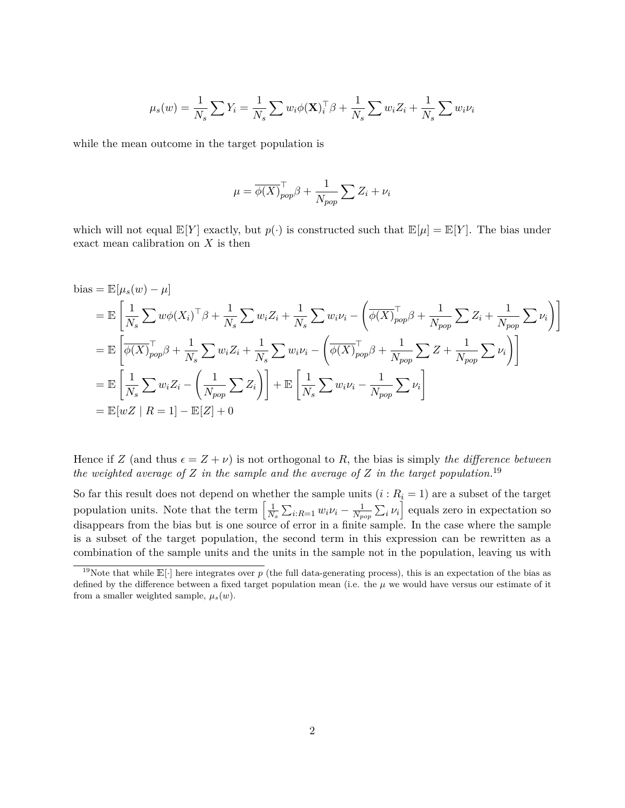$$
\mu_s(w) = \frac{1}{N_s} \sum Y_i = \frac{1}{N_s} \sum w_i \phi(\mathbf{X})_i^{\top} \beta + \frac{1}{N_s} \sum w_i Z_i + \frac{1}{N_s} \sum w_i \nu_i
$$

while the mean outcome in the target population is

$$
\mu = \overline{\phi(X)}_{pop}^{\top} \beta + \frac{1}{N_{pop}} \sum Z_i + \nu_i
$$

which will not equal  $\mathbb{E}[Y]$  exactly, but  $p(\cdot)$  is constructed such that  $\mathbb{E}[\mu] = \mathbb{E}[Y]$ . The bias under exact mean calibration on *X* is then

bias = 
$$
\mathbb{E}[\mu_s(w) - \mu]
$$
  
\n=  $\mathbb{E}\left[\frac{1}{N_s}\sum w\phi(X_i)^{\top}\beta + \frac{1}{N_s}\sum w_i Z_i + \frac{1}{N_s}\sum w_i \nu_i - \left(\overline{\phi(X)}_{pop}^{\top}\beta + \frac{1}{N_{pop}}\sum Z_i + \frac{1}{N_{pop}}\sum \nu_i\right)\right]$   
\n=  $\mathbb{E}\left[\overline{\phi(X)}_{pop}^{\top}\beta + \frac{1}{N_s}\sum w_i Z_i + \frac{1}{N_s}\sum w_i \nu_i - \left(\overline{\phi(X)}_{pop}^{\top}\beta + \frac{1}{N_{pop}}\sum Z + \frac{1}{N_{pop}}\sum \nu_i\right)\right]$   
\n=  $\mathbb{E}\left[\frac{1}{N_s}\sum w_i Z_i - \left(\frac{1}{N_{pop}}\sum Z_i\right)\right] + \mathbb{E}\left[\frac{1}{N_s}\sum w_i \nu_i - \frac{1}{N_{pop}}\sum \nu_i\right]$   
\n=  $\mathbb{E}[wZ \mid R = 1] - \mathbb{E}[Z] + 0$ 

Hence if *Z* (and thus  $\epsilon = Z + \nu$ ) is not orthogonal to *R*, the bias is simply *the difference between the weighted average of Z in the sample and the average of Z in the target population.*[19](#page-0-0)

So far this result does not depend on whether the sample units  $(i: R_i = 1)$  are a subset of the target population units. Note that the term  $\left[\frac{1}{N}\right]$  $\frac{1}{N_s}\sum_{i:R=1} w_i\nu_i - \frac{1}{N_p}$  $\frac{1}{N_{pop}}\sum_i \nu_i$  equals zero in expectation so disappears from the bias but is one source of error in a finite sample. In the case where the sample is a subset of the target population, the second term in this expression can be rewritten as a combination of the sample units and the units in the sample not in the population, leaving us with

<sup>&</sup>lt;sup>19</sup>Note that while  $\mathbb{E}[\cdot]$  here integrates over  $p$  (the full data-generating process), this is an expectation of the bias as defined by the difference between a fixed target population mean (i.e. the  $\mu$  we would have versus our estimate of it from a smaller weighted sample,  $\mu_s(w)$ .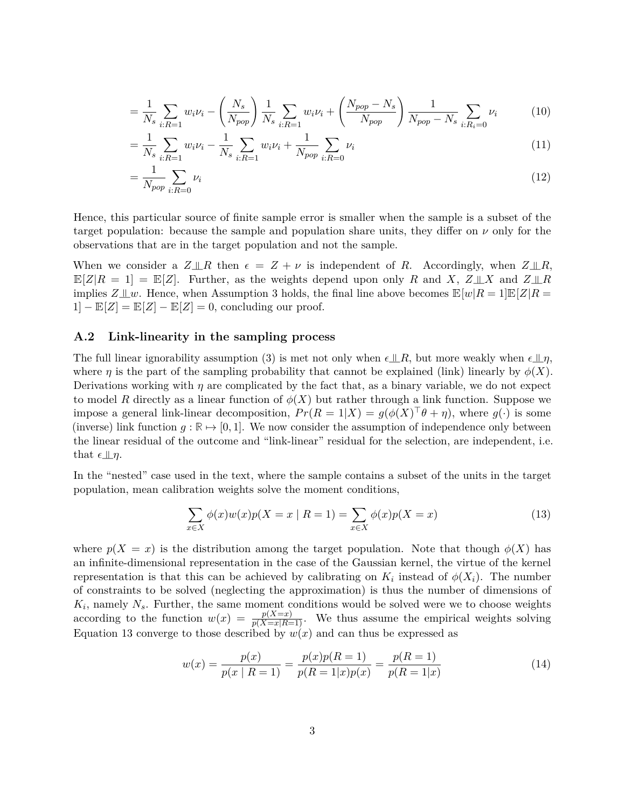$$
= \frac{1}{N_s} \sum_{i: R=1} w_i \nu_i - \left(\frac{N_s}{N_{pop}}\right) \frac{1}{N_s} \sum_{i: R=1} w_i \nu_i + \left(\frac{N_{pop} - N_s}{N_{pop}}\right) \frac{1}{N_{pop} - N_s} \sum_{i: R_i = 0} \nu_i
$$
(10)

$$
= \frac{1}{N_s} \sum_{i:R=1} w_i \nu_i - \frac{1}{N_s} \sum_{i:R=1} w_i \nu_i + \frac{1}{N_{pop}} \sum_{i:R=0} \nu_i
$$
\n(11)

$$
=\frac{1}{N_{pop}}\sum_{i:R=0}\nu_i\tag{12}
$$

Hence, this particular source of finite sample error is smaller when the sample is a subset of the target population: because the sample and population share units, they differ on *ν* only for the observations that are in the target population and not the sample.

When we consider a  $Z \perp \!\!\!\perp R$  then  $\epsilon = Z + \nu$  is independent of *R*. Accordingly, when  $Z \perp \!\!\!\perp R$ ,  $\mathbb{E}[Z|R=1] = \mathbb{E}[Z]$ . Further, as the weights depend upon only R and X,  $Z \perp X$  and  $Z \perp R$ implies  $Z \perp\!\!\!\perp w$ . Hence, when Assumption [3](#page-9-0) holds, the final line above becomes  $\mathbb{E}[w|R=1]\mathbb{E}[Z|R=1]$  $1]-\mathbb{E}[Z]=\mathbb{E}[Z]-\mathbb{E}[Z]=0$ , concluding our proof.

## **A.2 Link-linearity in the sampling process**

The full linear ignorability assumption [\(3\)](#page-9-0) is met not only when  $\epsilon \perp R$ , but more weakly when  $\epsilon \perp \eta$ , where *η* is the part of the sampling probability that cannot be explained (link) linearly by  $\phi(X)$ . Derivations working with  $\eta$  are complicated by the fact that, as a binary variable, we do not expect to model *R* directly as a linear function of  $\phi(X)$  but rather through a link function. Suppose we impose a general link-linear decomposition,  $Pr(R = 1|X) = g(\phi(X)^{\top}\theta + \eta)$ , where  $g(\cdot)$  is some (inverse) link function  $q : \mathbb{R} \to [0,1]$ . We now consider the assumption of independence only between the linear residual of the outcome and "link-linear" residual for the selection, are independent, i.e. that  $\epsilon \perp \eta$ .

In the "nested" case used in the text, where the sample contains a subset of the units in the target population, mean calibration weights solve the moment conditions,

<span id="page-37-0"></span>
$$
\sum_{x \in X} \phi(x)w(x)p(X = x \mid R = 1) = \sum_{x \in X} \phi(x)p(X = x)
$$
\n(13)

where  $p(X = x)$  is the distribution among the target population. Note that though  $\phi(X)$  has an infinite-dimensional representation in the case of the Gaussian kernel, the virtue of the kernel representation is that this can be achieved by calibrating on  $K_i$  instead of  $\phi(X_i)$ . The number of constraints to be solved (neglecting the approximation) is thus the number of dimensions of *K<sup>i</sup>* , namely *Ns*. Further, the same moment conditions would be solved were we to choose weights according to the function  $w(x) = \frac{p(X=x)}{p(X=x|R=1)}$ . We thus assume the empirical weights solving Equation [13](#page-37-0) converge to those described by  $w(x)$  and can thus be expressed as

<span id="page-37-1"></span>
$$
w(x) = \frac{p(x)}{p(x \mid R=1)} = \frac{p(x)p(R=1)}{p(R=1|x)p(x)} = \frac{p(R=1)}{p(R=1|x)}
$$
(14)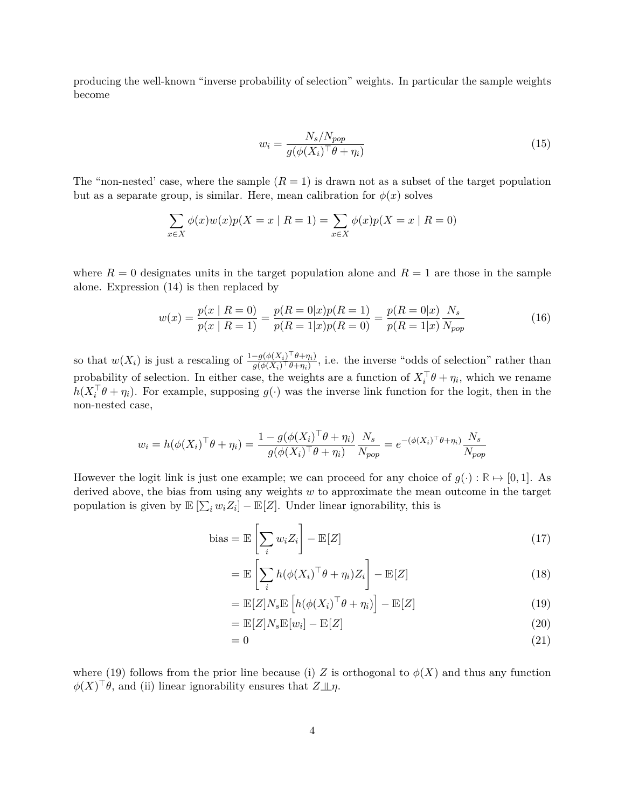producing the well-known "inverse probability of selection" weights. In particular the sample weights become

$$
w_i = \frac{N_s / N_{pop}}{g(\phi(X_i)^\top \theta + \eta_i)}\tag{15}
$$

The "non-nested" case, where the sample  $(R = 1)$  is drawn not as a subset of the target population but as a separate group, is similar. Here, mean calibration for  $\phi(x)$  solves

$$
\sum_{x \in X} \phi(x)w(x)p(X = x \mid R = 1) = \sum_{x \in X} \phi(x)p(X = x \mid R = 0)
$$

where  $R = 0$  designates units in the target population alone and  $R = 1$  are those in the sample alone. Expression [\(14\)](#page-37-1) is then replaced by

$$
w(x) = \frac{p(x \mid R = 0)}{p(x \mid R = 1)} = \frac{p(R = 0 \mid x)p(R = 1)}{p(R = 1 \mid x)p(R = 0)} = \frac{p(R = 0 \mid x)}{p(R = 1 \mid x)} \frac{N_s}{N_{pop}}
$$
(16)

so that  $w(X_i)$  is just a rescaling of  $\frac{1-g(\phi(X_i)^{\top}\theta+\eta_i)}{g(\phi(X_i)^{\top}\theta+\eta_i)}$ , i.e. the inverse "odds of selection" rather than probability of selection. In either case, the weights are a function of  $X_i^{\top} \theta + \eta_i$ , which we rename  $h(X_i^{\top}\theta + \eta_i)$ . For example, supposing  $g(\cdot)$  was the inverse link function for the logit, then in the non-nested case,

$$
w_i = h(\phi(X_i)^{\top} \theta + \eta_i) = \frac{1 - g(\phi(X_i)^{\top} \theta + \eta_i)}{g(\phi(X_i)^{\top} \theta + \eta_i)} \frac{N_s}{N_{pop}} = e^{-(\phi(X_i)^{\top} \theta + \eta_i)} \frac{N_s}{N_{pop}}
$$

However the logit link is just one example; we can proceed for any choice of  $q(.) : \mathbb{R} \mapsto [0, 1]$ . As derived above, the bias from using any weights *w* to approximate the mean outcome in the target population is given by  $\mathbb{E}[\sum_i w_i Z_i] - \mathbb{E}[Z]$ . Under linear ignorability, this is

bias = 
$$
\mathbb{E}\left[\sum_{i} w_i Z_i\right] - \mathbb{E}[Z]
$$
 (17)

$$
= \mathbb{E}\left[\sum_{i} h(\phi(X_i)^{\top}\theta + \eta_i)Z_i\right] - \mathbb{E}[Z] \tag{18}
$$

<span id="page-38-0"></span>
$$
= \mathbb{E}[Z]N_s \mathbb{E}\left[h(\phi(X_i)^{\top}\theta + \eta_i)\right] - \mathbb{E}[Z] \tag{19}
$$

$$
= \mathbb{E}[Z]N_s \mathbb{E}[w_i] - \mathbb{E}[Z] \tag{20}
$$

$$
=0 \tag{21}
$$

where [\(19\)](#page-38-0) follows from the prior line because (i) *Z* is orthogonal to  $\phi(X)$  and thus any function  $\phi(X)^\top \theta$ , and (ii) linear ignorability ensures that  $Z \perp \!\!\!\perp \eta$ .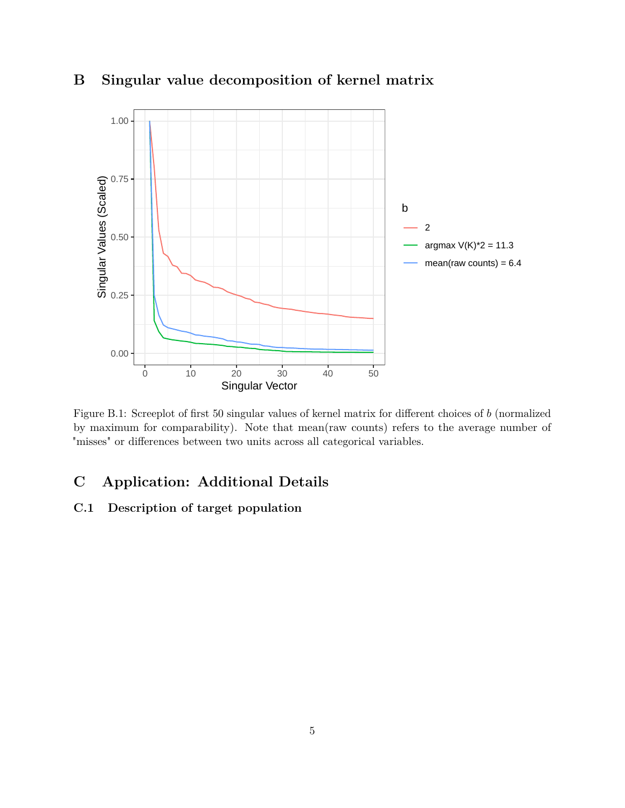

# <span id="page-39-0"></span>**B Singular value decomposition of kernel matrix**

Figure B.1: Screeplot of first 50 singular values of kernel matrix for different choices of *b* (normalized by maximum for comparability). Note that mean(raw counts) refers to the average number of "misses" or differences between two units across all categorical variables.

# **C Application: Additional Details**

# **C.1 Description of target population**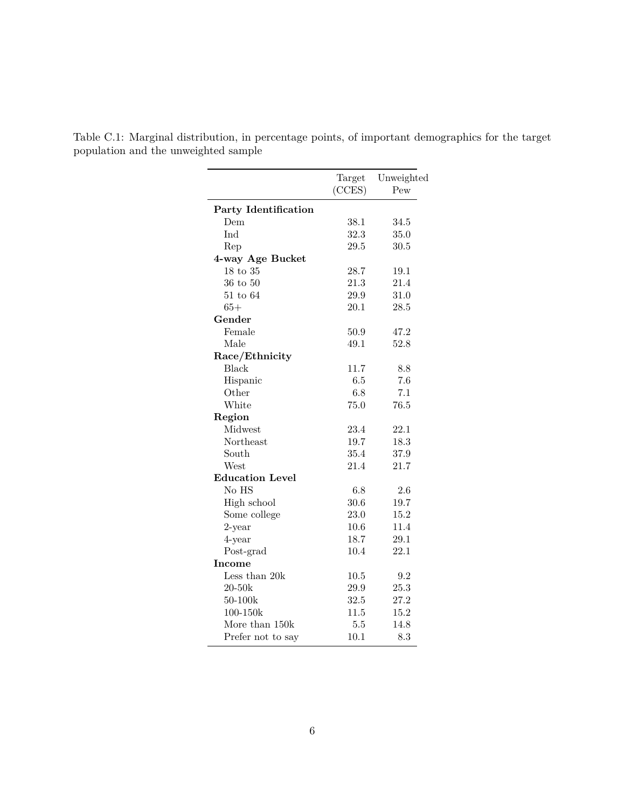|                        | Target<br>(CCES) | Unweighted<br>Pew |
|------------------------|------------------|-------------------|
|                        |                  |                   |
| Party Identification   |                  |                   |
| Dem                    | 38.1             | 34.5              |
| Ind                    | 32.3             | 35.0              |
| Rep                    | 29.5             | 30.5              |
| 4-way Age Bucket       |                  |                   |
| $18$ to $35$           | 28.7             | 19.1              |
| $36$ to $50$           | 21.3             | 21.4              |
| $51$ to $64$           | $29.9\,$         | 31.0              |
| $65+$                  | 20.1             | 28.5              |
| Gender                 |                  |                   |
| Female                 | 50.9             | 47.2              |
| Male                   | 49.1             | 52.8              |
| Race/Ethnicity         |                  |                   |
| <b>Black</b>           | 11.7             | 8.8               |
| Hispanic               | 6.5              | 7.6               |
| Other                  | 6.8              | 7.1               |
| White                  | 75.0             | 76.5              |
| Region                 |                  |                   |
| Midwest                | 23.4             | 22.1              |
| Northeast              | 19.7             | 18.3              |
| South                  | 35.4             | 37.9              |
| West                   | 21.4             | 21.7              |
| <b>Education Level</b> |                  |                   |
| No HS                  | 6.8              | 2.6               |
| High school            | 30.6             | 19.7              |
| Some college           | 23.0             | 15.2              |
| $2$ -year              | 10.6             | 11.4              |
| 4-year                 | 18.7             | 29.1              |
| Post-grad              | 10.4             | 22.1              |
| Income                 |                  |                   |
| Less than 20k          | 10.5             | 9.2               |
| $20 - 50k$             | 29.9             | 25.3              |
| 50-100k                | 32.5             | 27.2              |
| 100-150k               | 11.5             | 15.2              |
| More than 150k         | 5.5              | 14.8              |
| Prefer not to say      | 10.1             | 8.3               |

<span id="page-40-0"></span>Table C.1: Marginal distribution, in percentage points, of important demographics for the target population and the unweighted sample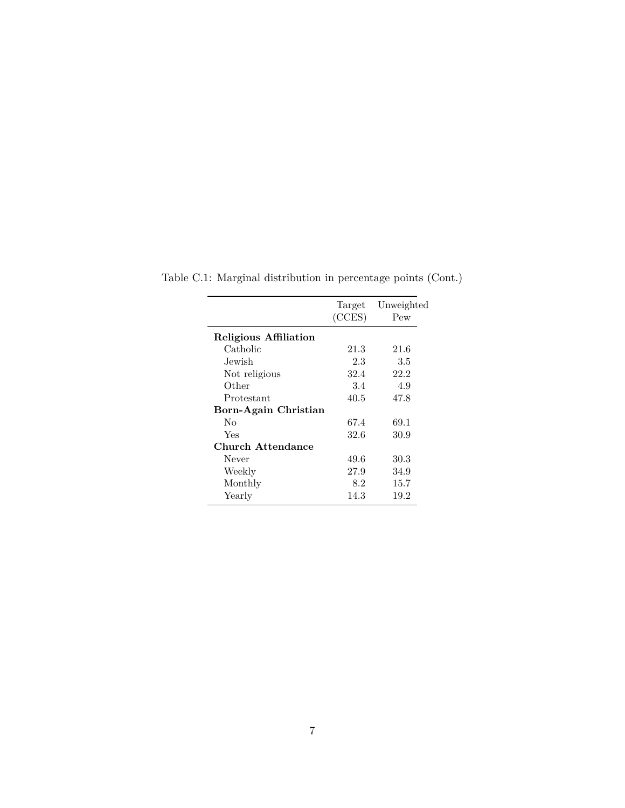|                       | Target<br>(CCES) | Unweighted<br>Pew |
|-----------------------|------------------|-------------------|
| Religious Affiliation |                  |                   |
| Catholic              | 21.3             | 21.6              |
| Jewish                | 2.3              | 3.5               |
| Not religious         | 32.4             | 22.2              |
| Other                 | 3.4              | 4.9               |
| Protestant            | 40.5             | 47.8              |
| Born-Again Christian  |                  |                   |
| Nο                    | 67.4             | 69.1              |
| Yes                   | 32.6             | 30.9              |
| Church Attendance     |                  |                   |
| Never                 | 49.6             | 30.3              |
| Weekly                | 27.9             | 34.9              |
| Monthly               | 8.2              | 15.7              |
| Yearly                | 14.3             | 19.2              |

Table C.1: Marginal distribution in percentage points (Cont.)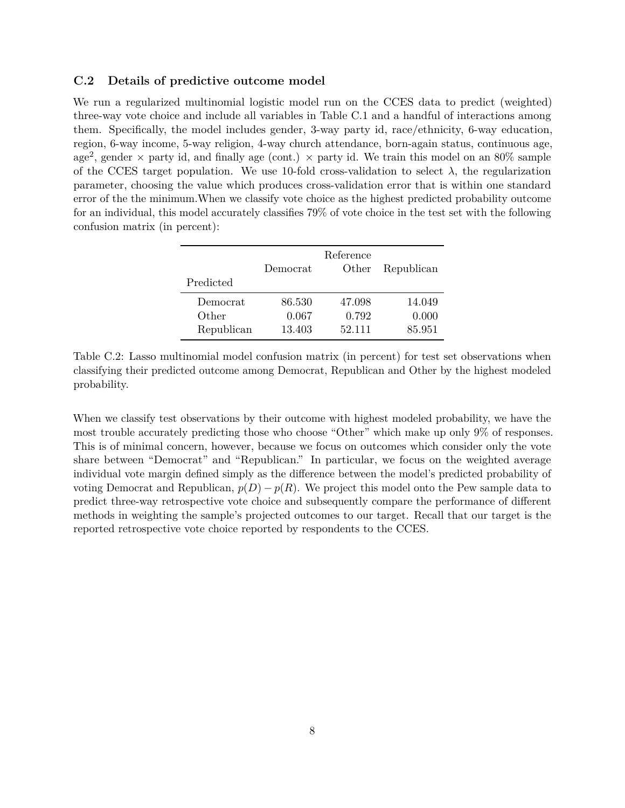## <span id="page-42-0"></span>**C.2 Details of predictive outcome model**

We run a regularized multinomial logistic model run on the CCES data to predict (weighted) three-way vote choice and include all variables in Table [C.1](#page-40-0) and a handful of interactions among them. Specifically, the model includes gender, 3-way party id, race/ethnicity, 6-way education, region, 6-way income, 5-way religion, 4-way church attendance, born-again status, continuous age, age<sup>2</sup>, gender  $\times$  party id, and finally age (cont.)  $\times$  party id. We train this model on an 80% sample of the CCES target population. We use 10-fold cross-validation to select  $\lambda$ , the regularization parameter, choosing the value which produces cross-validation error that is within one standard error of the the minimum.When we classify vote choice as the highest predicted probability outcome for an individual, this model accurately classifies 79% of vote choice in the test set with the following confusion matrix (in percent):

| Predicted  | Democrat | Reference<br>Other | Republican |
|------------|----------|--------------------|------------|
| Democrat   | 86.530   | 47.098             | 14.049     |
| Other      | 0.067    | 0.792              | 0.000      |
| Republican | 13.403   | 52.111             | 85.951     |

Table C.2: Lasso multinomial model confusion matrix (in percent) for test set observations when classifying their predicted outcome among Democrat, Republican and Other by the highest modeled probability.

When we classify test observations by their outcome with highest modeled probability, we have the most trouble accurately predicting those who choose "Other" which make up only 9% of responses. This is of minimal concern, however, because we focus on outcomes which consider only the vote share between "Democrat" and "Republican." In particular, we focus on the weighted average individual vote margin defined simply as the difference between the model's predicted probability of voting Democrat and Republican,  $p(D) - p(R)$ . We project this model onto the Pew sample data to predict three-way retrospective vote choice and subsequently compare the performance of different methods in weighting the sample's projected outcomes to our target. Recall that our target is the reported retrospective vote choice reported by respondents to the CCES.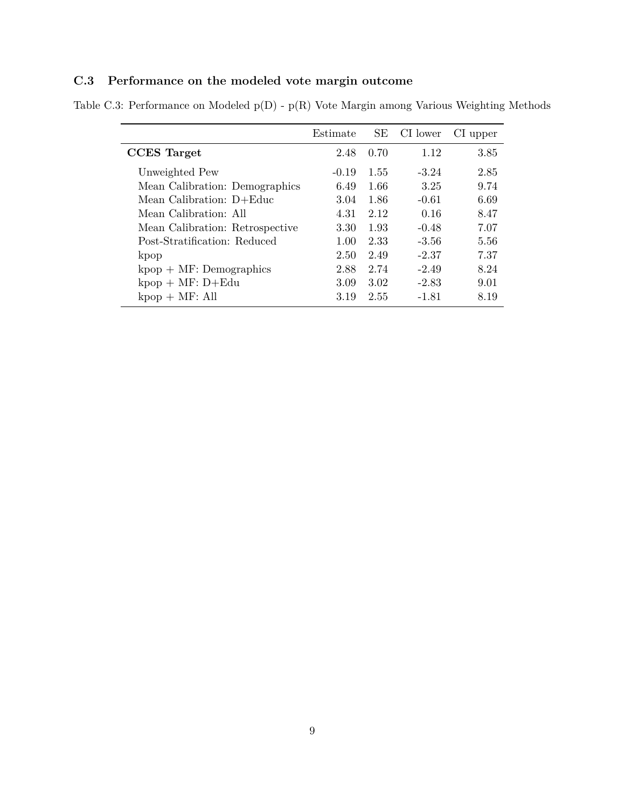# **C.3 Performance on the modeled vote margin outcome**

<span id="page-43-0"></span>Table C.3: Performance on Modeled p(D) - p(R) Vote Margin among Various Weighting Methods

|                                 | Estimate | SE . | CI lower | Cl upper |
|---------------------------------|----------|------|----------|----------|
| <b>CCES</b> Target              | 2.48     | 0.70 | 1.12     | 3.85     |
| Unweighted Pew                  | $-0.19$  | 1.55 | $-3.24$  | 2.85     |
| Mean Calibration: Demographics  | 6.49     | 1.66 | 3.25     | 9.74     |
| Mean Calibration: D+Educ        | 3.04     | 1.86 | $-0.61$  | 6.69     |
| Mean Calibration: All           | 4.31     | 2.12 | 0.16     | 8.47     |
| Mean Calibration: Retrospective | 3.30     | 1.93 | $-0.48$  | 7.07     |
| Post-Stratification: Reduced    | 1.00     | 2.33 | $-3.56$  | 5.56     |
| kpop                            | 2.50     | 2.49 | $-2.37$  | 7.37     |
| $kpop + MF: Demographics$       | 2.88     | 2.74 | $-2.49$  | 8.24     |
| $kpop + MF: D+Edu$              | 3.09     | 3.02 | $-2.83$  | 9.01     |
| $kpop + MF: All$                | 3.19     | 2.55 | $-1.81$  | 8.19     |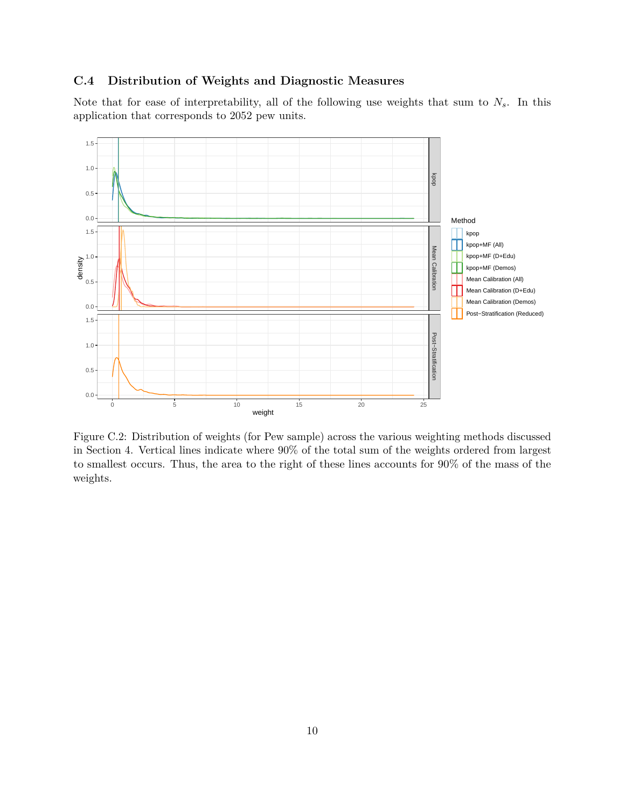## <span id="page-44-0"></span>**C.4 Distribution of Weights and Diagnostic Measures**

Note that for ease of interpretability, all of the following use weights that sum to *Ns*. In this application that corresponds to 2052 pew units.



Figure C.2: Distribution of weights (for Pew sample) across the various weighting methods discussed in Section [4.](#page-22-0) Vertical lines indicate where 90% of the total sum of the weights ordered from largest to smallest occurs. Thus, the area to the right of these lines accounts for 90% of the mass of the weights.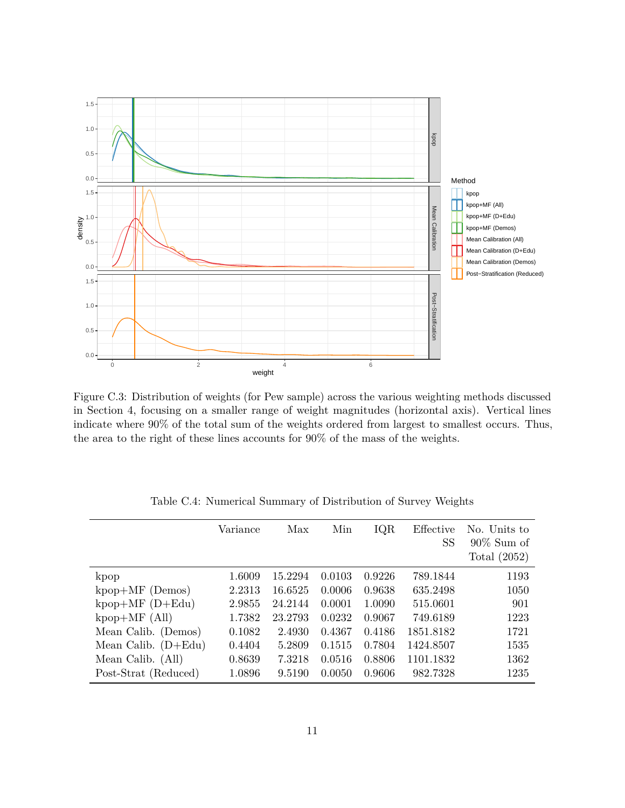

Figure C.3: Distribution of weights (for Pew sample) across the various weighting methods discussed in Section [4,](#page-22-0) focusing on a smaller range of weight magnitudes (horizontal axis). Vertical lines indicate where 90% of the total sum of the weights ordered from largest to smallest occurs. Thus, the area to the right of these lines accounts for 90% of the mass of the weights.

|                       | Variance | Max     | Min    | IQR    | Effective<br><b>SS</b> | No. Units to<br>$90\%$ Sum of |
|-----------------------|----------|---------|--------|--------|------------------------|-------------------------------|
|                       |          |         |        |        |                        | Total $(2052)$                |
| kpop                  | 1.6009   | 15.2294 | 0.0103 | 0.9226 | 789.1844               | 1193                          |
| $kpop+MF$ (Demos)     | 2.2313   | 16.6525 | 0.0006 | 0.9638 | 635.2498               | 1050                          |
| $kpop+MF(D+Edu)$      | 2.9855   | 24.2144 | 0.0001 | 1.0090 | 515.0601               | 901                           |
| $kpop+MF$ (All)       | 1.7382   | 23.2793 | 0.0232 | 0.9067 | 749.6189               | 1223                          |
| Mean Calib. (Demos)   | 0.1082   | 2.4930  | 0.4367 | 0.4186 | 1851.8182              | 1721                          |
| Mean Calib. $(D+Edu)$ | 0.4404   | 5.2809  | 0.1515 | 0.7804 | 1424.8507              | 1535                          |
| Mean Calib. (All)     | 0.8639   | 7.3218  | 0.0516 | 0.8806 | 1101.1832              | 1362                          |
| Post-Strat (Reduced)  | 1.0896   | 9.5190  | 0.0050 | 0.9606 | 982.7328               | 1235                          |

Table C.4: Numerical Summary of Distribution of Survey Weights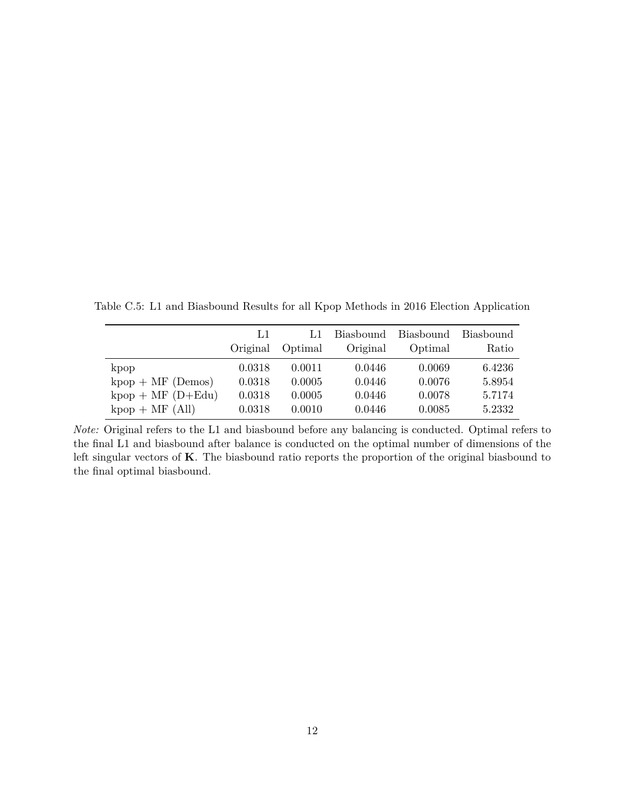Table C.5: L1 and Biasbound Results for all Kpop Methods in 2016 Election Application

|                     | IJ       | L1      | <b>Biasbound</b> | Biasbound | Biasbound |
|---------------------|----------|---------|------------------|-----------|-----------|
|                     | Original | Optimal | Original         | Optimal   | Ratio     |
| kpop                | 0.0318   | 0.0011  | 0.0446           | 0.0069    | 6.4236    |
| $kpop + MF$ (Demos) | 0.0318   | 0.0005  | 0.0446           | 0.0076    | 5.8954    |
| $kpop + MF(D+Edu)$  | 0.0318   | 0.0005  | 0.0446           | 0.0078    | 5.7174    |
| $kpop + MF (All)$   | 0.0318   | 0.0010  | 0.0446           | 0.0085    | 5.2332    |

*Note:* Original refers to the L1 and biasbound before any balancing is conducted. Optimal refers to the final L1 and biasbound after balance is conducted on the optimal number of dimensions of the left singular vectors of **K**. The biasbound ratio reports the proportion of the original biasbound to the final optimal biasbound.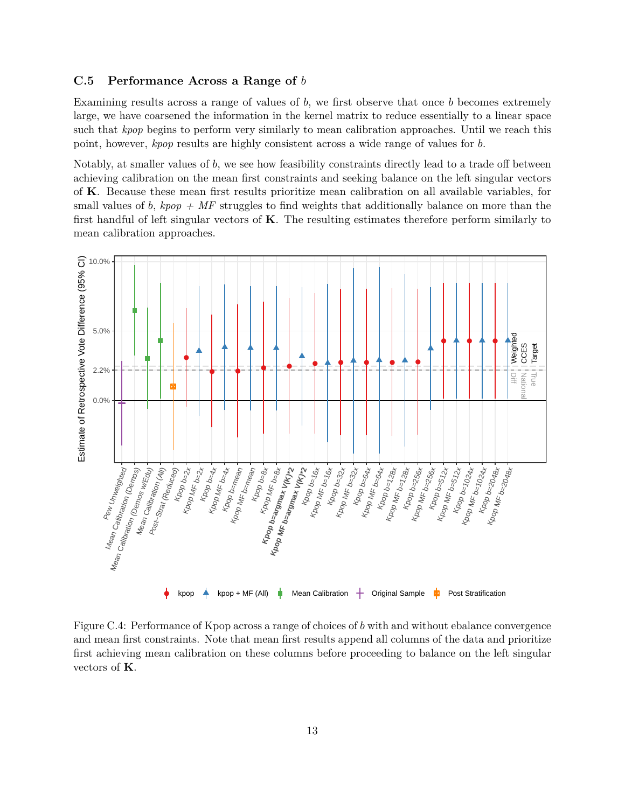## <span id="page-47-0"></span>**C.5 Performance Across a Range of** *b*

Examining results across a range of values of *b*, we first observe that once *b* becomes extremely large, we have coarsened the information in the kernel matrix to reduce essentially to a linear space such that *kpop* begins to perform very similarly to mean calibration approaches. Until we reach this point, however, *kpop* results are highly consistent across a wide range of values for *b*.

Notably, at smaller values of *b*, we see how feasibility constraints directly lead to a trade off between achieving calibration on the mean first constraints and seeking balance on the left singular vectors of **K**. Because these mean first results prioritize mean calibration on all available variables, for small values of *b*,  $kpop + MF$  struggles to find weights that additionally balance on more than the first handful of left singular vectors of **K**. The resulting estimates therefore perform similarly to mean calibration approaches.



Figure C.4: Performance of Kpop across a range of choices of *b* with and without ebalance convergence and mean first constraints. Note that mean first results append all columns of the data and prioritize first achieving mean calibration on these columns before proceeding to balance on the left singular vectors of **K**.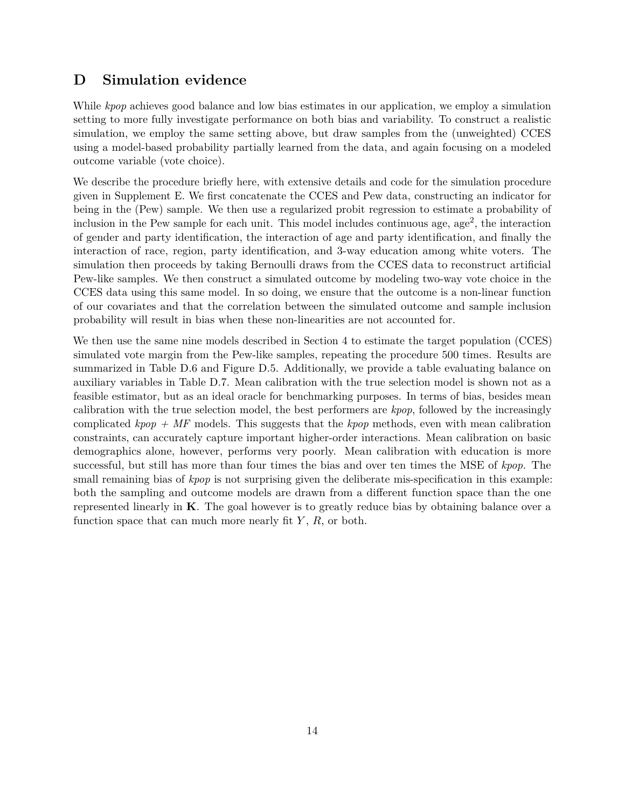## <span id="page-48-0"></span>**D Simulation evidence**

While *kpop* achieves good balance and low bias estimates in our application, we employ a simulation setting to more fully investigate performance on both bias and variability. To construct a realistic simulation, we employ the same setting above, but draw samples from the (unweighted) CCES using a model-based probability partially learned from the data, and again focusing on a modeled outcome variable (vote choice).

We describe the procedure briefly here, with extensive details and code for the simulation procedure given in Supplement [E.](#page-51-0) We first concatenate the CCES and Pew data, constructing an indicator for being in the (Pew) sample. We then use a regularized probit regression to estimate a probability of inclusion in the Pew sample for each unit. This model includes continuous age, age<sup>2</sup>, the interaction of gender and party identification, the interaction of age and party identification, and finally the interaction of race, region, party identification, and 3-way education among white voters. The simulation then proceeds by taking Bernoulli draws from the CCES data to reconstruct artificial Pew-like samples. We then construct a simulated outcome by modeling two-way vote choice in the CCES data using this same model. In so doing, we ensure that the outcome is a non-linear function of our covariates and that the correlation between the simulated outcome and sample inclusion probability will result in bias when these non-linearities are not accounted for.

We then use the same nine models described in Section [4](#page-22-0) to estimate the target population (CCES) simulated vote margin from the Pew-like samples, repeating the procedure 500 times. Results are summarized in Table [D.6](#page-49-0) and Figure [D.5.](#page-49-1) Additionally, we provide a table evaluating balance on auxiliary variables in Table [D.7.](#page-50-0) Mean calibration with the true selection model is shown not as a feasible estimator, but as an ideal oracle for benchmarking purposes. In terms of bias, besides mean calibration with the true selection model, the best performers are *kpop*, followed by the increasingly complicated *kpop + MF* models. This suggests that the *kpop* methods, even with mean calibration constraints, can accurately capture important higher-order interactions. Mean calibration on basic demographics alone, however, performs very poorly. Mean calibration with education is more successful, but still has more than four times the bias and over ten times the MSE of *kpop*. The small remaining bias of *kpop* is not surprising given the deliberate mis-specification in this example: both the sampling and outcome models are drawn from a different function space than the one represented linearly in **K**. The goal however is to greatly reduce bias by obtaining balance over a function space that can much more nearly fit *Y* , *R*, or both.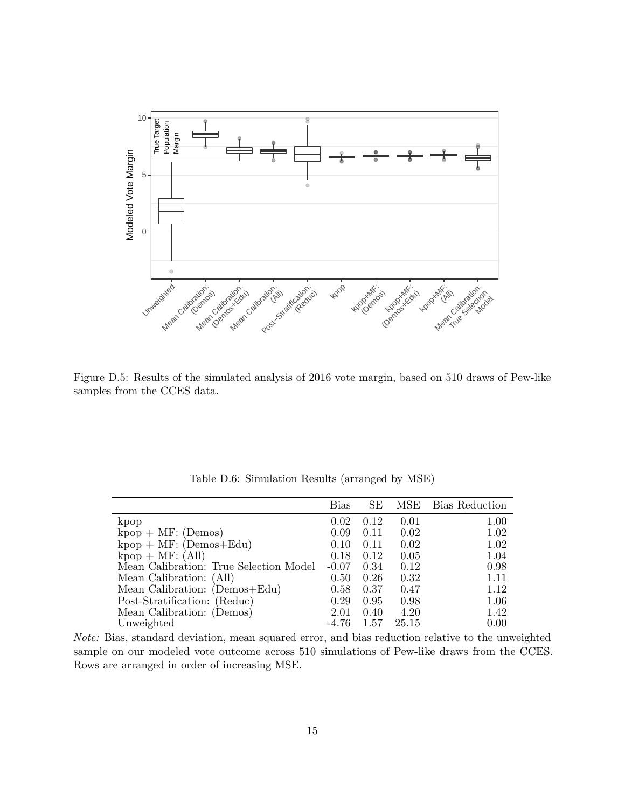<span id="page-49-1"></span>

Figure D.5: Results of the simulated analysis of 2016 vote margin, based on 510 draws of Pew-like samples from the CCES data.

<span id="page-49-0"></span>

|                                        | <b>Bias</b> | <b>SE</b> | MSE   | Bias Reduction |
|----------------------------------------|-------------|-----------|-------|----------------|
| kpop                                   | 0.02        | 0.12      | 0.01  | 1.00           |
| $kpop + MF: (Demos)$                   | 0.09        | 0.11      | 0.02  | 1.02           |
| $kpop + MF: (Demos + Edu)$             | 0.10        | 0.11      | 0.02  | 1.02           |
| $kpop + MF: (All)$                     | 0.18        | 0.12      | 0.05  | 1.04           |
| Mean Calibration: True Selection Model | $-0.07$     | 0.34      | 0.12  | 0.98           |
| Mean Calibration: (All)                | 0.50        | 0.26      | 0.32  | 1.11           |
| Mean Calibration: (Demos+Edu)          | 0.58        | 0.37      | 0.47  | 1.12           |
| Post-Stratification: (Reduc)           | 0.29        | 0.95      | 0.98  | 1.06           |
| Mean Calibration: (Demos)              | 2.01        | 0.40      | 4.20  | 1.42           |
| Unweighted                             | $-4.76$     | 1.57      | 25.15 | 0.00           |

Table D.6: Simulation Results (arranged by MSE)

*Note:* Bias, standard deviation, mean squared error, and bias reduction relative to the unweighted sample on our modeled vote outcome across 510 simulations of Pew-like draws from the CCES. Rows are arranged in order of increasing MSE.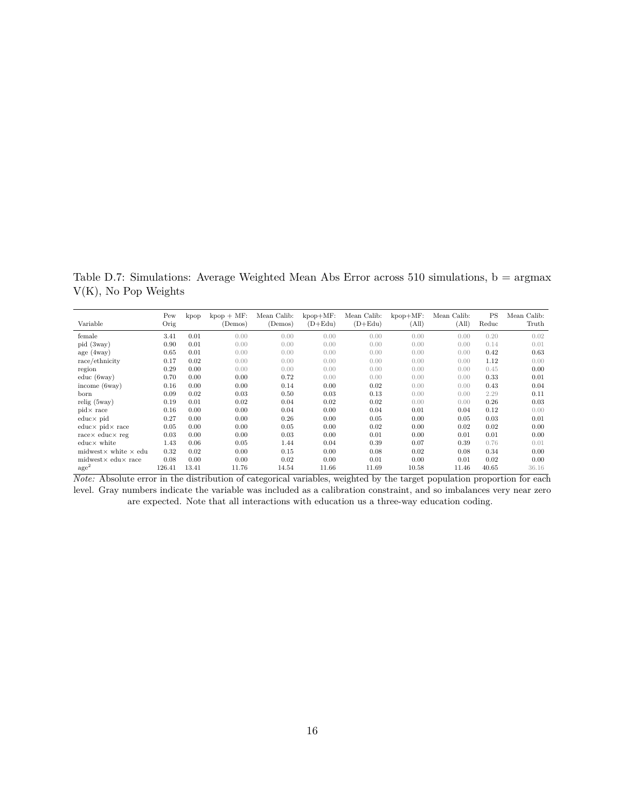<span id="page-50-0"></span>Table D.7: Simulations: Average Weighted Mean Abs Error across 510 simulations,  $b = \text{argmax}$ V(K), No Pop Weights

| Variable                            | Pew<br>Orig | kpop  | $kpop + MF$<br>(Demos) | Mean Calib:<br>(Demos) | $kpop+MF$ :<br>$(D+Edu)$ | Mean Calib:<br>$(D+Edu)$ | $kpop+MF$ :<br>(All) | Mean Calib:<br>(All) | PS<br>Reduc | Mean Calib:<br>Truth |
|-------------------------------------|-------------|-------|------------------------|------------------------|--------------------------|--------------------------|----------------------|----------------------|-------------|----------------------|
| female                              | 3.41        | 0.01  | 0.00                   | 0.00                   | 0.00                     | 0.00                     | 0.00                 | 0.00                 | 0.20        | 0.02                 |
| pid (3way)                          | 0.90        | 0.01  | 0.00                   | 0.00                   | 0.00                     | 0.00                     | 0.00                 | 0.00                 | 0.14        | 0.01                 |
| age (4way)                          | 0.65        | 0.01  | 0.00                   | 0.00                   | 0.00                     | 0.00                     | 0.00                 | 0.00                 | 0.42        | 0.63                 |
| race/ethnicity                      | 0.17        | 0.02  | 0.00                   | 0.00                   | 0.00                     | 0.00                     | 0.00                 | 0.00                 | 1.12        | 0.00                 |
| region                              | 0.29        | 0.00  | 0.00                   | 0.00                   | 0.00                     | 0.00                     | 0.00                 | 0.00                 | 0.45        | 0.00                 |
| educ(6way)                          | 0.70        | 0.00  | 0.00                   | 0.72                   | 0.00                     | 0.00                     | 0.00                 | 0.00                 | 0.33        | 0.01                 |
| income $(6way)$                     | 0.16        | 0.00  | 0.00                   | 0.14                   | 0.00                     | 0.02                     | 0.00                 | 0.00                 | 0.43        | 0.04                 |
| born                                | 0.09        | 0.02  | 0.03                   | 0.50                   | 0.03                     | 0.13                     | 0.00                 | 0.00                 | 2.29        | 0.11                 |
| relig(5way)                         | 0.19        | 0.01  | 0.02                   | 0.04                   | 0.02                     | 0.02                     | 0.00                 | 0.00                 | 0.26        | 0.03                 |
| $pid \times$ race                   | 0.16        | 0.00  | 0.00                   | 0.04                   | 0.00                     | 0.04                     | 0.01                 | 0.04                 | 0.12        | 0.00                 |
| $educ \times pid$                   | 0.27        | 0.00  | 0.00                   | 0.26                   | 0.00                     | 0.05                     | 0.00                 | 0.05                 | 0.03        | 0.01                 |
| $educ \times pid \times race$       | 0.05        | 0.00  | 0.00                   | 0.05                   | 0.00                     | 0.02                     | 0.00                 | 0.02                 | 0.02        | 0.00                 |
| $race \times educ \times re$        | 0.03        | 0.00  | 0.00                   | 0.03                   | 0.00                     | 0.01                     | 0.00                 | 0.01                 | 0.01        | 0.00                 |
| $educ \times white$                 | 1.43        | 0.06  | 0.05                   | 1.44                   | 0.04                     | 0.39                     | 0.07                 | 0.39                 | 0.76        | 0.01                 |
| midwest $\times$ white $\times$ edu | 0.32        | 0.02  | 0.00                   | 0.15                   | 0.00                     | 0.08                     | 0.02                 | 0.08                 | 0.34        | 0.00                 |
| $midx \text{ and } x$ race          | 0.08        | 0.00  | 0.00                   | 0.02                   | 0.00                     | 0.01                     | 0.00                 | 0.01                 | 0.02        | 0.00                 |
| $\rm{age}^2$                        | 126.41      | 13.41 | 11.76                  | 14.54                  | 11.66                    | 11.69                    | 10.58                | 11.46                | 40.65       | 36.16                |

*Note:* Absolute error in the distribution of categorical variables, weighted by the target population proportion for each level. Gray numbers indicate the variable was included as a calibration constraint, and so imbalances very near zero are expected. Note that all interactions with education us a three-way education coding.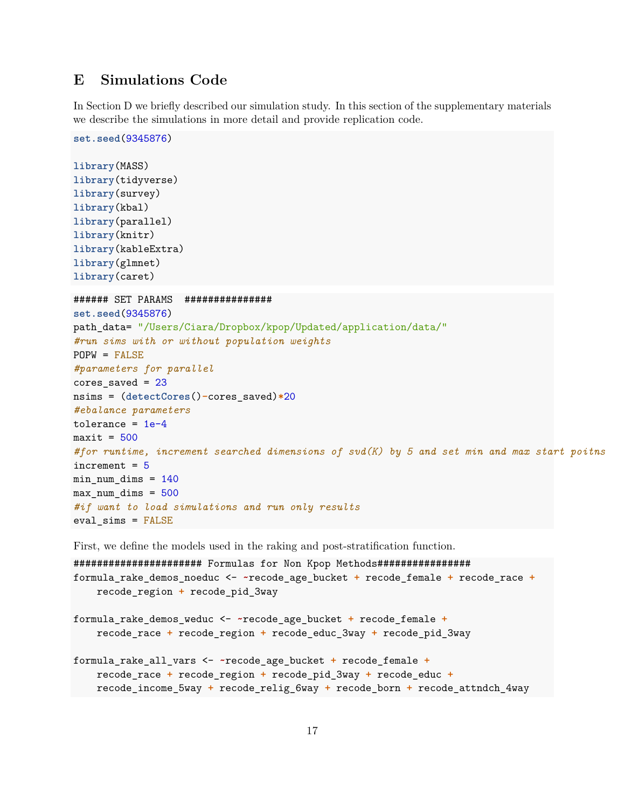## <span id="page-51-0"></span>**E Simulations Code**

In Section [D](#page-48-0) we briefly described our simulation study. In this section of the supplementary materials we describe the simulations in more detail and provide replication code.

```
set.seed(9345876)
library(MASS)
library(tidyverse)
library(survey)
library(kbal)
library(parallel)
library(knitr)
library(kableExtra)
library(glmnet)
library(caret)
###### SET PARAMS ###############
set.seed(9345876)
path_data= "/Users/Ciara/Dropbox/kpop/Updated/application/data/"
#run sims with or without population weights
POPW = FALSE
#parameters for parallel
cores_saved = 23
nsims = (detectCores()-cores_saved)*20
#ebalance parameters
tolerance = 1e-4maxit = 500#for runtime, increment searched dimensions of svd(K) by 5 and set min and max start poitns
increment = 5min\_num\_dims = 140max_nnum\_dims = 500#if want to load simulations and run only results
eval_sims = FALSE
```
First, we define the models used in the raking and post-stratification function.

###################### Formulas for Non Kpop Methods################ formula\_rake\_demos\_noeduc <- **~**recode\_age\_bucket **+** recode\_female **+** recode\_race **+** recode\_region **+** recode\_pid\_3way formula\_rake\_demos\_weduc <- **~**recode\_age\_bucket **+** recode\_female **+** recode\_race **+** recode\_region **+** recode\_educ\_3way **+** recode\_pid\_3way formula\_rake\_all\_vars <- **~**recode\_age\_bucket **+** recode\_female **+** recode\_race **+** recode\_region **+** recode\_pid\_3way **+** recode\_educ **+** recode\_income\_5way **+** recode\_relig\_6way **+** recode\_born **+** recode\_attndch\_4way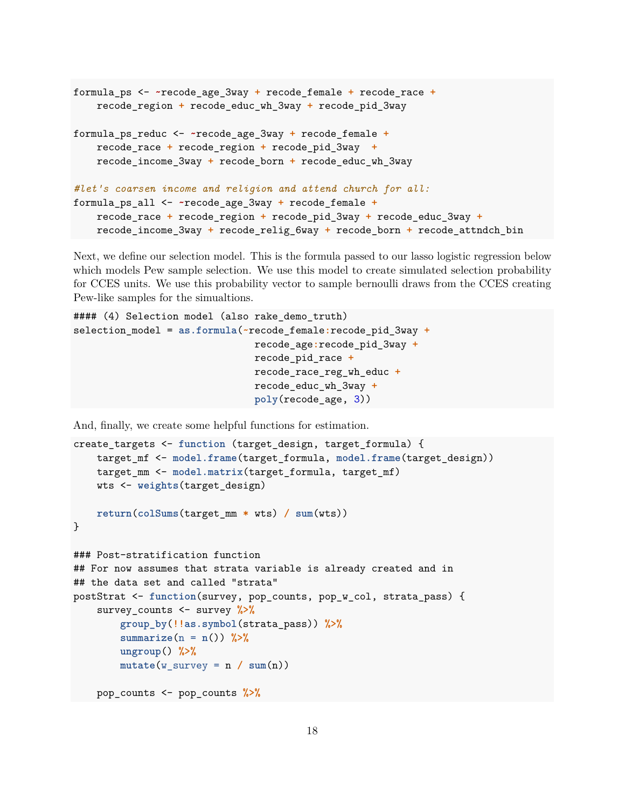```
formula_ps <- ~recode_age_3way + recode_female + recode_race +
   recode_region + recode_educ_wh_3way + recode_pid_3way
formula_ps_reduc <- ~recode_age_3way + recode_female +
   recode_race + recode_region + recode_pid_3way +
   recode_income_3way + recode_born + recode_educ_wh_3way
#let's coarsen income and religion and attend church for all:
formula_ps_all <- ~recode_age_3way + recode_female +
   recode_race + recode_region + recode_pid_3way + recode_educ_3way +
   recode_income_3way + recode_relig_6way + recode_born + recode_attndch_bin
```
Next, we define our selection model. This is the formula passed to our lasso logistic regression below which models Pew sample selection. We use this model to create simulated selection probability for CCES units. We use this probability vector to sample bernoulli draws from the CCES creating Pew-like samples for the simualtions.

```
#### (4) Selection model (also rake_demo_truth)
selection_model = as.formula(~recode_female:recode_pid_3way +
                               recode_age:recode_pid_3way +
                               recode_pid_race +
                               recode_race_reg_wh_educ +
                               recode_educ_wh_3way +
                               poly(recode_age, 3))
```
And, finally, we create some helpful functions for estimation.

```
create targets <- function (target design, target formula) {
   target_mf <- model.frame(target_formula, model.frame(target_design))
   target_mm <- model.matrix(target_formula, target_mf)
   wts <- weights(target_design)
   return(colSums(target_mm * wts) / sum(wts))
}
### Post-stratification function
## For now assumes that strata variable is already created and in
## the data set and called "strata"
postStrat <- function(survey, pop_counts, pop_w_col, strata_pass) {
    survey_counts <- survey %>%
        group_by(!!as.symbol(strata_pass)) %>%
        summarize(n = n()) %>%
        ungroup() %>%
        mutate(w_survey = n / sum(n))pop_counts <- pop_counts %>%
```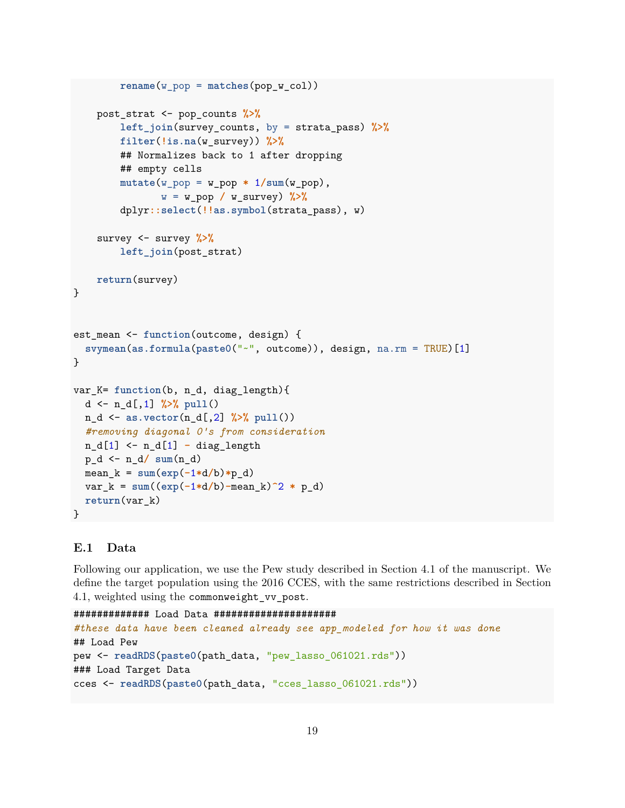```
rename(w_pop = matches(pop_w_col))
    post_strat <- pop_counts %>%
        left_join(survey_counts, by = strata_pass) %>%
        filter(!is.na(w_survey)) %>%
        ## Normalizes back to 1 after dropping
        ## empty cells
        mutate(w\_pop = w\_pop * 1/sum(w\_pop),w = w_pop / w_survey) %>%
        dplyr::select(!!as.symbol(strata_pass), w)
    survey <- survey %>%
        left_join(post_strat)
    return(survey)
}
est_mean <- function(outcome, design) {
  svymean(as.formula(paste0("~", outcome)), design, na.rm = TRUE)[1]
}
var_K= function(b, n_d, diag_length){
 d <- n_d[,1] %>% pull()
 n_d <- as.vector(n_d[,2] %>% pull())
  #removing diagonal 0's from consideration
 n_d[1] <- n_d[1] - diag_length
 p_d <- n_d/ sum(n_d)
 mean_k = sum(exp(-1*d/b)*p_d)var_k = \text{sum}((exp(-1*d/b) - mean_k)^2 * p_d)return(var_k)
}
```
## **E.1 Data**

Following our application, we use the Pew study described in Section [4.1](#page-23-0) of the manuscript. We define the target population using the 2016 CCES, with the same restrictions described in Section [4.1,](#page-23-0) weighted using the commonweight\_vv\_post.

```
############# Load Data #####################
#these data have been cleaned already see app_modeled for how it was done
## Load Pew
pew <- readRDS(paste0(path_data, "pew_lasso_061021.rds"))
### Load Target Data
cces <- readRDS(paste0(path_data, "cces_lasso_061021.rds"))
```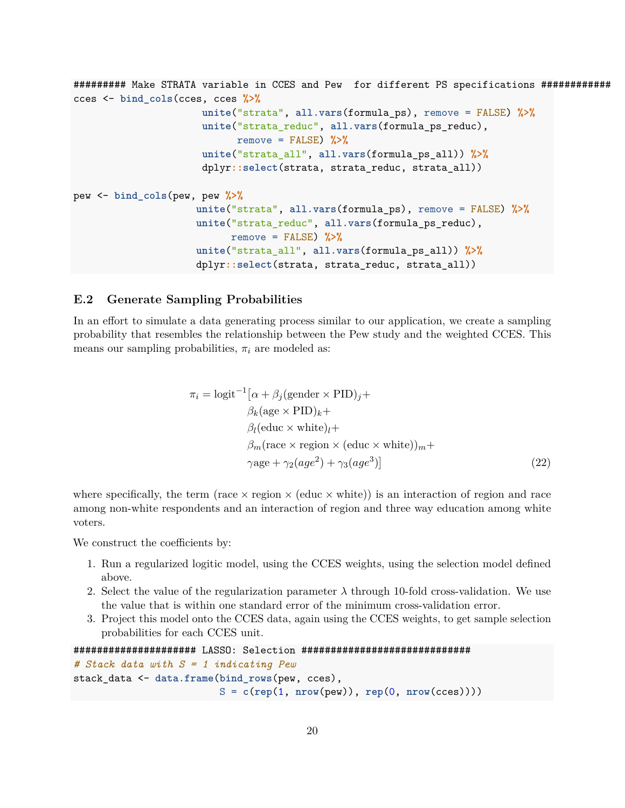```
######### Make STRATA variable in CCES and Pew for different PS specifications ############
cces <- bind_cols(cces, cces %>%
                      unite("strata", all.vars(formula_ps), remove = FALSE) %>%
                      unite("strata_reduc", all.vars(formula_ps_reduc),
                            remove = FALSE) %>%
                      unite("strata_all", all.vars(formula_ps_all)) %>%
                      dplyr::select(strata, strata_reduc, strata_all))
pew <- bind_cols(pew, pew %>%
                     unite("strata", all.vars(formula_ps), remove = FALSE) %>%
                     unite("strata_reduc", all.vars(formula_ps_reduc),
                           remove = FALSE) %>%
                     unite("strata_all", all.vars(formula_ps_all)) %>%
                     dplyr::select(strata, strata_reduc, strata_all))
```
### **E.2 Generate Sampling Probabilities**

In an effort to simulate a data generating process similar to our application, we create a sampling probability that resembles the relationship between the Pew study and the weighted CCES. This means our sampling probabilities,  $\pi_i$  are modeled as:

$$
\pi_i = \text{logit}^{-1} [\alpha + \beta_j (\text{gender} \times \text{PID})_j +
$$
  
\n
$$
\beta_k (\text{age} \times \text{PID})_k +
$$
  
\n
$$
\beta_l (\text{educ} \times \text{white})_l +
$$
  
\n
$$
\beta_m (\text{race} \times \text{region} \times (\text{educ} \times \text{white}))_m +
$$
  
\n
$$
\gamma \text{age} + \gamma_2 (age^2) + \gamma_3 (age^3)]
$$
\n(22)

where specifically, the term (race  $\times$  region  $\times$  (educ  $\times$  white)) is an interaction of region and race among non-white respondents and an interaction of region and three way education among white voters.

We construct the coefficients by:

- 1. Run a regularized logitic model, using the CCES weights, using the selection model defined above.
- 2. Select the value of the regularization parameter  $\lambda$  through 10-fold cross-validation. We use the value that is within one standard error of the minimum cross-validation error.
- 3. Project this model onto the CCES data, again using the CCES weights, to get sample selection probabilities for each CCES unit.

```
##################### LASSO: Selection #############################
# Stack data with S = 1 indicating Pew
stack_data <- data.frame(bind_rows(pew, cces),
                         S = c(rep(1, nrow(pew)), rep(0, nrow(cces))))
```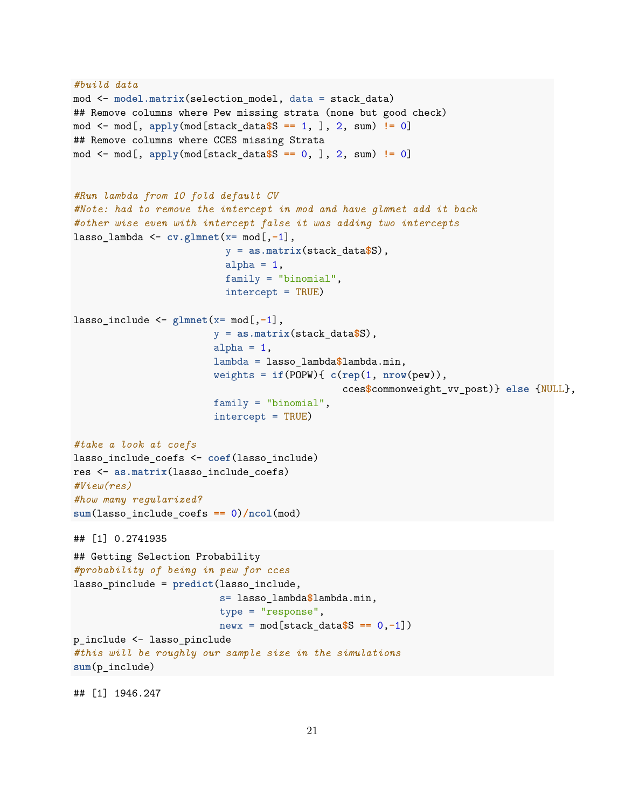```
#build data
mod <- model.matrix(selection_model, data = stack_data)
## Remove columns where Pew missing strata (none but good check)
mod <- mod[, apply(mod[stack_data$S == 1, ], 2, sum) != 0]
## Remove columns where CCES missing Strata
mod <- mod[, apply(mod[stack_data$S == 0, ], 2, sum) != 0]
#Run lambda from 10 fold default CV
#Note: had to remove the intercept in mod and have glmnet add it back
#other wise even with intercept false it was adding two intercepts
lasso_lambda <- cv.glmnet(x= mod[,-1],
                          y = as.matrix(stack_data$S),
                          alpha = 1,
                          family = "binomial",
                          intercept = TRUE)
lasso_include <- glmnet(x= mod[,-1],
                        y = as.matrix(stack_data$S),
                        alpha = 1,
                        lambda = lasso_lambda$lambda.min,
                        weights = if(POPW){ c(rep(1, nrow(pew)),
                                               cces$commonweight_vv_post)} else {NULL},
                        family = "binomial",
                        intercept = TRUE)
#take a look at coefs
lasso_include_coefs <- coef(lasso_include)
res <- as.matrix(lasso_include_coefs)
#View(res)
#how many regularized?
sum(lasso_include_coefs == 0)/ncol(mod)
## [1] 0.2741935
## Getting Selection Probability
#probability of being in pew for cces
lasso_pinclude = predict(lasso_include,
                         s= lasso_lambda$lambda.min,
                         type = "response",
                         newx = mod[stack_data$S == 0,-1])
p_include <- lasso_pinclude
#this will be roughly our sample size in the simulations
sum(p_include)
```
## [1] 1946.247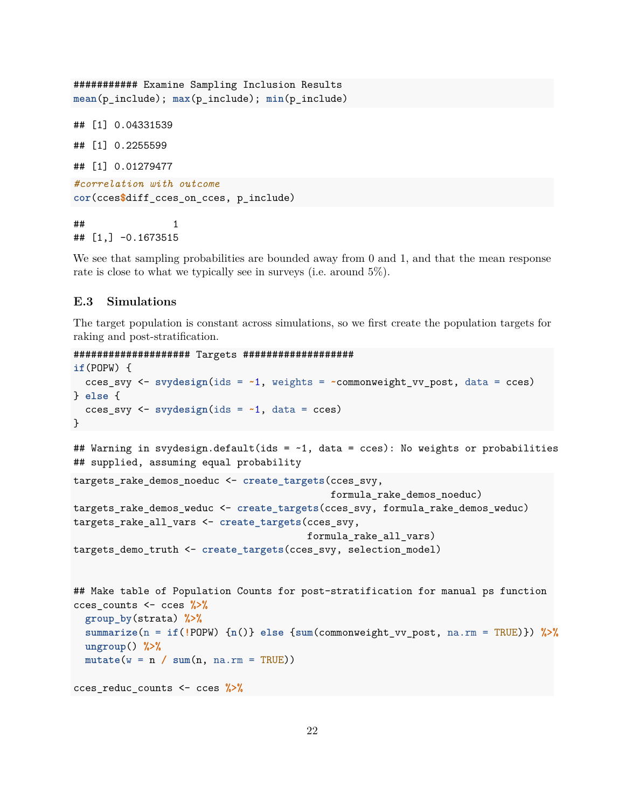```
########### Examine Sampling Inclusion Results
mean(p_include); max(p_include); min(p_include)
## [1] 0.04331539
## [1] 0.2255599
## [1] 0.01279477
#correlation with outcome
cor(cces$diff_cces_on_cces, p_include)
\# \# \qquad \qquad \qquad \qquad \qquad \qquad \qquad \qquad \qquad \qquad \qquad \qquad \qquad \qquad \qquad \qquad \qquad \qquad \qquad \qquad \qquad \qquad \qquad \qquad \qquad \qquad \qquad \qquad \qquad \qquad \qquad \qquad \qquad \qquad \qquad
```
## [1,] -0.1673515

We see that sampling probabilities are bounded away from 0 and 1, and that the mean response rate is close to what we typically see in surveys (i.e. around 5%).

## **E.3 Simulations**

The target population is constant across simulations, so we first create the population targets for raking and post-stratification.

```
#################### Targets ###################
```

```
if(POPW) {
  cces_svy <- svydesign(ids = ~1, weights = ~commonweight_vv_post, data = cces)
} else {
  cces_svy <- svydesign(ids = ~1, data = cces)
}
## Warning in svydesign.default(ids = ~1, data = cces): No weights or probabilities
## supplied, assuming equal probability
targets_rake_demos_noeduc <- create_targets(cces_svy,
                                            formula_rake_demos_noeduc)
targets_rake_demos_weduc <- create_targets(cces_svy, formula_rake_demos_weduc)
targets_rake_all_vars <- create_targets(cces_svy,
                                        formula_rake_all_vars)
targets_demo_truth <- create_targets(cces_svy, selection_model)
## Make table of Population Counts for post-stratification for manual ps function
cces_counts <- cces %>%
  group_by(strata) %>%
  summarize(n = if(!POPW) {n()} else {sum(commonweight_vv_post, na.rm = TRUE)}) %>%
 ungroup() %>%
 mutate(w = n / sum(n, na.m = TRUE))cces_reduc_counts <- cces %>%
```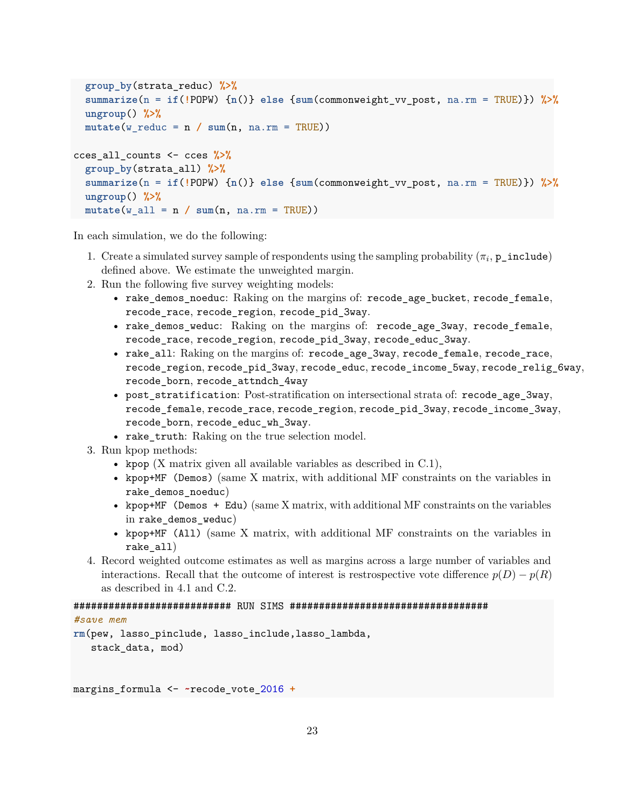```
group_by(strata_reduc) %>%
 summarize(n = if(!POPW) {n()} else {sum(commonweight_vv_post, na.rm = TRUE)}) %>%
 ungroup() %>%
 mutate(w_reduc = n / sum(n, na.rm = TRUE))
cces_all_counts <- cces %>%
 group_by(strata_all) %>%
 summarize(n = if(!POPW) {n()} else {sum(commonweight_vv_post, na.rm = TRUE)}) %>%
 ungroup() %>%
 mutate(w_a11 = n / sum(n, na.rm = TRUE))
```
In each simulation, we do the following:

- 1. Create a simulated survey sample of respondents using the sampling probability  $(\pi_i, \mathbf{p\_include})$ defined above. We estimate the unweighted margin.
- 2. Run the following five survey weighting models:
	- rake\_demos\_noeduc: Raking on the margins of: recode\_age\_bucket, recode\_female, recode race, recode region, recode pid 3way.
	- rake\_demos\_weduc: Raking on the margins of: recode\_age\_3way, recode\_female, recode\_race, recode\_region, recode\_pid\_3way, recode\_educ\_3way.
	- rake\_all: Raking on the margins of: recode\_age\_3way, recode\_female, recode\_race, recode\_region, recode\_pid\_3way, recode\_educ, recode\_income\_5way, recode\_relig\_6way, recode\_born, recode\_attndch\_4way
	- post\_stratification: Post-stratification on intersectional strata of: recode\_age\_3way, recode\_female, recode\_race, recode\_region, recode\_pid\_3way, recode\_income\_3way, recode\_born, recode\_educ\_wh\_3way.
	- rake\_truth: Raking on the true selection model.
- 3. Run kpop methods:
	- kpop  $(X \text{ matrix given all available variables as described in } C.1),$  $(X \text{ matrix given all available variables as described in } C.1),$  $(X \text{ matrix given all available variables as described in } C.1),$
	- kpop+MF (Demos) (same X matrix, with additional MF constraints on the variables in rake demos noeduc)
	- kpop+MF (Demos + Edu) (same X matrix, with additional MF constraints on the variables in rake demos weduc)
	- kpop+MF (All) (same X matrix, with additional MF constraints on the variables in rake\_all)
- 4. Record weighted outcome estimates as well as margins across a large number of variables and interactions. Recall that the outcome of interest is restrospective vote difference  $p(D) - p(R)$ as described in [4.1](#page-23-0) and [C.2.](#page-42-0)

## ########################### RUN SIMS ##################################

#### *#save mem*

```
rm(pew, lasso_pinclude, lasso_include,lasso_lambda,
   stack_data, mod)
```
margins\_formula <- **~**recode\_vote\_2016 **+**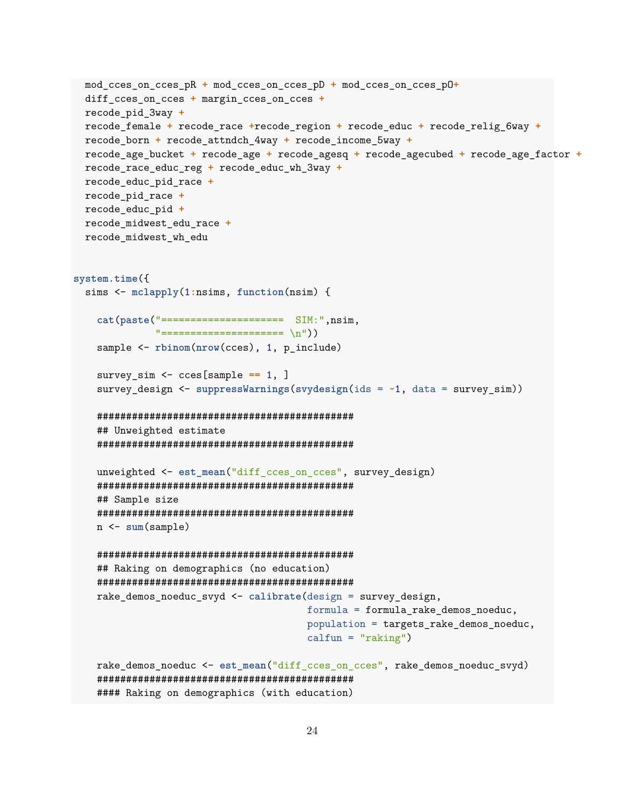```
mod_cces_on_cces_pR + mod_cces_on_cces_pD + mod_cces_on_cces_pO+
 diff_cces_on_cces + margin_cces_on_cces +
 recode_pid_3way +
 recode_female + recode_race +recode_region + recode_educ + recode_relig_6way +
 recode_born + recode_attndch_4way + recode_income_5way +
 recode_age_bucket + recode_age + recode_agesq + recode_agecubed + recode_age_factor +
 recode_race_educ_reg + recode_educ_wh_3way +
 recode_educ_pid_race +
 recode_pid_race +
 recode_educ_pid +
 recode_midwest_edu_race +
 recode_midwest_wh_edu
system.time({
 sims <- mclapply(1:nsims, function(nsim) {
    cat(paste("===================== SIM:",nsim,
              "======================== \n"))
   sample <- rbinom(nrow(cces), 1, p_include)
   survey_sim <- cces[sample == 1, ]
   survey design \leq suppressWarnings(svydesign(ids = \sim1, data = survey sim))
   ############################################
   ## Unweighted estimate
   ############################################
   unweighted <- est_mean("diff_cces_on_cces", survey_design)
   ############################################
   ## Sample size
   ############################################
   n <- sum(sample)
   ############################################
   ## Raking on demographics (no education)
   ############################################
   rake_demos_noeduc_svyd <- calibrate(design = survey_design,
                                        formula = formula_rake_demos_noeduc,
                                        population = targets rake demos noeduc,
                                        calfum = "raking")rake_demos_noeduc <- est_mean("diff_cces_on_cces", rake_demos_noeduc_svyd)
    ############################################
   #### Raking on demographics (with education)
```

```
24
```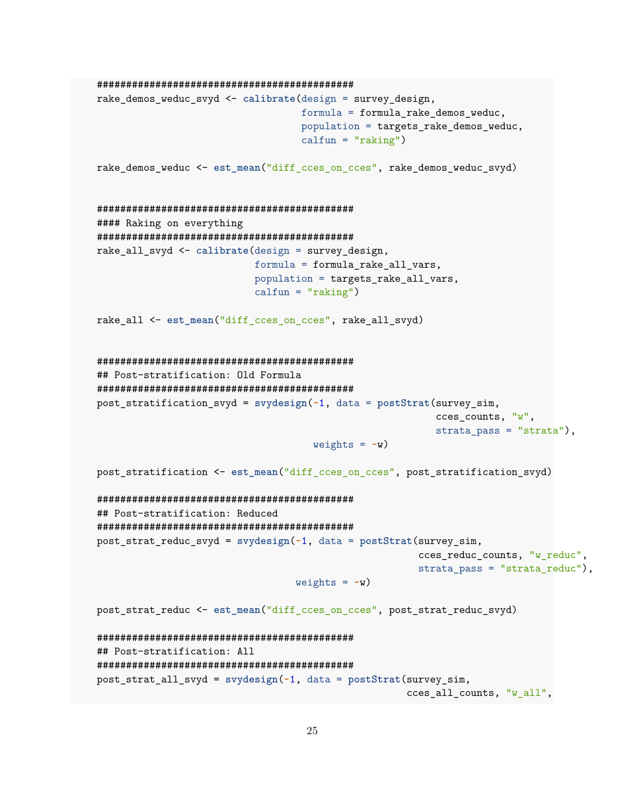```
############################################
rake_demos_weduc_svyd <- calibrate(design = survey_design,
                                   formula = formula_rake_demos_weduc,
                                   population = targets_rake_demos_weduc,
                                   calfun = "raking")
rake_demos_weduc <- est_mean("diff_cces_on_cces", rake_demos_weduc_svyd)
############################################
#### Raking on everything
############################################
rake_all_svyd <- calibrate(design = survey_design,
                           formula = formula_rake_all_vars,
                           population = targets_rake_all_vars,
                           calfum = "raking")rake_all <- est_mean("diff_cces_on_cces", rake_all_svyd)
############################################
## Post-stratification: Old Formula
############################################
post_stratification_svyd = svydesign(~1, data = postStrat(survey_sim,
                                                          cces_counts, "w",
                                                          strata_pass = "strata"),
                                     weights = -w)
post_stratification <- est_mean("diff_cces_on_cces", post_stratification_svyd)
############################################
## Post-stratification: Reduced
############################################
post_strat_reduc_svyd = svydesign(~1, data = postStrat(survey_sim,
                                                       cces_reduc_counts, "w_reduc",
                                                       strata_pass = "strata_reduc"),
                                  weights = -wpost_strat_reduc <- est_mean("diff_cces_on_cces", post_strat_reduc_svyd)
############################################
## Post-stratification: All
############################################
post_strat_all_svyd = svydesign(~1, data = postStrat(survey_sim,
                                                     cces_all_counts, "w_all",
```

```
25
```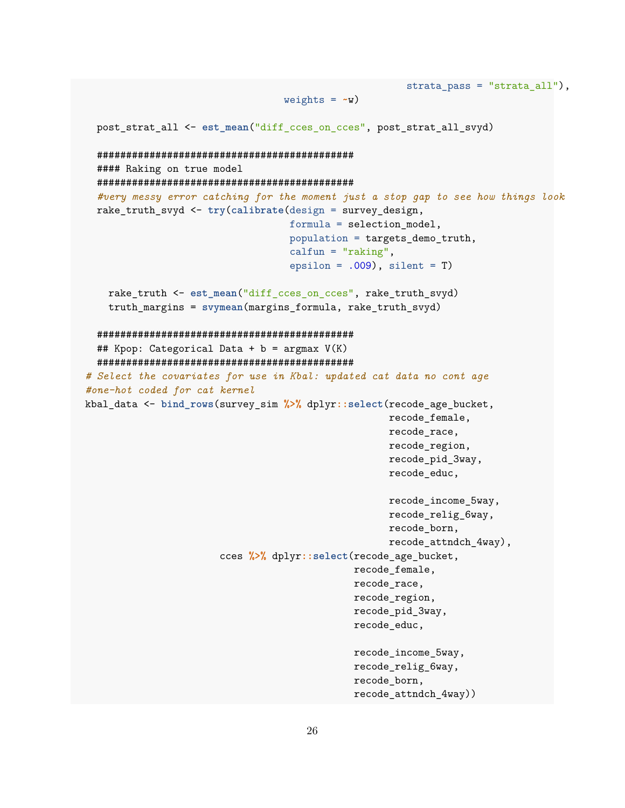```
strata_pass = "strata_all"),
                                  weights = -w)
  post_strat_all <- est_mean("diff_cces_on_cces", post_strat_all_svyd)
  ############################################
  #### Raking on true model
  ############################################
  #very messy error catching for the moment just a stop gap to see how things look
  rake_truth_svyd <- try(calibrate(design = survey_design,
                                   formula = selection_model,
                                   population = targets_demo_truth,
                                   calfun = "raking",
                                   epsilon = .009), silent = T)
    rake_truth <- est_mean("diff_cces_on_cces", rake_truth_svyd)
    truth_margins = svymean(margins_formula, rake_truth_svyd)
  ############################################
 ## Kpop: Categorical Data + b = argmax V(K)
 ############################################
# Select the covariates for use in Kbal: updated cat data no cont age
#one-hot coded for cat kernel
kbal_data <- bind_rows(survey_sim %>% dplyr::select(recode_age_bucket,
                                                    recode_female,
                                                    recode_race,
                                                    recode_region,
                                                    recode_pid_3way,
                                                    recode_educ,
                                                    recode_income_5way,
                                                    recode_relig_6way,
                                                    recode_born,
                                                    recode_attndch_4way),
                       cces %>% dplyr::select(recode_age_bucket,
                                              recode_female,
                                              recode_race,
                                              recode_region,
                                              recode_pid_3way,
                                              recode_educ,
                                              recode_income_5way,
                                              recode_relig_6way,
                                              recode_born,
                                              recode_attndch_4way))
```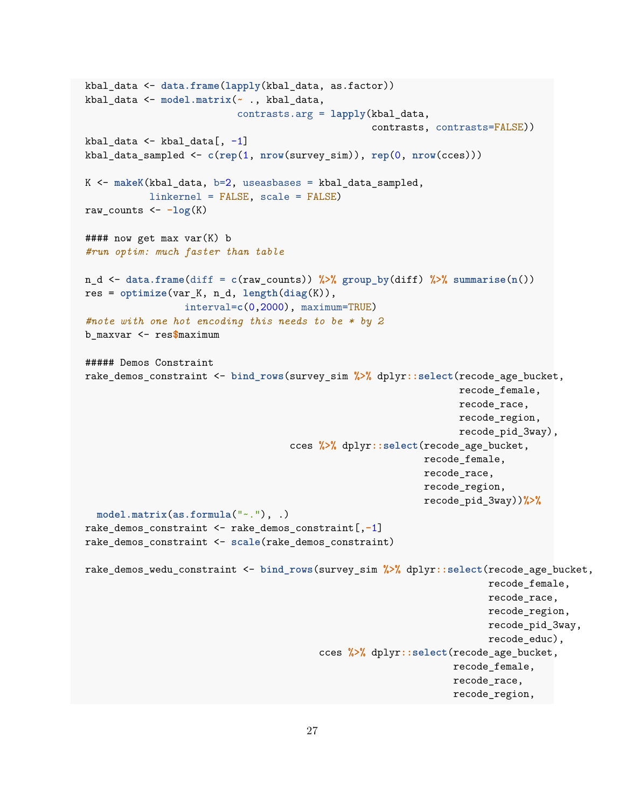```
kbal_data <- data.frame(lapply(kbal_data, as.factor))
kbal_data <- model.matrix(~ ., kbal_data,
                          contrasts.arg = lapply(kbal_data,
                                                 contrasts, contrasts=FALSE))
kbal_data <- kbal_data[, -1]
kbal_data_sampled <- c(rep(1, nrow(survey_sim)), rep(0, nrow(cces)))
K <- makeK(kbal_data, b=2, useasbases = kbal_data_sampled,
           linkernel = FALSE, scale = FALSE)
raw_counts <- -log(K)
#### now get max var(K) b
#run optim: much faster than table
n_d <- data.frame(diff = c(raw_counts)) %>% group_by(diff) %>% summarise(n())
res = optimize(var_K, n_d, length(diag(K)),
                 interval=c(0,2000), maximum=TRUE)
#note with one hot encoding this needs to be * by 2
b_maxvar <- res$maximum
##### Demos Constraint
rake_demos_constraint <- bind_rows(survey_sim %>% dplyr::select(recode_age_bucket,
                                                                 recode_female,
                                                                 recode_race,
                                                                 recode_region,
                                                                 recode_pid_3way),
                                   cces %>% dplyr::select(recode_age_bucket,
                                                          recode_female,
                                                          recode_race,
                                                          recode_region,
                                                           recode_pid_3way))%>%
 model.matrix(as.formula("~."), .)
rake_demos_constraint <- rake_demos_constraint[,-1]
rake_demos_constraint <- scale(rake_demos_constraint)
rake_demos_wedu_constraint <- bind_rows(survey_sim %>% dplyr::select(recode_age_bucket,
                                                                      recode_female,
                                                                      recode race,
                                                                      recode_region,
                                                                      recode_pid_3way,
                                                                      recode_educ),
                                        cces %>% dplyr::select(recode_age_bucket,
                                                                recode_female,
                                                                recode_race,
                                                                recode_region,
```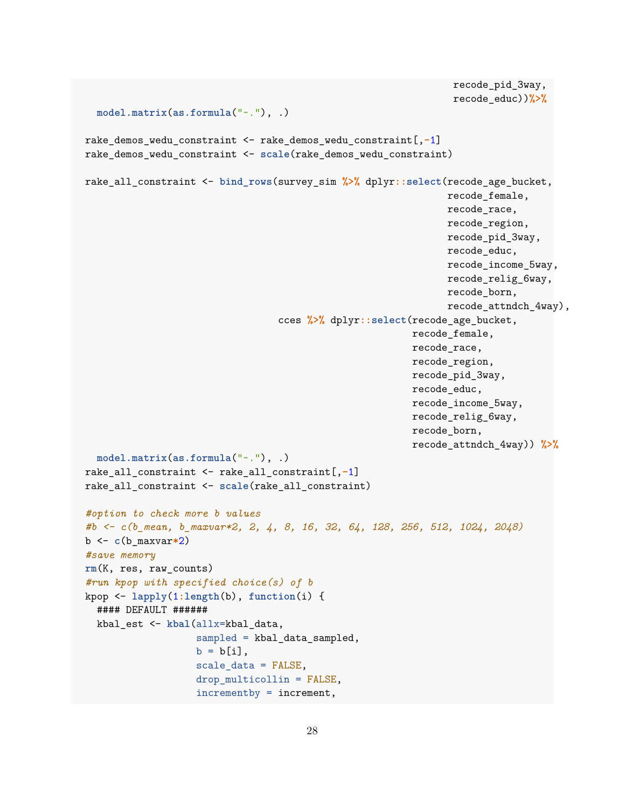```
recode_pid_3way,
                                                                recode_educ))%>%
  model.matrix(as.formula("~."), .)
rake_demos_wedu_constraint <- rake_demos_wedu_constraint[,-1]
rake_demos_wedu_constraint <- scale(rake_demos_wedu_constraint)
rake_all_constraint <- bind_rows(survey_sim %>% dplyr::select(recode_age_bucket,
                                                               recode_female,
                                                               recode_race,
                                                               recode_region,
                                                               recode_pid_3way,
                                                               recode_educ,
                                                               recode_income_5way,
                                                               recode_relig_6way,
                                                               recode_born,
                                                               recode_attndch_4way),
                                 cces %>% dplyr::select(recode_age_bucket,
                                                         recode_female,
                                                         recode_race,
                                                         recode_region,
                                                         recode_pid_3way,
                                                         recode_educ,
                                                         recode_income_5way,
                                                         recode_relig_6way,
                                                         recode_born,
                                                         recode_attndch_4way)) %>%
  model.matrix(as.formula("~."), .)
rake_all_constraint <- rake_all_constraint[,-1]
rake_all_constraint <- scale(rake_all_constraint)
#option to check more b values
#b <- c(b_mean, b_maxvar*2, 2, 4, 8, 16, 32, 64, 128, 256, 512, 1024, 2048)
b <- c(b_maxvar*2)
#save memory
rm(K, res, raw_counts)
#run kpop with specified choice(s) of b
kpop <- lapply(1:length(b), function(i) {
  #### DEFAULT ######
  kbal_est <- kbal(allx=kbal_data,
                   sampled = kbal_data_sampled,
                   b = b[i],scale_data = FALSE,
                   drop_multicollin = FALSE,
                   incrementby = increment,
```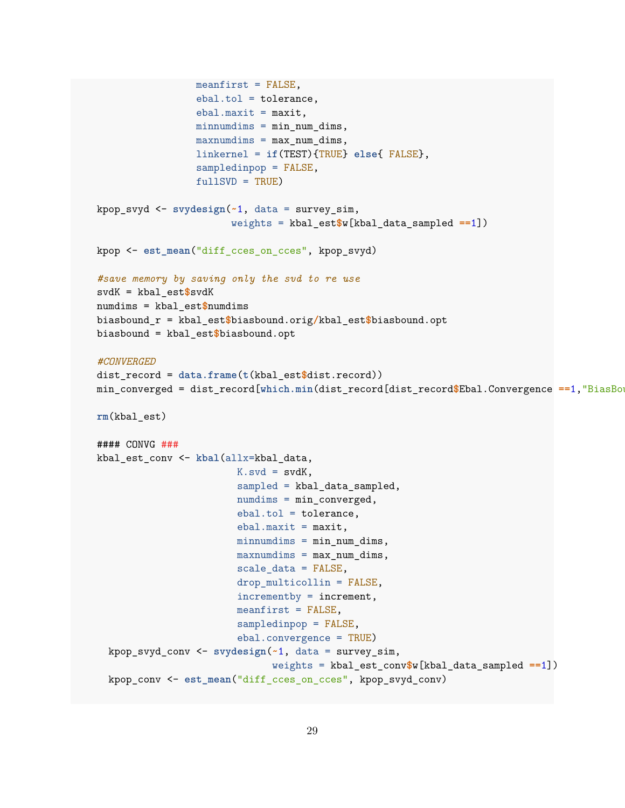```
meanfirst = FALSE,
                 ebal.tol = tolerance,
                 ebal.maxit = maxit,minnumdims = min_num_dims,
                 maxnumdims = max_num_dims,
                 linkernel = if(TEST){TRUE} else{ FALSE},
                 sampledinpop = FALSE,
                 fullSVD = TRUE)
kpop_svyd <- svydesign(~1, data = survey_sim,
                       weights = kbal_est$w[kbal_data_sampled ==1])
kpop <- est_mean("diff_cces_on_cces", kpop_svyd)
#save memory by saving only the svd to re use
svdK = kbal_est$svdK
numdims = kbal_est$numdims
biasbound_r = kbal_est$biasbound.orig/kbal_est$biasbound.opt
biasbound = kbal_est$biasbound.opt
#CONVERGED
dist_record = data.frame(t(kbal_est$dist.record))
min_converged = dist_record[which.min(dist_record[dist_record$Ebal.Convergence ==1, "BiasBo
rm(kbal_est)
#### CONVG ###
kbal_est_conv <- kbal(allx=kbal_data,
                        K.svd = svdK,sampled = kbal_data_sampled,
                        numdims = min_converged,
                        ebal.tol = tolerance,
                        ebal.maxit = maxit,minnumdims = min_num_dims,
                        maxnumdims = max_num_dims,
                        scale_data = FALSE,
                        drop_multicollin = FALSE,
                        incrementby = increment,
                        meanfirst = FALSE,
                        sampledinpop = FALSE,
                        ebal.convergence = TRUE)
  kpop_svyd_conv <- svydesign(~1, data = survey_sim,
                              weights = kbal_est_conv$w[kbal_data_sampled ==1])
  kpop_conv <- est_mean("diff_cces_on_cces", kpop_svyd_conv)
```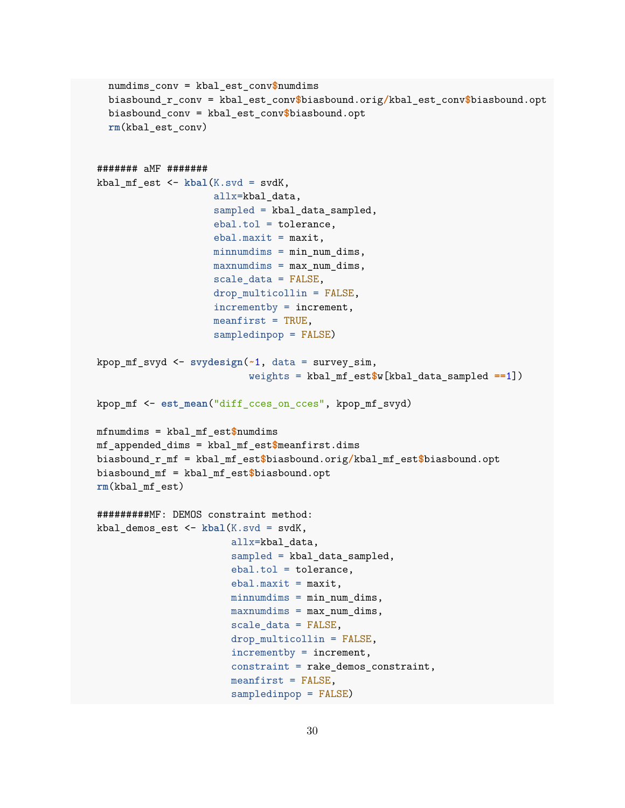```
numdims_conv = kbal_est_conv$numdims
  biasbound_r_conv = kbal_est_conv$biasbound.orig/kbal_est_conv$biasbound.opt
  biasbound_conv = kbal_est_conv$biasbound.opt
  rm(kbal_est_conv)
####### aMF #######
kbal_mf_est <- kbal(K.svd = svdK,
                    allx=kbal_data,
                    sampled = kbal_data_sampled,
                    ebal.tol = tolerance,
                    ebal.maxit = maxit,
                    minnumdims = minnumdims,maxnumdims = maxnumdims,scale_data = FALSE,
                    drop_multicollin = FALSE,
                    incrementby = increment,
                    meanfirst = TRUE,sampledinpop = FALSE)
kpop_mf_svyd <- svydesign(~1, data = survey_sim,
                          weights = kbal_mf_est$w[kbal_data_sampled ==1])
kpop_mf <- est_mean("diff_cces_on_cces", kpop_mf_svyd)
mfnumdims = kbal_mf_est$numdims
mf_appended_dims = kbal_mf_est$meanfirst.dims
biasbound_r_mf = kbal_mf_est$biasbound.orig/kbal_mf_est$biasbound.opt
biasbound_mf = kbal_mf_est$biasbound.opt
rm(kbal_mf_est)
#########MF: DEMOS constraint method:
kbal_demos_est <- kbal(K.svd = svdK,
                       allx=kbal_data,
                       sampled = kbal_data_sampled,
                       ebal.tol = tolerance,
                       ebal.maxit = maxit,minnumdims = min_num_dims,
                       maxnumdims = max_namedims,scale_data = FALSE,
                       drop_multicollin = FALSE,
                       incrementby = increment,
                       constraint = rake_demos_constraint,
                       meanfirst = FALSE,
                       sampledinpop = FALSE)
```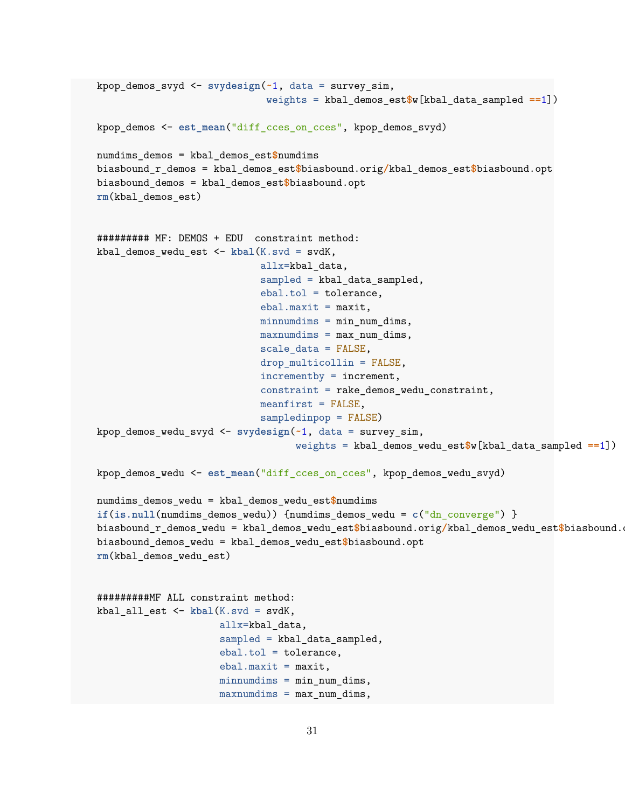```
kpop_demos_svyd <- svydesign(~1, data = survey_sim,
                             weights = kbal_demos_est$w[kbal_data_sampled ==1])
kpop_demos <- est_mean("diff_cces_on_cces", kpop_demos_svyd)
numdims_demos = kbal_demos_est$numdims
biasbound_r_demos = kbal_demos_est$biasbound.orig/kbal_demos_est$biasbound.opt
biasbound_demos = kbal_demos_est$biasbound.opt
rm(kbal_demos_est)
######### MF: DEMOS + EDU constraint method:
kbal_demos_wedu_est <- kbal(K.svd = svdK,
                            allx=kbal_data,
                            sampled = kbal_data_sampled,
                            ebal.tol = tolerance,
                            ebal.maxit = maxit,minnumdims = min_num_dims,
                            maxnumdims = max_name\_dims,scale_data = FALSE,
                            drop_multicollin = FALSE,
                            incrementby = increment,
                            constraint = rake_demos_wedu_constraint,
                            meanfirst = FALSE,
                            sampledinpop = FALSE)
kpop_demos_wedu_svyd <- svydesign(~1, data = survey_sim,
                                  weights = kbal_demos_wedu_est$w[kbal_data_sampled ==1])
kpop_demos_wedu <- est_mean("diff_cces_on_cces", kpop_demos_wedu_svyd)
numdims_demos_wedu = kbal_demos_wedu_est$numdims
if(is.null(numdims_demos_wedu)) {numdims_demos_wedu = c("dn_converge") }
biasbound_r_demos_wedu = kbal_demos_wedu_est$biasbound.orig/kbal_demos_wedu_est$biasbound.
biasbound_demos_wedu = kbal_demos_wedu_est$biasbound.opt
rm(kbal_demos_wedu_est)
#########MF ALL constraint method:
kbal_all_est <- kbal(K.svd = svdK,
                     allx=kbal_data,
                     sampled = kbal_data_sampled,
                     ebal.tol = tolerance,
                     ebal.maxit = maxit,minnumdims = minnumdims,
                     maxnumdims = max_name\_dims,
```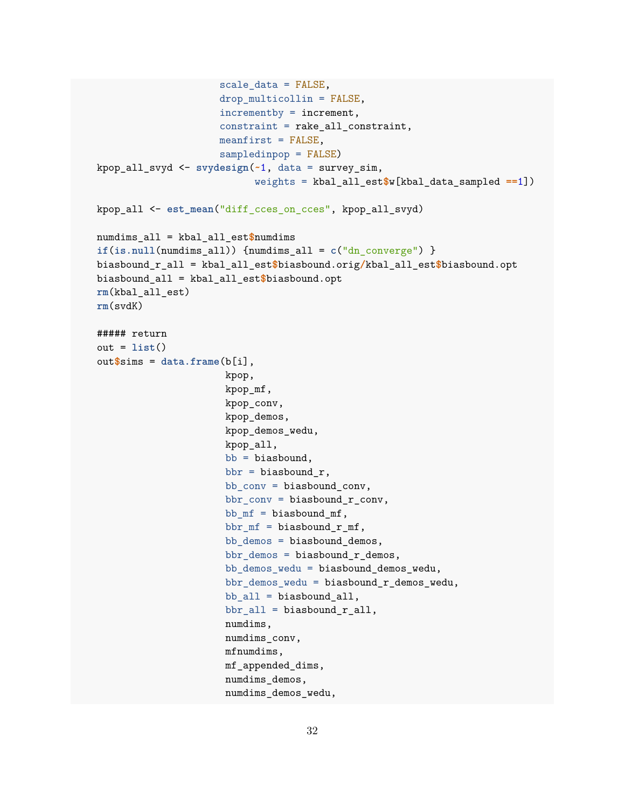```
scale_data = FALSE,
                     drop_multicollin = FALSE,
                     incrementby = increment,
                     constraint = rake_all_constraint,
                     meanfirst = FALSE,
                     sampledinpop = FALSE)
kpop_all_svyd <- svydesign(~1, data = survey_sim,
                           weights = kbal_all_est$w[kbal_data_sampled ==1])
kpop_all <- est_mean("diff_cces_on_cces", kpop_all_svyd)
numdims_all = kbal_all_est$numdims
if(is.null(numdims_all)) {numdims_all = c("dn_converge") }
biasbound_r_all = kbal_all_est$biasbound.orig/kbal_all_est$biasbound.opt
biasbound_all = kbal_all_est$biasbound.opt
rm(kbal_all_est)
rm(svdK)
##### return
out = list()
out$sims = data.frame(b[i],
                      kpop,
                      kpop_mf,
                      kpop_conv,
                      kpop_demos,
                      kpop_demos_wedu,
                      kpop_all,
                      bb = biasbound,bbr = biasbound_r,
                      bb_conv = biasbound_conv,
                      bbr_conv = biasbound_r_conv,
                      bb_mf = biasbound_mf,
                      bbr_mf = biasbound_r_mf,
                      bb_demos = biasbound_demos,
                      bbr_demos = biasbound_r_demos,
                      bb_demos_wedu = biasbound_demos_wedu,
                      bbr_demos_wedu = biasbound_r_demos_wedu,
                      bb_all = biasbound_all,
                      bbr_all = biasbound_r_all,
                      numdims,
                      numdims_conv,
                      mfnumdims,
                      mf_appended_dims,
                      numdims_demos,
                      numdims_demos_wedu,
```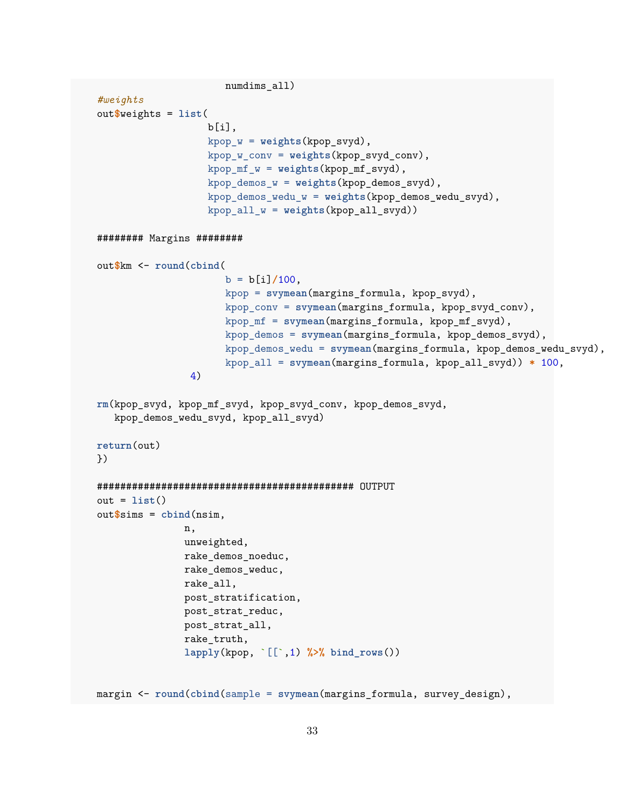```
numdims_all)
#weights
out$weights = list(
                   b[i].
                   kpop w = weights(kpop, svyd),
                   kpop_w_conv = weights(kpop_svyd_conv),
                   kpop_mf_w = weights(kpop_mf_svyd),
                   kpop demos w = weights(kpop demos svyd),
                   kpop_demos_wedu_w = weights(kpop_demos_wedu_svyd),
                   kpop_all_w = weights(kpop_all_svyd))
######## Margins ########
out$km <- round(cbind(
                      b = b[i]/100,
                      kpop = svymean(margins_formula, kpop_svyd),
                      kpop_conv = svymean(margins_formula, kpop_svyd_conv),
                      kpop_mf = svymean(margins_formula, kpop_mf_svyd),
                      kpop_demos = svymean(margins_formula, kpop_demos_svyd),
                      kpop_demos_wedu = svymean(margins_formula, kpop_demos_wedu_svyd),
                      kpop_all = svymean(margins_formula, kpop_all_svyd)) * 100,
                4)
rm(kpop_svyd, kpop_mf_svyd, kpop_svyd_conv, kpop_demos_svyd,
   kpop_demos_wedu_svyd, kpop_all_svyd)
return(out)
})
############################################ OUTPUT
out = list()
out$sims = cbind(nsim,
               n,
               unweighted,
               rake_demos_noeduc,
               rake_demos_weduc,
               rake_all,
               post_stratification,
               post_strat_reduc,
               post_strat_all,
               rake_truth,
               lapply(kpop, `[[`,1) %>% bind_rows())
margin <- round(cbind(sample = svymean(margins_formula, survey_design),
```

```
33
```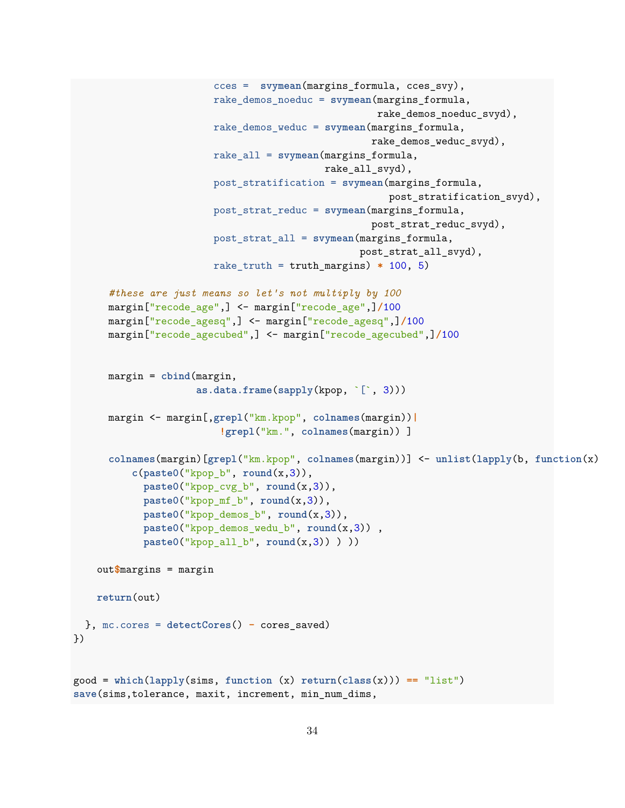```
cces = svymean(margins_formula, cces_svy),
                        rake_demos_noeduc = svymean(margins_formula,
                                                    rake_demos_noeduc_svyd),
                        rake_demos_weduc = svymean(margins_formula,
                                                   rake demos weduc svyd),
                        rake_all = svymean(margins_formula,
                                           rake_all_svyd),
                        post_stratification = svymean(margins_formula,
                                                      post_stratification_svyd),
                        post_strat_reduc = svymean(margins_formula,
                                                   post_strat_reduc_svyd),
                        post_strat_all = svymean(margins_formula,
                                                 post_strat_all_svyd),
                        rake_truth = truth_margins) * 100, 5)
      #these are just means so let's not multiply by 100
      margin["recode_age",] <- margin["recode_age",]/100
     margin["recode_agesq",] <- margin["recode_agesq",]/100
     margin["recode_agecubed",] <- margin["recode_agecubed",]/100
      margin = cbind(margin,
                     as.data.frame(sapply(kpop, `[`, 3)))
     margin <- margin[,grepl("km.kpop", colnames(margin))|
                         !grepl("km.", colnames(margin)) ]
      colnames(margin)[grepl("km.kpop", colnames(margin))] <- unlist(lapply(b, function(x)
          c(paste0("kpop_b", round(x,3)),
           paste0("kpop_cvg_b", round(x,3)),
           paste0("kpop_mf_b", round(x,3)),
           paste0("kpop_demos_b", round(x,3)),
           paste0("kpop_demos_wedu_b", round(x,3)) ,
           paste0("kpop_all_b", round(x,3)) ) ))
   out$margins = margin
   return(out)
 }, mc.cores = detectCores() - cores_saved)
})
good = which(lapply(sims, function (x) return(class(x))) == "list")
save(sims,tolerance, maxit, increment, min_num_dims,
```